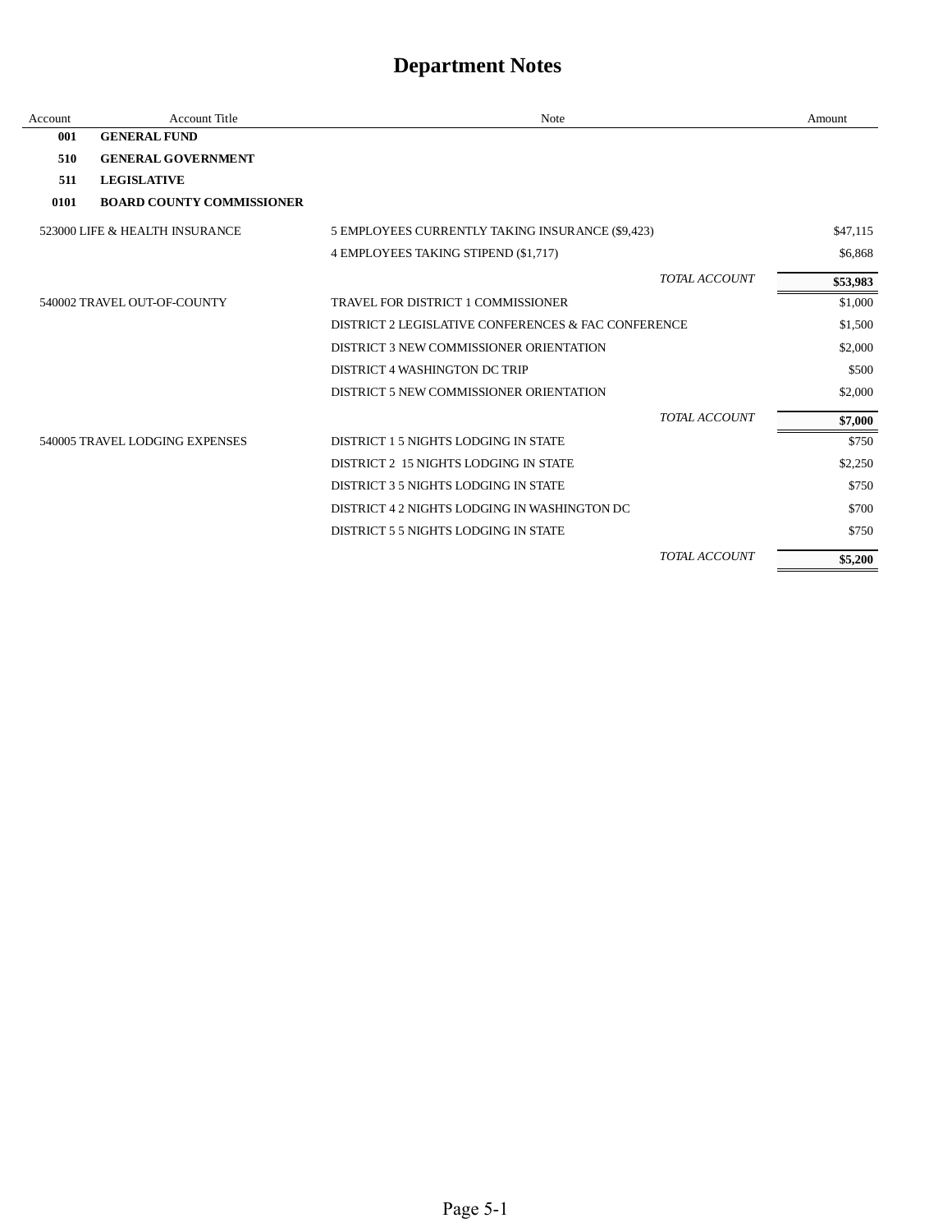| Account | Account Title                    | <b>Note</b>                                         |                      | Amount   |
|---------|----------------------------------|-----------------------------------------------------|----------------------|----------|
| 001     | <b>GENERAL FUND</b>              |                                                     |                      |          |
| 510     | <b>GENERAL GOVERNMENT</b>        |                                                     |                      |          |
| 511     | <b>LEGISLATIVE</b>               |                                                     |                      |          |
| 0101    | <b>BOARD COUNTY COMMISSIONER</b> |                                                     |                      |          |
|         | 523000 LIFE & HEALTH INSURANCE   | 5 EMPLOYEES CURRENTLY TAKING INSURANCE (\$9,423)    |                      | \$47,115 |
|         |                                  | 4 EMPLOYEES TAKING STIPEND (\$1,717)                |                      | \$6,868  |
|         |                                  |                                                     | <b>TOTAL ACCOUNT</b> | \$53,983 |
|         | 540002 TRAVEL OUT-OF-COUNTY      | TRAVEL FOR DISTRICT 1 COMMISSIONER                  |                      | \$1,000  |
|         |                                  | DISTRICT 2 LEGISLATIVE CONFERENCES & FAC CONFERENCE |                      | \$1,500  |
|         |                                  | DISTRICT 3 NEW COMMISSIONER ORIENTATION             |                      | \$2,000  |
|         |                                  | DISTRICT 4 WASHINGTON DC TRIP                       |                      | \$500    |
|         |                                  | DISTRICT 5 NEW COMMISSIONER ORIENTATION             |                      | \$2,000  |
|         |                                  |                                                     | <b>TOTAL ACCOUNT</b> | \$7,000  |
|         | 540005 TRAVEL LODGING EXPENSES   | DISTRICT 1 5 NIGHTS LODGING IN STATE                |                      | \$750    |
|         |                                  | DISTRICT 2 15 NIGHTS LODGING IN STATE               |                      | \$2,250  |
|         |                                  | DISTRICT 3 5 NIGHTS LODGING IN STATE                |                      | \$750    |
|         |                                  | DISTRICT 4 2 NIGHTS LODGING IN WASHINGTON DC        |                      | \$700    |
|         |                                  | DISTRICT 5.5 NIGHTS LODGING IN STATE                |                      | \$750    |
|         |                                  |                                                     | <b>TOTAL ACCOUNT</b> | \$5,200  |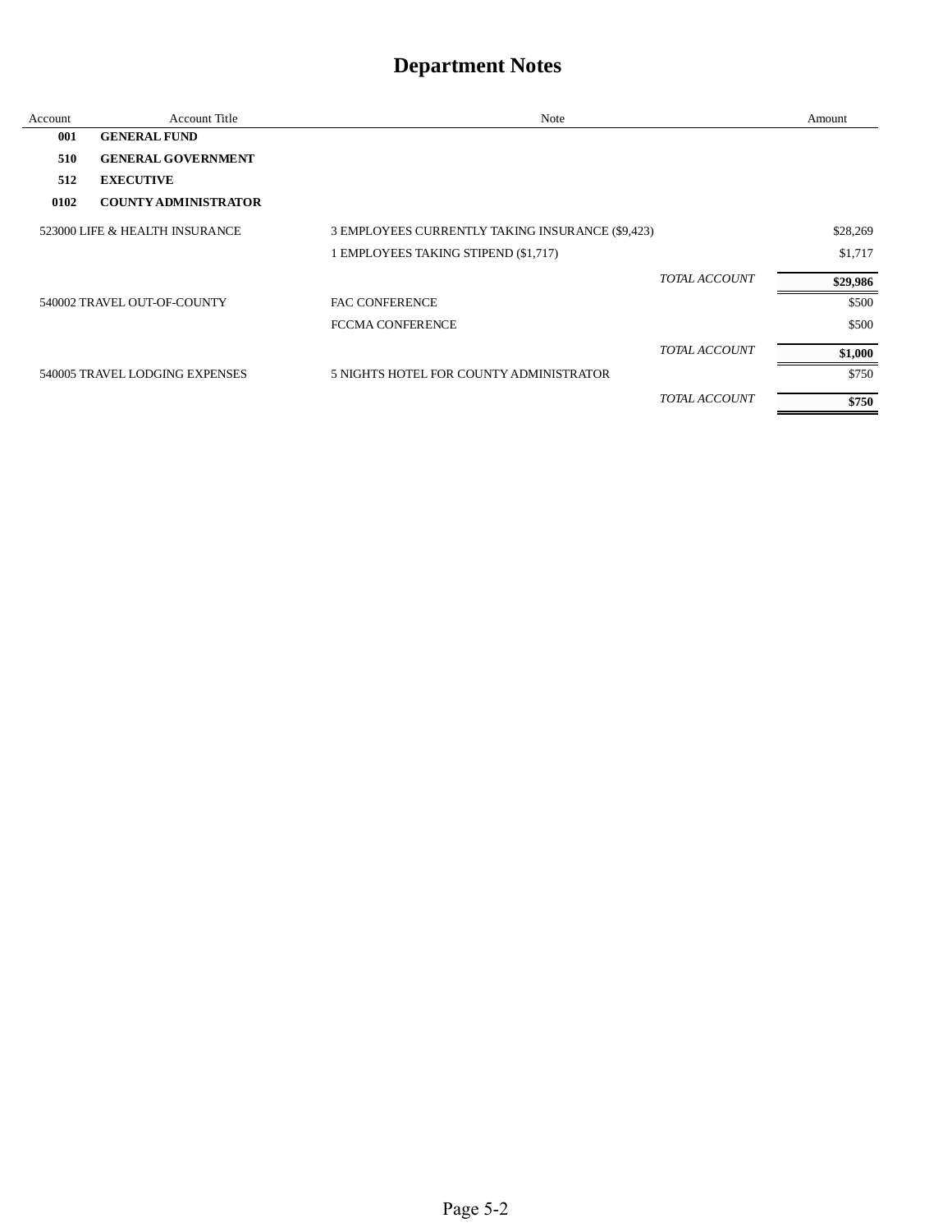| Account | <b>Account Title</b>           | Note                                             |               | Amount   |
|---------|--------------------------------|--------------------------------------------------|---------------|----------|
| 001     | <b>GENERAL FUND</b>            |                                                  |               |          |
| 510     | <b>GENERAL GOVERNMENT</b>      |                                                  |               |          |
| 512     | <b>EXECUTIVE</b>               |                                                  |               |          |
| 0102    | <b>COUNTY ADMINISTRATOR</b>    |                                                  |               |          |
|         | 523000 LIFE & HEALTH INSURANCE | 3 EMPLOYEES CURRENTLY TAKING INSURANCE (\$9,423) |               | \$28,269 |
|         |                                | 1 EMPLOYEES TAKING STIPEND (\$1,717)             |               | \$1,717  |
|         |                                |                                                  | TOTAL ACCOUNT | \$29,986 |
|         | 540002 TRAVEL OUT-OF-COUNTY    | <b>FAC CONFERENCE</b>                            |               | \$500    |
|         |                                | <b>FCCMA CONFERENCE</b>                          |               | \$500    |
|         |                                |                                                  | TOTAL ACCOUNT | \$1,000  |
|         | 540005 TRAVEL LODGING EXPENSES | 5 NIGHTS HOTEL FOR COUNTY ADMINISTRATOR          |               | \$750    |
|         |                                |                                                  | TOTAL ACCOUNT | \$750    |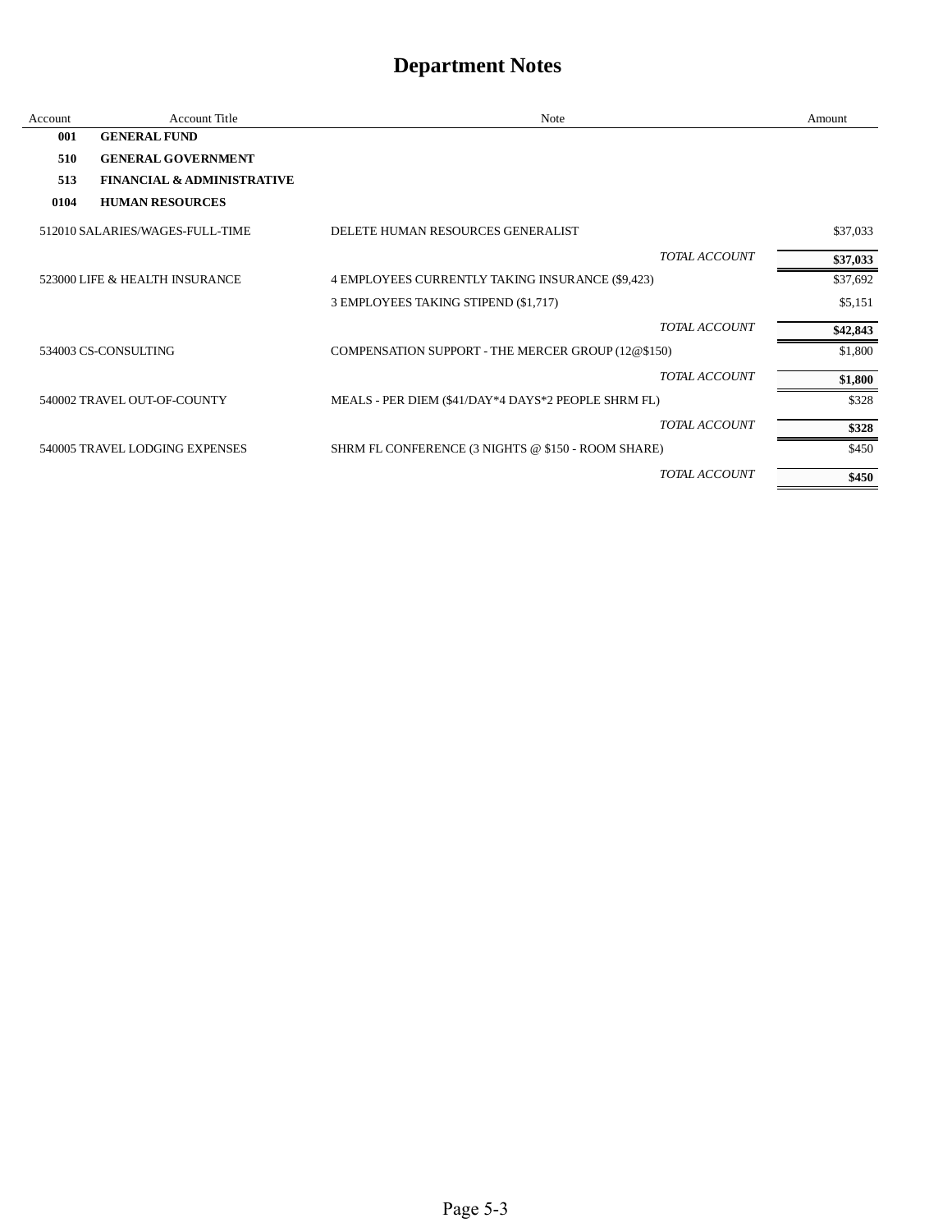| Account | <b>Account Title</b>                  | Note                                                | Amount   |
|---------|---------------------------------------|-----------------------------------------------------|----------|
| 001     | <b>GENERAL FUND</b>                   |                                                     |          |
| 510     | <b>GENERAL GOVERNMENT</b>             |                                                     |          |
| 513     | <b>FINANCIAL &amp; ADMINISTRATIVE</b> |                                                     |          |
| 0104    | <b>HUMAN RESOURCES</b>                |                                                     |          |
|         | 512010 SALARIES/WAGES-FULL-TIME       | DELETE HUMAN RESOURCES GENERALIST                   | \$37,033 |
|         |                                       | TOTAL ACCOUNT                                       | \$37,033 |
|         | 523000 LIFE & HEALTH INSURANCE        | 4 EMPLOYEES CURRENTLY TAKING INSURANCE (\$9,423)    | \$37,692 |
|         |                                       | 3 EMPLOYEES TAKING STIPEND (\$1,717)                | \$5,151  |
|         |                                       | <b>TOTAL ACCOUNT</b>                                | \$42,843 |
|         | 534003 CS-CONSULTING                  | COMPENSATION SUPPORT - THE MERCER GROUP (12@\$150)  | \$1,800  |
|         |                                       | TOTAL ACCOUNT                                       | \$1,800  |
|         | 540002 TRAVEL OUT-OF-COUNTY           | MEALS - PER DIEM (\$41/DAY*4 DAYS*2 PEOPLE SHRM FL) | \$328    |
|         |                                       | TOTAL ACCOUNT                                       | \$328    |
|         | 540005 TRAVEL LODGING EXPENSES        | SHRM FL CONFERENCE (3 NIGHTS @ \$150 - ROOM SHARE)  | \$450    |
|         |                                       | TOTAL ACCOUNT                                       | \$450    |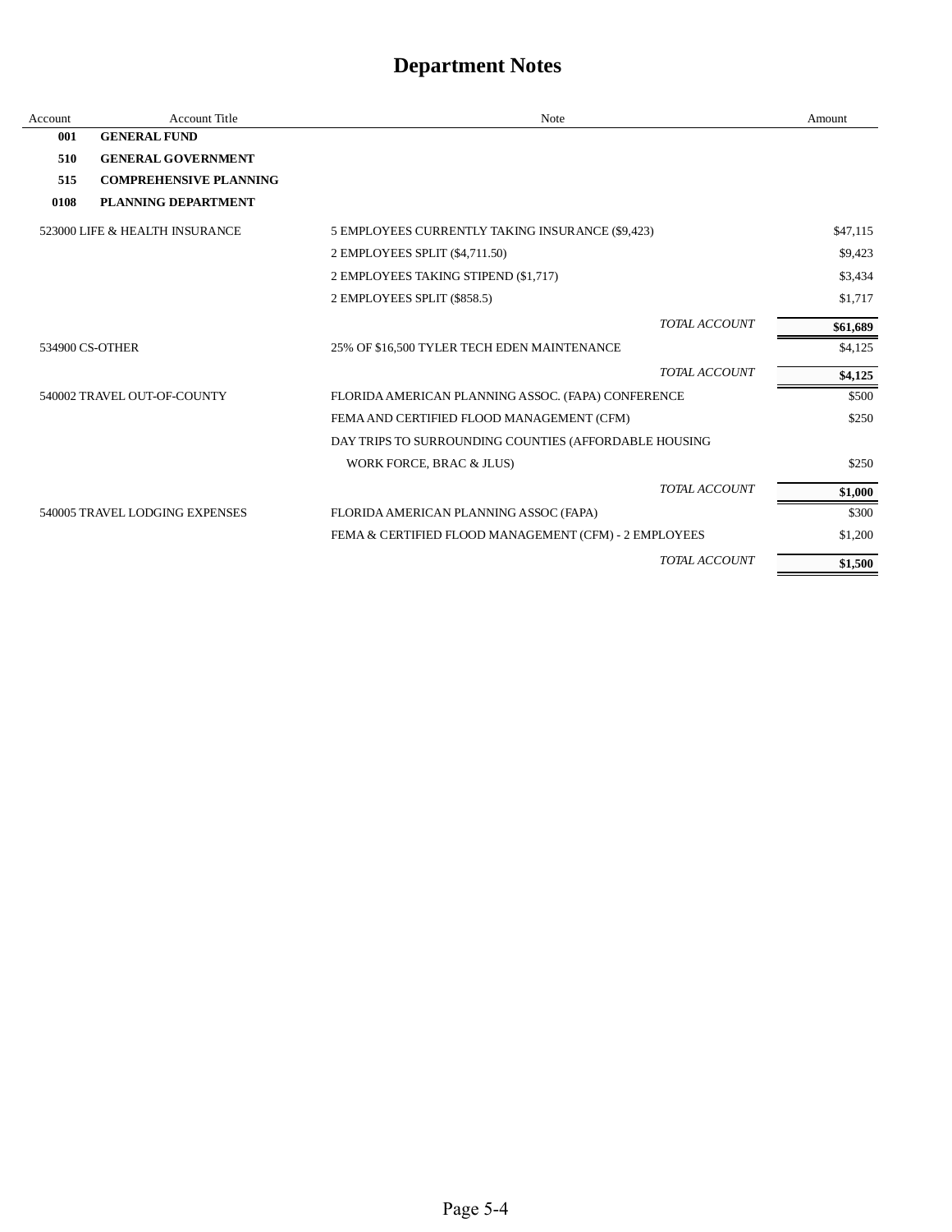| Account | Account Title                  | Note                                                  | Amount   |
|---------|--------------------------------|-------------------------------------------------------|----------|
| 001     | <b>GENERAL FUND</b>            |                                                       |          |
| 510     | <b>GENERAL GOVERNMENT</b>      |                                                       |          |
| 515     | <b>COMPREHENSIVE PLANNING</b>  |                                                       |          |
| 0108    | PLANNING DEPARTMENT            |                                                       |          |
|         | 523000 LIFE & HEALTH INSURANCE | 5 EMPLOYEES CURRENTLY TAKING INSURANCE (\$9,423)      | \$47,115 |
|         |                                | 2 EMPLOYEES SPLIT (\$4,711.50)                        | \$9,423  |
|         |                                | 2 EMPLOYEES TAKING STIPEND (\$1,717)                  | \$3,434  |
|         |                                | 2 EMPLOYEES SPLIT (\$858.5)                           | \$1,717  |
|         |                                | TOTAL ACCOUNT                                         | \$61,689 |
|         | 534900 CS-OTHER                | 25% OF \$16,500 TYLER TECH EDEN MAINTENANCE           | \$4,125  |
|         |                                | TOTAL ACCOUNT                                         | \$4,125  |
|         | 540002 TRAVEL OUT-OF-COUNTY    | FLORIDA AMERICAN PLANNING ASSOC. (FAPA) CONFERENCE    | \$500    |
|         |                                | FEMA AND CERTIFIED FLOOD MANAGEMENT (CFM)             | \$250    |
|         |                                | DAY TRIPS TO SURROUNDING COUNTIES (AFFORDABLE HOUSING |          |
|         |                                | WORK FORCE, BRAC & JLUS)                              | \$250    |
|         |                                | TOTAL ACCOUNT                                         | \$1,000  |
|         | 540005 TRAVEL LODGING EXPENSES | FLORIDA AMERICAN PLANNING ASSOC (FAPA)                | \$300    |
|         |                                | FEMA & CERTIFIED FLOOD MANAGEMENT (CFM) - 2 EMPLOYEES | \$1,200  |
|         |                                | TOTAL ACCOUNT                                         | \$1,500  |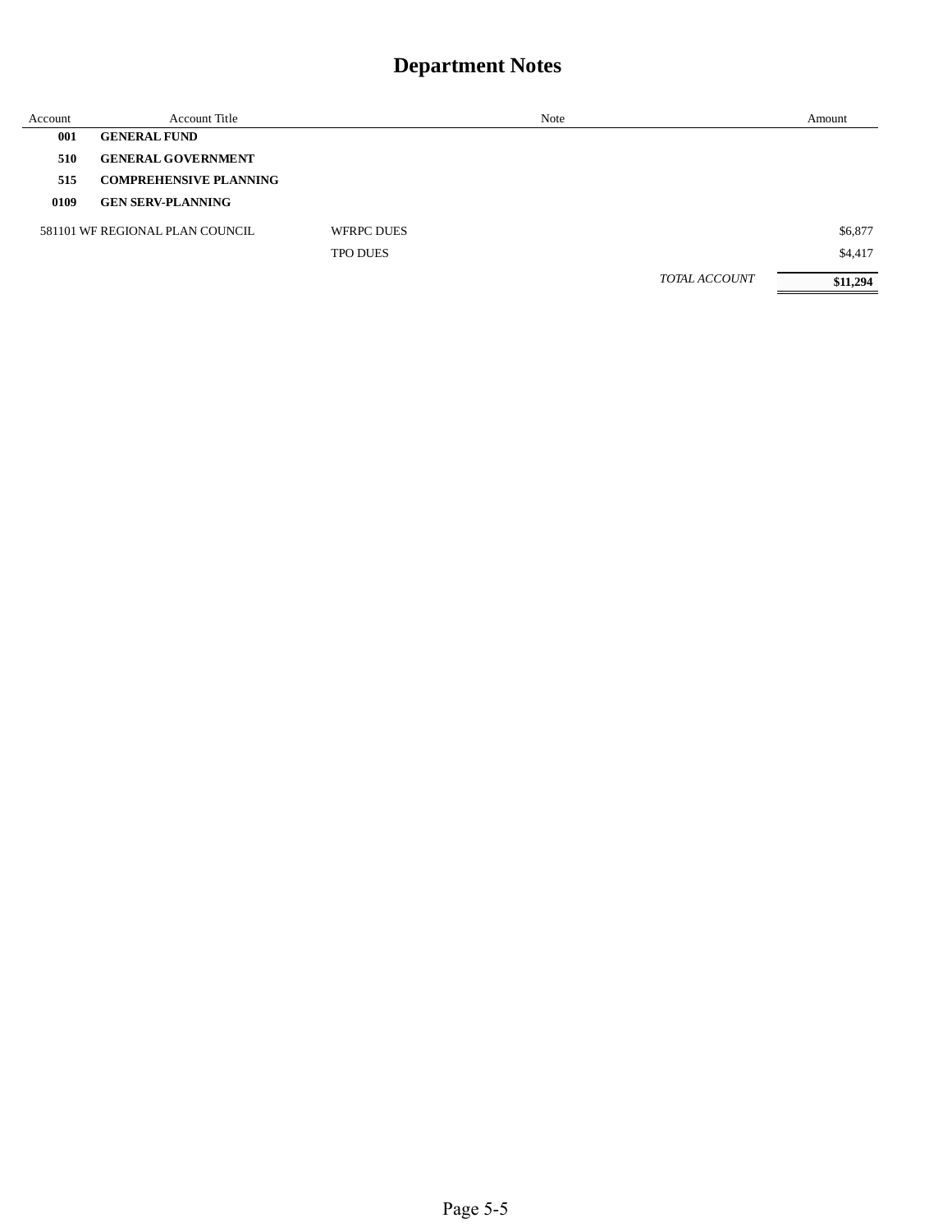| Account | Account Title                   |                   | Note |               | Amount   |
|---------|---------------------------------|-------------------|------|---------------|----------|
| 001     | <b>GENERAL FUND</b>             |                   |      |               |          |
| 510     | <b>GENERAL GOVERNMENT</b>       |                   |      |               |          |
| 515     | <b>COMPREHENSIVE PLANNING</b>   |                   |      |               |          |
| 0109    | <b>GEN SERV-PLANNING</b>        |                   |      |               |          |
|         | 581101 WE REGIONAL PLAN COUNCIL | <b>WFRPC DUES</b> |      |               | \$6,877  |
|         |                                 | <b>TPO DUES</b>   |      |               | \$4,417  |
|         |                                 |                   |      | TOTAL ACCOUNT | \$11,294 |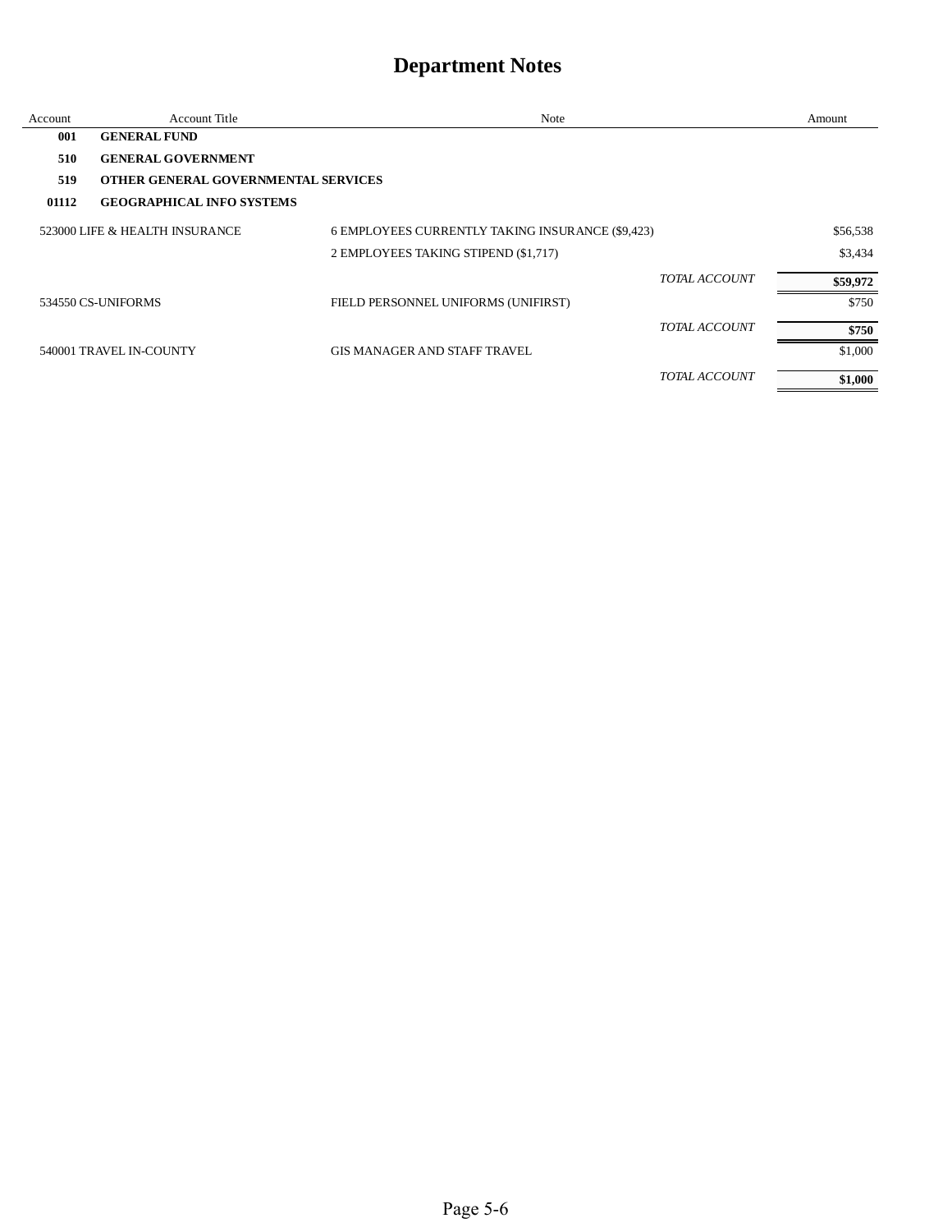| Account | <b>Account Title</b>                       | Note                                             |               | Amount   |
|---------|--------------------------------------------|--------------------------------------------------|---------------|----------|
| 001     | <b>GENERAL FUND</b>                        |                                                  |               |          |
| 510     | <b>GENERAL GOVERNMENT</b>                  |                                                  |               |          |
| 519     | <b>OTHER GENERAL GOVERNMENTAL SERVICES</b> |                                                  |               |          |
| 01112   | <b>GEOGRAPHICAL INFO SYSTEMS</b>           |                                                  |               |          |
|         | 523000 LIFE & HEALTH INSURANCE             | 6 EMPLOYEES CURRENTLY TAKING INSURANCE (\$9,423) |               | \$56,538 |
|         |                                            | 2 EMPLOYEES TAKING STIPEND (\$1,717)             |               | \$3,434  |
|         |                                            |                                                  | TOTAL ACCOUNT | \$59,972 |
|         | 534550 CS-UNIFORMS                         | FIELD PERSONNEL UNIFORMS (UNIFIRST)              |               | \$750    |
|         |                                            |                                                  | TOTAL ACCOUNT | \$750    |
|         | 540001 TRAVEL IN-COUNTY                    | <b>GIS MANAGER AND STAFF TRAVEL</b>              |               | \$1,000  |
|         |                                            |                                                  | TOTAL ACCOUNT | \$1,000  |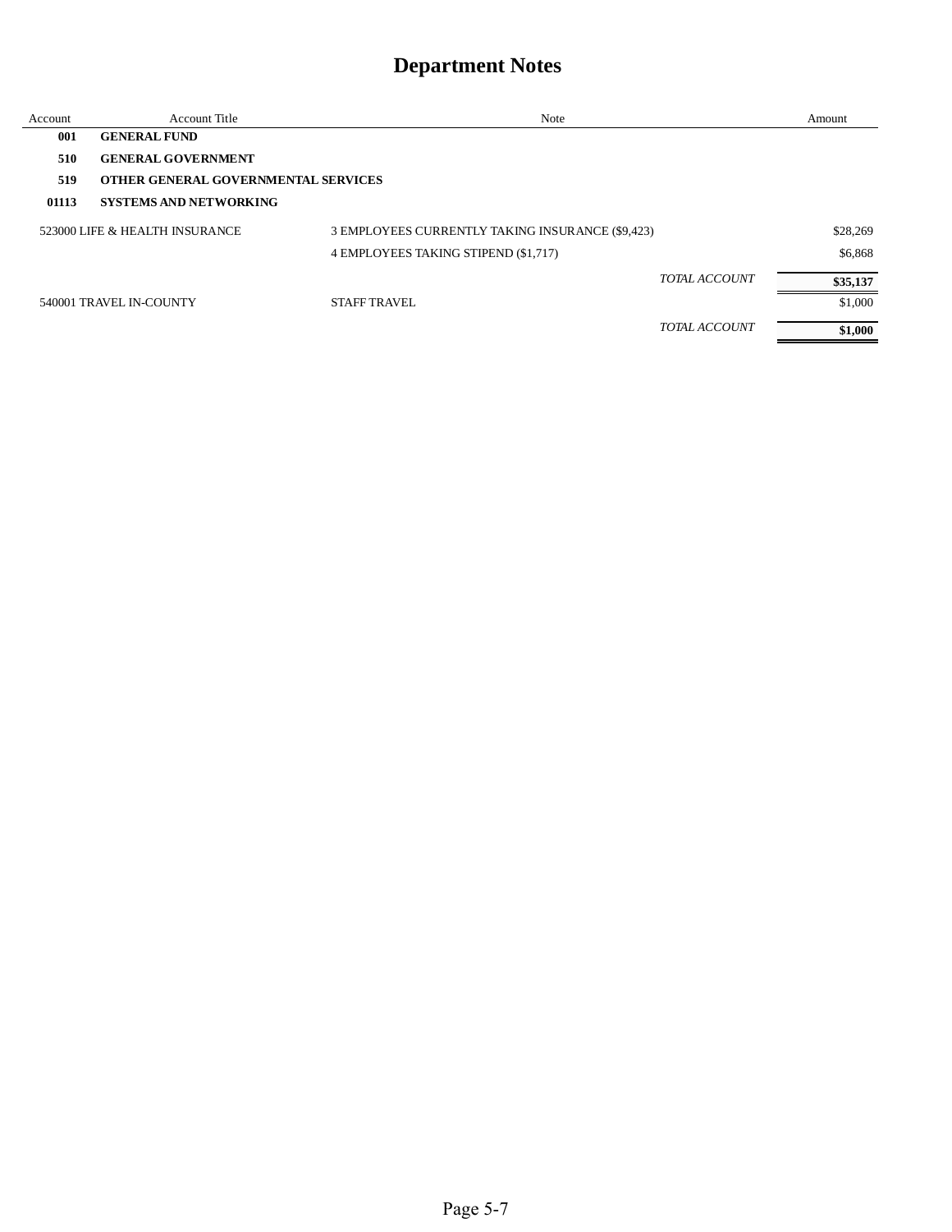| Account | <b>Account Title</b>                | <b>Note</b>                                      |                      | Amount   |
|---------|-------------------------------------|--------------------------------------------------|----------------------|----------|
| 001     | <b>GENERAL FUND</b>                 |                                                  |                      |          |
| 510     | <b>GENERAL GOVERNMENT</b>           |                                                  |                      |          |
| 519     | OTHER GENERAL GOVERNMENTAL SERVICES |                                                  |                      |          |
| 01113   | <b>SYSTEMS AND NETWORKING</b>       |                                                  |                      |          |
|         | 523000 LIFE & HEALTH INSURANCE      | 3 EMPLOYEES CURRENTLY TAKING INSURANCE (\$9,423) |                      | \$28,269 |
|         |                                     | 4 EMPLOYEES TAKING STIPEND (\$1,717)             |                      | \$6,868  |
|         |                                     |                                                  | <b>TOTAL ACCOUNT</b> | \$35,137 |
|         | 540001 TRAVEL IN-COUNTY             | <b>STAFF TRAVEL</b>                              |                      | \$1,000  |
|         |                                     |                                                  | <b>TOTAL ACCOUNT</b> | \$1,000  |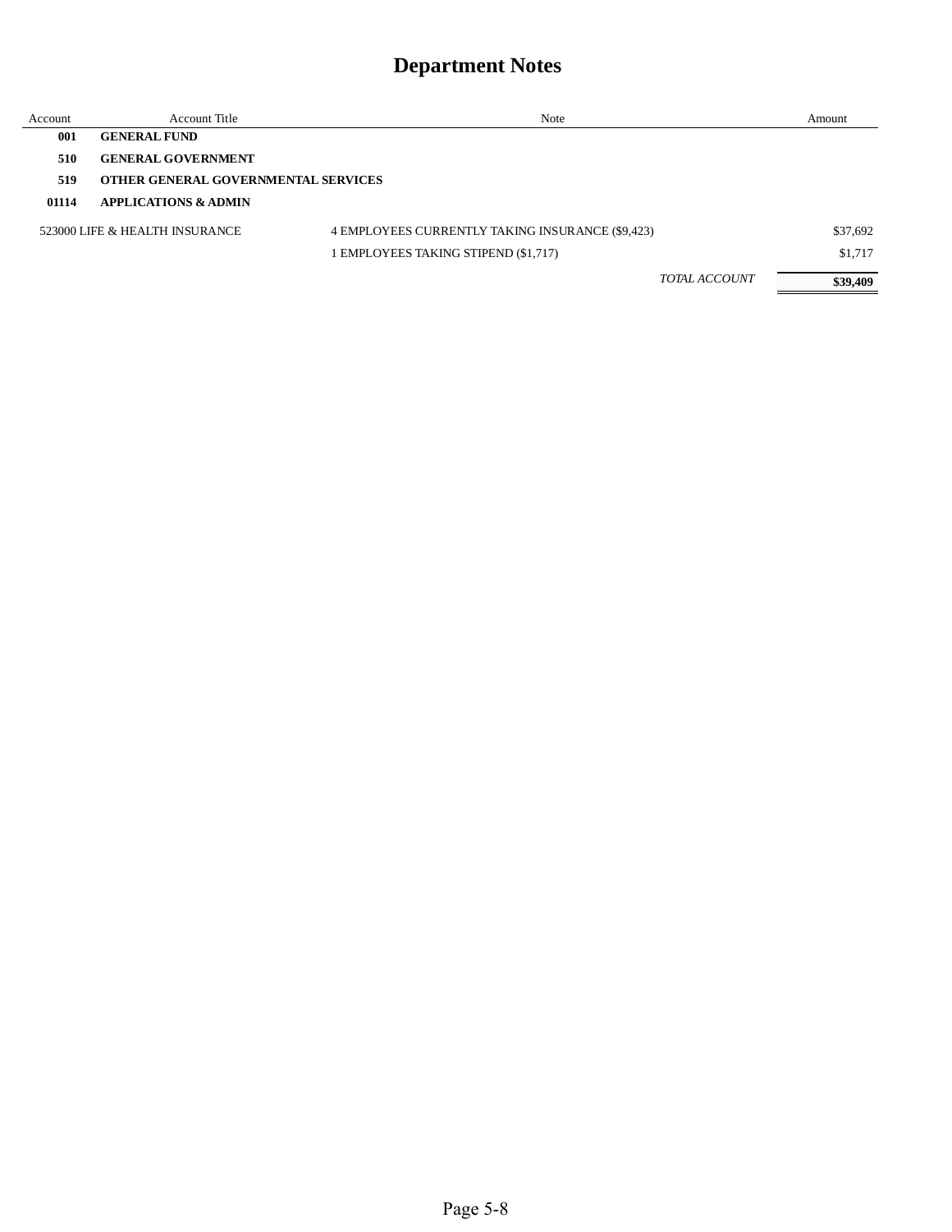| Account | Account Title                       | Note                                             | Amount   |
|---------|-------------------------------------|--------------------------------------------------|----------|
| 001     | <b>GENERAL FUND</b>                 |                                                  |          |
| 510     | <b>GENERAL GOVERNMENT</b>           |                                                  |          |
| 519     | OTHER GENERAL GOVERNMENTAL SERVICES |                                                  |          |
| 01114   | <b>APPLICATIONS &amp; ADMIN</b>     |                                                  |          |
|         | 523000 LIFE & HEALTH INSURANCE      | 4 EMPLOYEES CURRENTLY TAKING INSURANCE (\$9,423) | \$37,692 |
|         |                                     | 1 EMPLOYEES TAKING STIPEND (\$1,717)             | \$1,717  |
|         |                                     | <b>TOTAL ACCOUNT</b>                             | \$39,409 |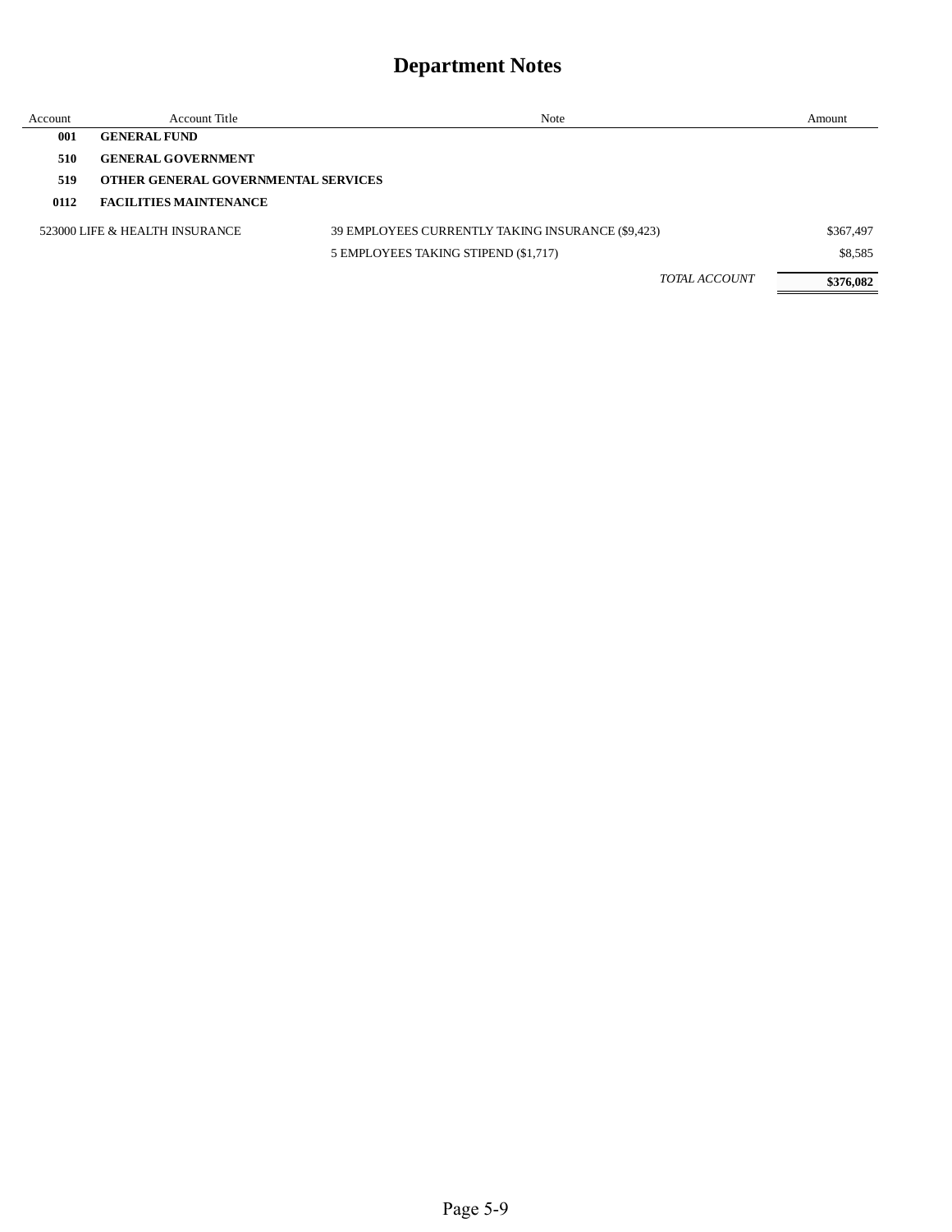| Account | Account Title                       | Note                                              | Amount    |
|---------|-------------------------------------|---------------------------------------------------|-----------|
| 001     | <b>GENERAL FUND</b>                 |                                                   |           |
| 510     | <b>GENERAL GOVERNMENT</b>           |                                                   |           |
| 519     | OTHER GENERAL GOVERNMENTAL SERVICES |                                                   |           |
| 0112    | <b>FACILITIES MAINTENANCE</b>       |                                                   |           |
|         | 523000 LIFE & HEALTH INSURANCE      | 39 EMPLOYEES CURRENTLY TAKING INSURANCE (\$9,423) | \$367,497 |
|         |                                     | 5 EMPLOYEES TAKING STIPEND (\$1,717)              | \$8,585   |
|         |                                     | <b>TOTAL ACCOUNT</b>                              | \$376,082 |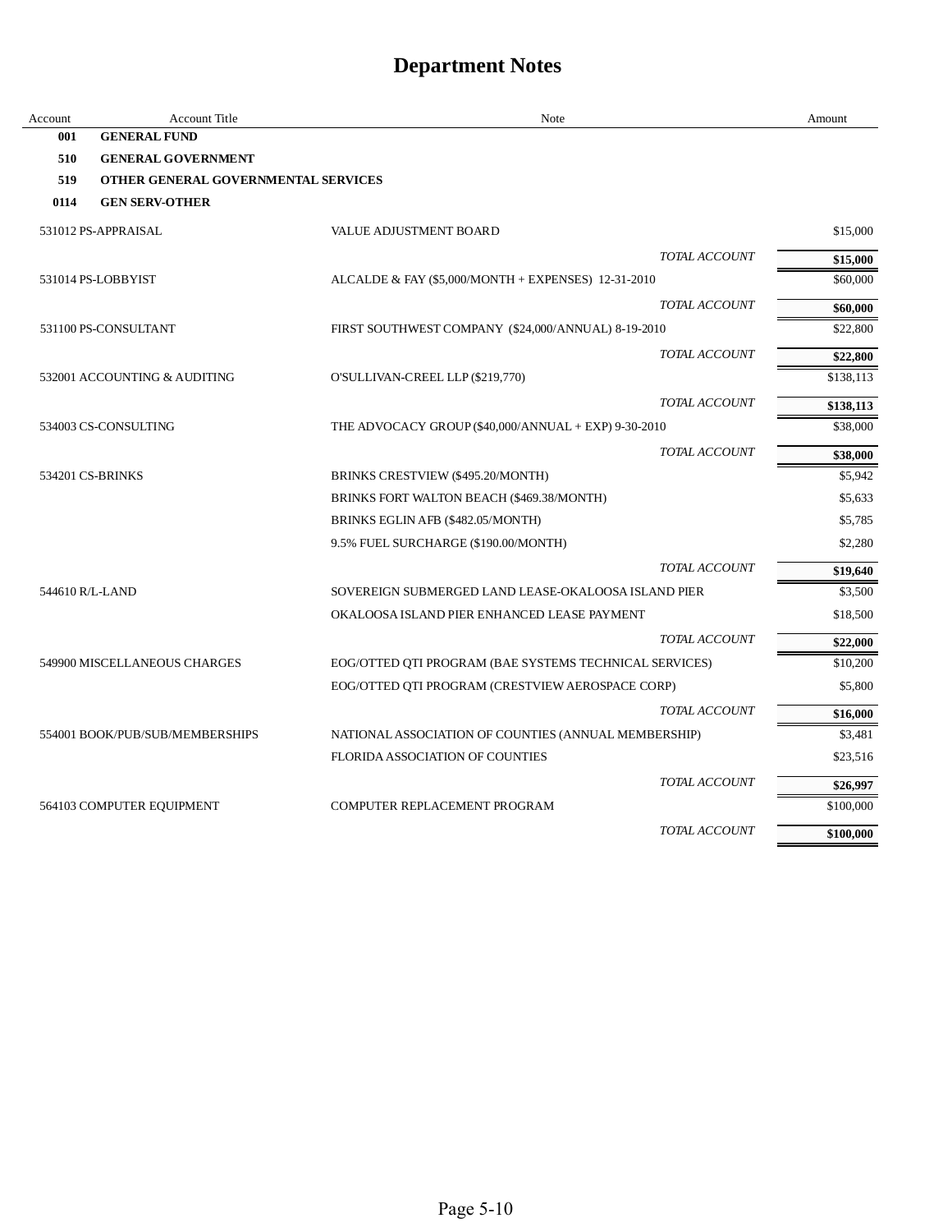| Account         | <b>Account Title</b>                | Note                                                   | Amount    |
|-----------------|-------------------------------------|--------------------------------------------------------|-----------|
| 001             | <b>GENERAL FUND</b>                 |                                                        |           |
| 510             | <b>GENERAL GOVERNMENT</b>           |                                                        |           |
| 519             | OTHER GENERAL GOVERNMENTAL SERVICES |                                                        |           |
| 0114            | <b>GEN SERV-OTHER</b>               |                                                        |           |
|                 | 531012 PS-APPRAISAL                 | VALUE ADJUSTMENT BOARD                                 | \$15,000  |
|                 |                                     | <b>TOTAL ACCOUNT</b>                                   | \$15,000  |
|                 | 531014 PS-LOBBYIST                  | ALCALDE & FAY $(\$5,000/MONTH + EXPENSES)$ 12-31-2010  | \$60,000  |
|                 |                                     | TOTAL ACCOUNT                                          | \$60,000  |
|                 | 531100 PS-CONSULTANT                | FIRST SOUTHWEST COMPANY (\$24,000/ANNUAL) 8-19-2010    | \$22,800  |
|                 |                                     | TOTAL ACCOUNT                                          | \$22,800  |
|                 | 532001 ACCOUNTING & AUDITING        | O'SULLIVAN-CREEL LLP (\$219,770)                       | \$138,113 |
|                 |                                     | TOTAL ACCOUNT                                          | \$138,113 |
|                 | 534003 CS-CONSULTING                | THE ADVOCACY GROUP (\$40,000/ANNUAL + EXP) 9-30-2010   | \$38,000  |
|                 |                                     | TOTAL ACCOUNT                                          | \$38,000  |
|                 | 534201 CS-BRINKS                    | BRINKS CRESTVIEW (\$495.20/MONTH)                      | \$5,942   |
|                 |                                     | BRINKS FORT WALTON BEACH (\$469.38/MONTH)              | \$5,633   |
|                 |                                     | BRINKS EGLIN AFB (\$482.05/MONTH)                      | \$5,785   |
|                 |                                     | 9.5% FUEL SURCHARGE (\$190.00/MONTH)                   | \$2,280   |
|                 |                                     | TOTAL ACCOUNT                                          | \$19,640  |
| 544610 R/L-LAND |                                     | SOVEREIGN SUBMERGED LAND LEASE-OKALOOSA ISLAND PIER    | \$3,500   |
|                 |                                     | OKALOOSA ISLAND PIER ENHANCED LEASE PAYMENT            | \$18,500  |
|                 |                                     | TOTAL ACCOUNT                                          | \$22,000  |
|                 | 549900 MISCELLANEOUS CHARGES        | EOG/OTTED QTI PROGRAM (BAE SYSTEMS TECHNICAL SERVICES) | \$10,200  |
|                 |                                     | EOG/OTTED QTI PROGRAM (CRESTVIEW AEROSPACE CORP)       | \$5,800   |
|                 |                                     | TOTAL ACCOUNT                                          | \$16,000  |
|                 | 554001 BOOK/PUB/SUB/MEMBERSHIPS     | NATIONAL ASSOCIATION OF COUNTIES (ANNUAL MEMBERSHIP)   | \$3,481   |
|                 |                                     | FLORIDA ASSOCIATION OF COUNTIES                        | \$23,516  |
|                 |                                     | <b>TOTAL ACCOUNT</b>                                   | \$26,997  |
|                 | 564103 COMPUTER EQUIPMENT           | COMPUTER REPLACEMENT PROGRAM                           | \$100,000 |
|                 |                                     | TOTAL ACCOUNT                                          | \$100,000 |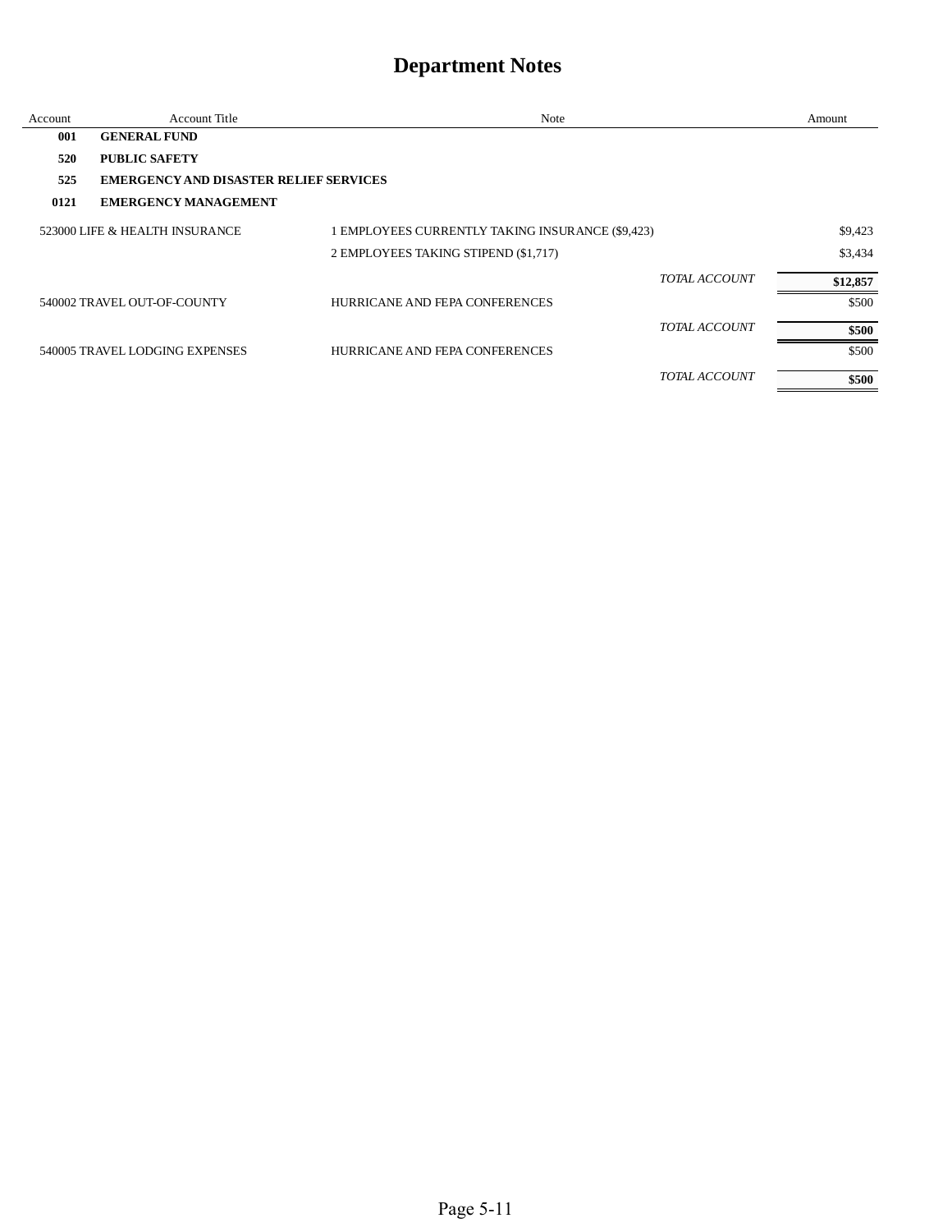| Account | <b>Account Title</b>                          | Note                                             |               | Amount   |
|---------|-----------------------------------------------|--------------------------------------------------|---------------|----------|
| 001     | <b>GENERAL FUND</b>                           |                                                  |               |          |
| 520     | <b>PUBLIC SAFETY</b>                          |                                                  |               |          |
| 525     | <b>EMERGENCY AND DISASTER RELIEF SERVICES</b> |                                                  |               |          |
| 0121    | <b>EMERGENCY MANAGEMENT</b>                   |                                                  |               |          |
|         | 523000 LIFE & HEALTH INSURANCE                | 1 EMPLOYEES CURRENTLY TAKING INSURANCE (\$9,423) |               | \$9,423  |
|         |                                               | 2 EMPLOYEES TAKING STIPEND (\$1,717)             |               | \$3,434  |
|         |                                               |                                                  | TOTAL ACCOUNT | \$12,857 |
|         | 540002 TRAVEL OUT-OF-COUNTY                   | HURRICANE AND FEPA CONFERENCES                   |               | \$500    |
|         |                                               |                                                  | TOTAL ACCOUNT | \$500    |
|         | 540005 TRAVEL LODGING EXPENSES                | HURRICANE AND FEPA CONFERENCES                   |               | \$500    |
|         |                                               |                                                  | TOTAL ACCOUNT | \$500    |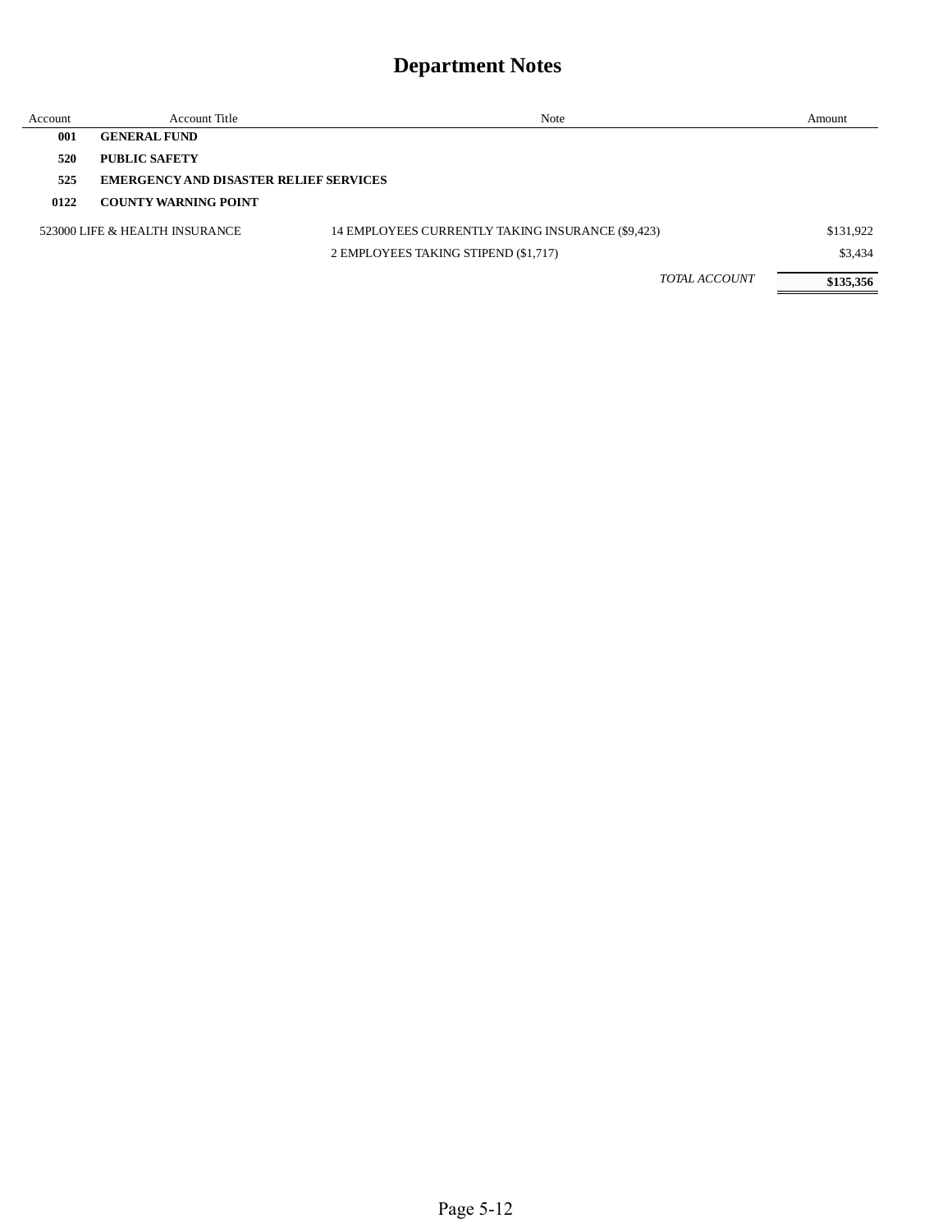| Account | Account Title                                 | Note                                              | Amount    |
|---------|-----------------------------------------------|---------------------------------------------------|-----------|
| 001     | <b>GENERAL FUND</b>                           |                                                   |           |
| 520     | <b>PUBLIC SAFETY</b>                          |                                                   |           |
| 525     | <b>EMERGENCY AND DISASTER RELIEF SERVICES</b> |                                                   |           |
| 0122    | <b>COUNTY WARNING POINT</b>                   |                                                   |           |
|         | 523000 LIFE & HEALTH INSURANCE                | 14 EMPLOYEES CURRENTLY TAKING INSURANCE (\$9,423) | \$131,922 |
|         |                                               | 2 EMPLOYEES TAKING STIPEND (\$1,717)              | \$3,434   |
|         |                                               | <b>TOTAL ACCOUNT</b>                              | \$135,356 |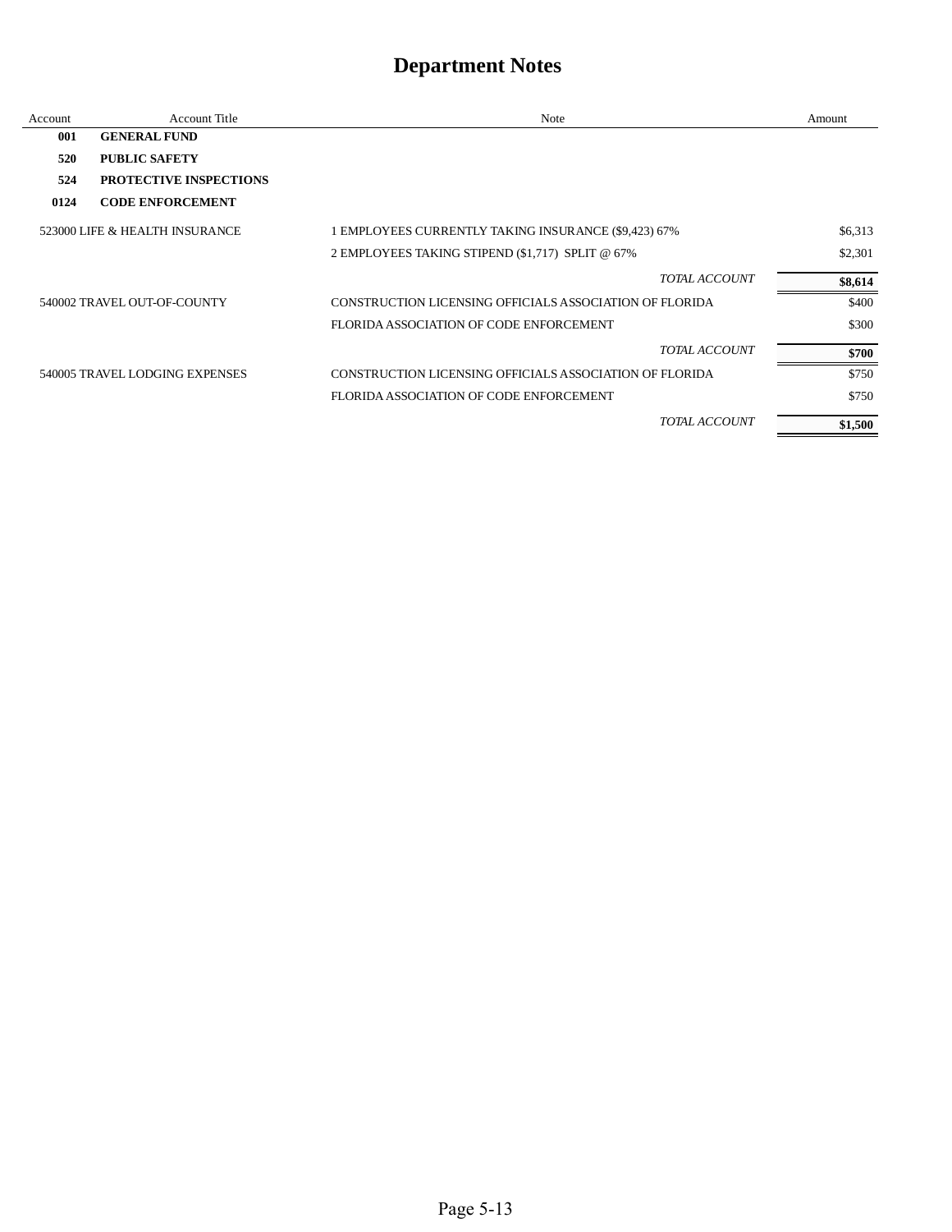| Account | <b>Account Title</b>           | Note                                                    | Amount  |
|---------|--------------------------------|---------------------------------------------------------|---------|
| 001     | <b>GENERAL FUND</b>            |                                                         |         |
| 520     | <b>PUBLIC SAFETY</b>           |                                                         |         |
| 524     | <b>PROTECTIVE INSPECTIONS</b>  |                                                         |         |
| 0124    | <b>CODE ENFORCEMENT</b>        |                                                         |         |
|         | 523000 LIFE & HEALTH INSURANCE | 1 EMPLOYEES CURRENTLY TAKING INSURANCE (\$9,423) 67%    | \$6,313 |
|         |                                | 2 EMPLOYEES TAKING STIPEND (\$1,717) SPLIT @ 67%        | \$2,301 |
|         |                                | TOTAL ACCOUNT                                           | \$8,614 |
|         | 540002 TRAVEL OUT-OF-COUNTY    | CONSTRUCTION LICENSING OFFICIALS ASSOCIATION OF FLORIDA | \$400   |
|         |                                | FLORIDA ASSOCIATION OF CODE ENFORCEMENT                 | \$300   |
|         |                                | TOTAL ACCOUNT                                           | \$700   |
|         | 540005 TRAVEL LODGING EXPENSES | CONSTRUCTION LICENSING OFFICIALS ASSOCIATION OF FLORIDA | \$750   |
|         |                                | FLORIDA ASSOCIATION OF CODE ENFORCEMENT                 | \$750   |
|         |                                | <b>TOTAL ACCOUNT</b>                                    | \$1,500 |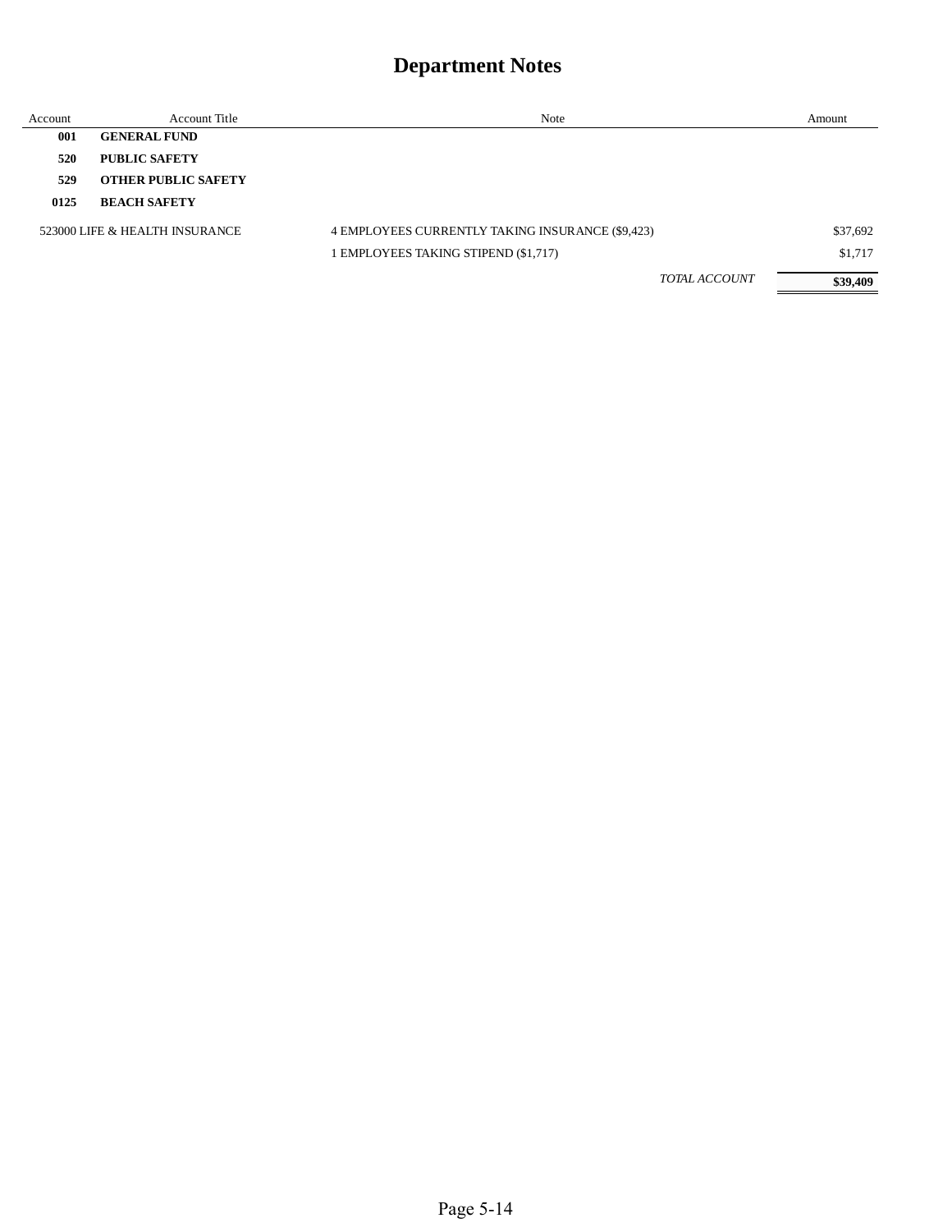| Account | Account Title                  | Note                                             | Amount   |
|---------|--------------------------------|--------------------------------------------------|----------|
| 001     | <b>GENERAL FUND</b>            |                                                  |          |
| 520     | <b>PUBLIC SAFETY</b>           |                                                  |          |
| 529     | <b>OTHER PUBLIC SAFETY</b>     |                                                  |          |
| 0125    | <b>BEACH SAFETY</b>            |                                                  |          |
|         | 523000 LIFE & HEALTH INSURANCE | 4 EMPLOYEES CURRENTLY TAKING INSURANCE (\$9,423) | \$37,692 |
|         |                                | 1 EMPLOYEES TAKING STIPEND (\$1,717)             | \$1,717  |
|         |                                | <b>TOTAL ACCOUNT</b>                             | \$39,409 |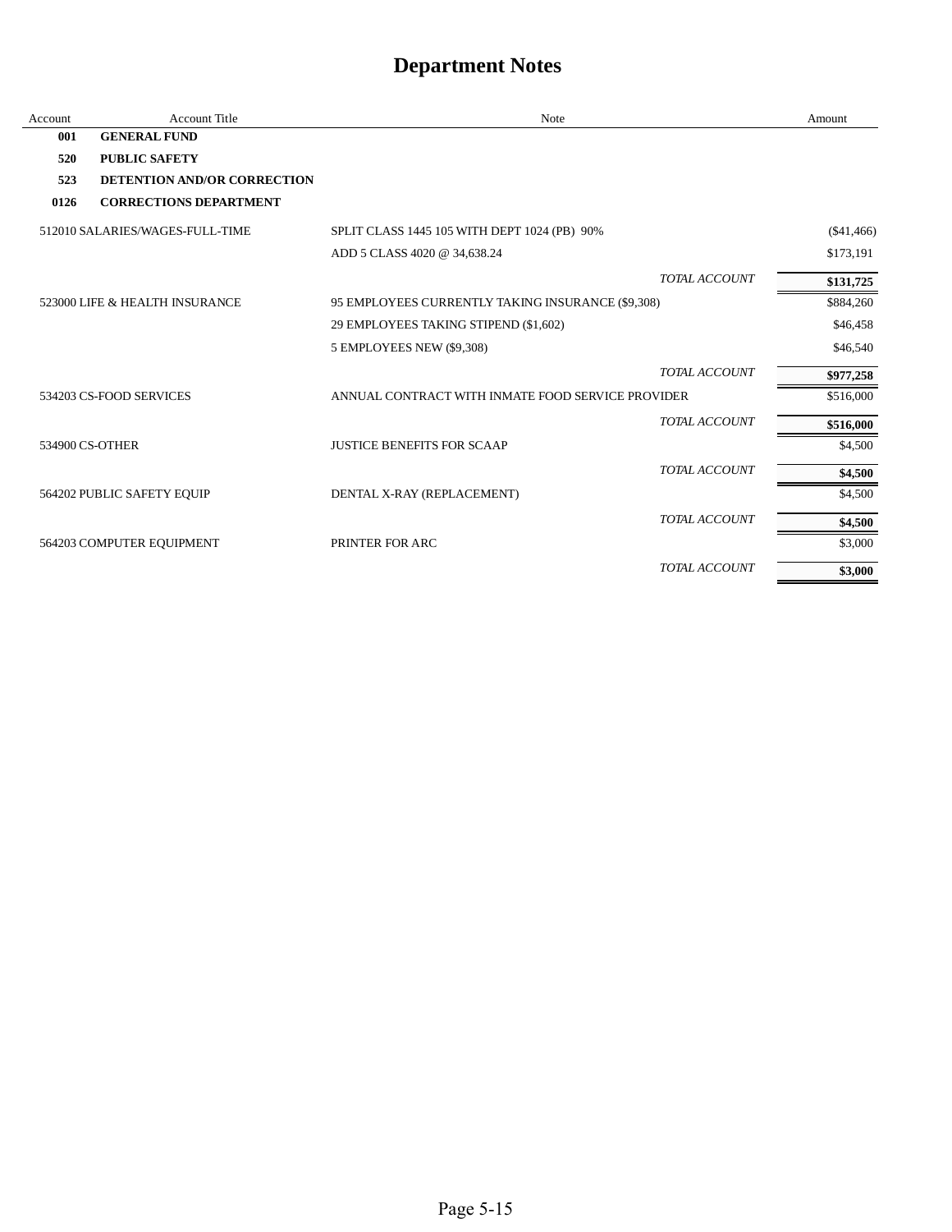| Account | <b>Account Title</b>               | <b>Note</b>                                       |                      | Amount      |
|---------|------------------------------------|---------------------------------------------------|----------------------|-------------|
| 001     | <b>GENERAL FUND</b>                |                                                   |                      |             |
| 520     | <b>PUBLIC SAFETY</b>               |                                                   |                      |             |
| 523     | <b>DETENTION AND/OR CORRECTION</b> |                                                   |                      |             |
| 0126    | <b>CORRECTIONS DEPARTMENT</b>      |                                                   |                      |             |
|         | 512010 SALARIES/WAGES-FULL-TIME    | SPLIT CLASS 1445 105 WITH DEPT 1024 (PB) 90%      |                      | ( \$41,466) |
|         |                                    | ADD 5 CLASS 4020 @ 34,638.24                      |                      | \$173,191   |
|         |                                    |                                                   | TOTAL ACCOUNT        | \$131,725   |
|         | 523000 LIFE & HEALTH INSURANCE     | 95 EMPLOYEES CURRENTLY TAKING INSURANCE (\$9,308) |                      | \$884,260   |
|         |                                    | 29 EMPLOYEES TAKING STIPEND (\$1,602)             |                      | \$46,458    |
|         |                                    | 5 EMPLOYEES NEW (\$9,308)                         |                      | \$46,540    |
|         |                                    |                                                   | TOTAL ACCOUNT        | \$977,258   |
|         | 534203 CS-FOOD SERVICES            | ANNUAL CONTRACT WITH INMATE FOOD SERVICE PROVIDER |                      | \$516,000   |
|         |                                    |                                                   | <b>TOTAL ACCOUNT</b> | \$516,000   |
|         | 534900 CS-OTHER                    | <b>JUSTICE BENEFITS FOR SCAAP</b>                 |                      | \$4,500     |
|         |                                    |                                                   | TOTAL ACCOUNT        | \$4,500     |
|         | 564202 PUBLIC SAFETY EQUIP         | DENTAL X-RAY (REPLACEMENT)                        |                      | \$4,500     |
|         |                                    |                                                   | TOTAL ACCOUNT        | \$4,500     |
|         | 564203 COMPUTER EQUIPMENT          | PRINTER FOR ARC                                   |                      | \$3,000     |
|         |                                    |                                                   | TOTAL ACCOUNT        | \$3,000     |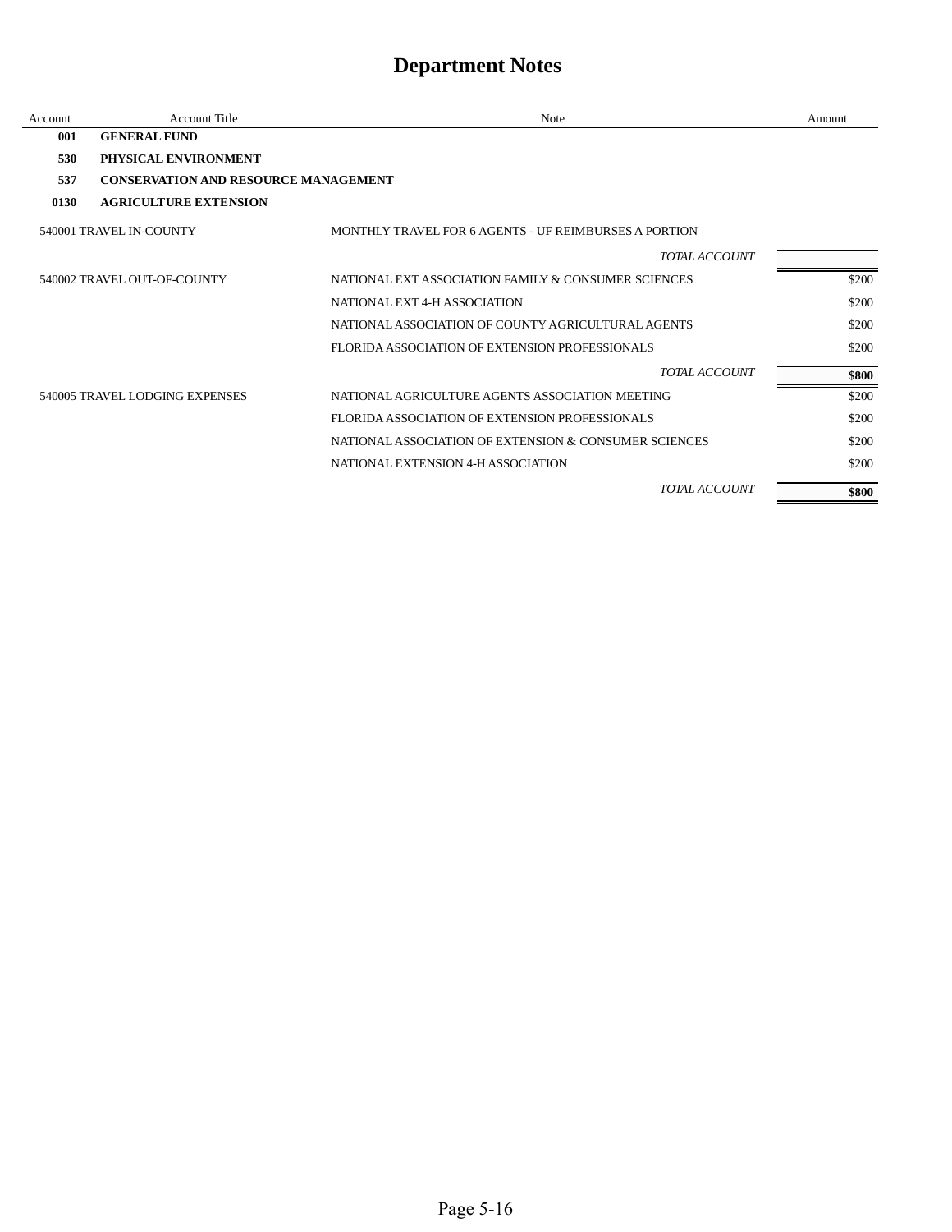| Account | Account Title                               | Note                                                  | Amount |
|---------|---------------------------------------------|-------------------------------------------------------|--------|
| 001     | <b>GENERAL FUND</b>                         |                                                       |        |
| 530     | PHYSICAL ENVIRONMENT                        |                                                       |        |
| 537     | <b>CONSERVATION AND RESOURCE MANAGEMENT</b> |                                                       |        |
| 0130    | <b>AGRICULTURE EXTENSION</b>                |                                                       |        |
|         | 540001 TRAVEL IN-COUNTY                     | MONTHLY TRAVEL FOR 6 AGENTS - UF REIMBURSES A PORTION |        |
|         |                                             | TOTAL ACCOUNT                                         |        |
|         | 540002 TRAVEL OUT-OF-COUNTY                 | NATIONAL EXT ASSOCIATION FAMILY & CONSUMER SCIENCES   | \$200  |
|         |                                             | NATIONAL EXT 4-H ASSOCIATION                          | \$200  |
|         |                                             | NATIONAL ASSOCIATION OF COUNTY AGRICULTURAL AGENTS    | \$200  |
|         |                                             | FLORIDA ASSOCIATION OF EXTENSION PROFESSIONALS        | \$200  |
|         |                                             | <b>TOTAL ACCOUNT</b>                                  | \$800  |
|         | 540005 TRAVEL LODGING EXPENSES              | NATIONAL AGRICULTURE AGENTS ASSOCIATION MEETING       | \$200  |
|         |                                             | FLORIDA ASSOCIATION OF EXTENSION PROFESSIONALS        | \$200  |
|         |                                             | NATIONAL ASSOCIATION OF EXTENSION & CONSUMER SCIENCES | \$200  |
|         |                                             | NATIONAL EXTENSION 4-H ASSOCIATION                    | \$200  |
|         |                                             | <b>TOTAL ACCOUNT</b>                                  | \$800  |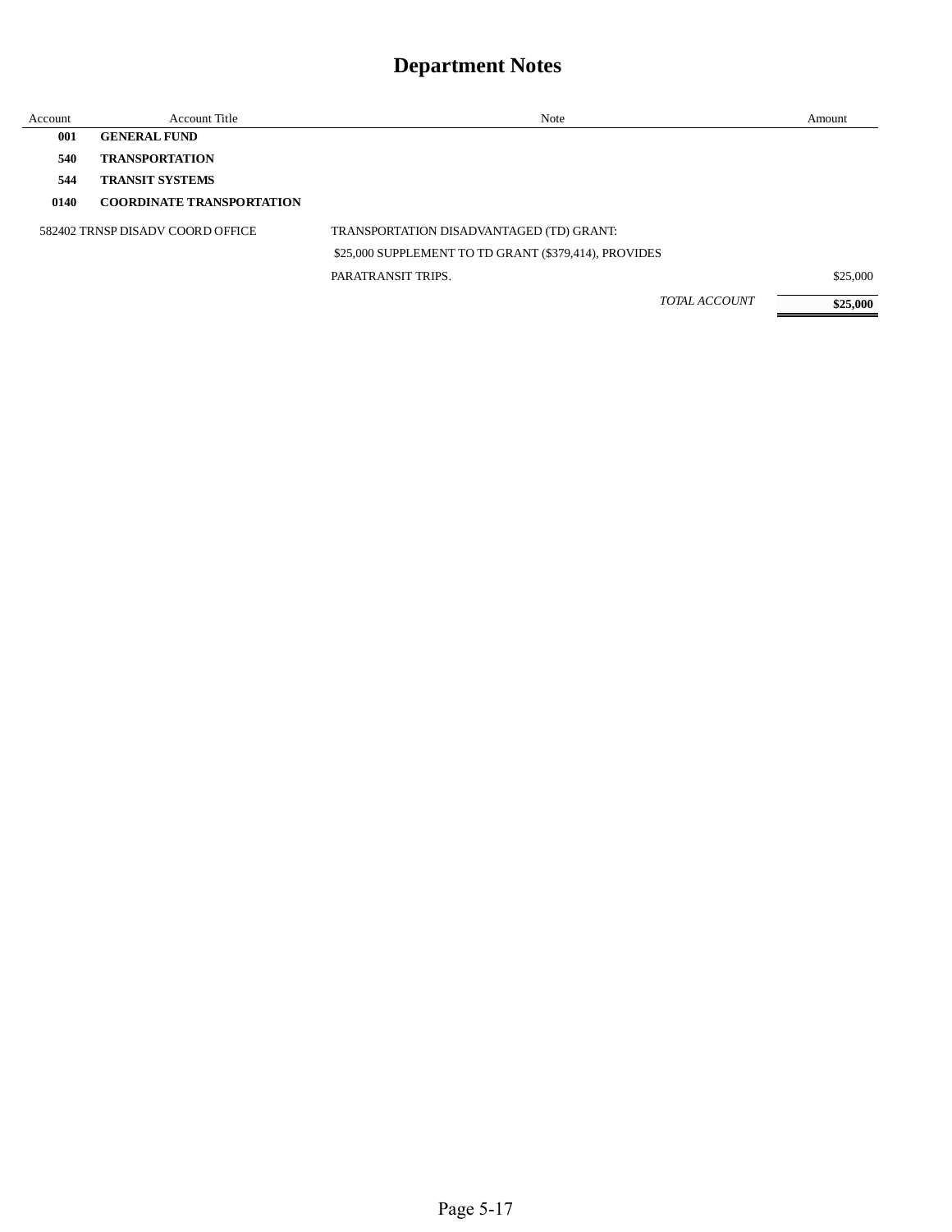| Account | <b>Account Title</b>             | Note                                                  | Amount   |
|---------|----------------------------------|-------------------------------------------------------|----------|
| 001     | <b>GENERAL FUND</b>              |                                                       |          |
| 540     | <b>TRANSPORTATION</b>            |                                                       |          |
| 544     | <b>TRANSIT SYSTEMS</b>           |                                                       |          |
| 0140    | <b>COORDINATE TRANSPORTATION</b> |                                                       |          |
|         | 582402 TRNSP DISADV COORD OFFICE | TRANSPORTATION DISADVANTAGED (TD) GRANT:              |          |
|         |                                  | \$25,000 SUPPLEMENT TO TD GRANT (\$379,414), PROVIDES |          |
|         |                                  | PARATRANSIT TRIPS.                                    | \$25,000 |
|         |                                  | <b>TOTAL ACCOUNT</b>                                  | \$25,000 |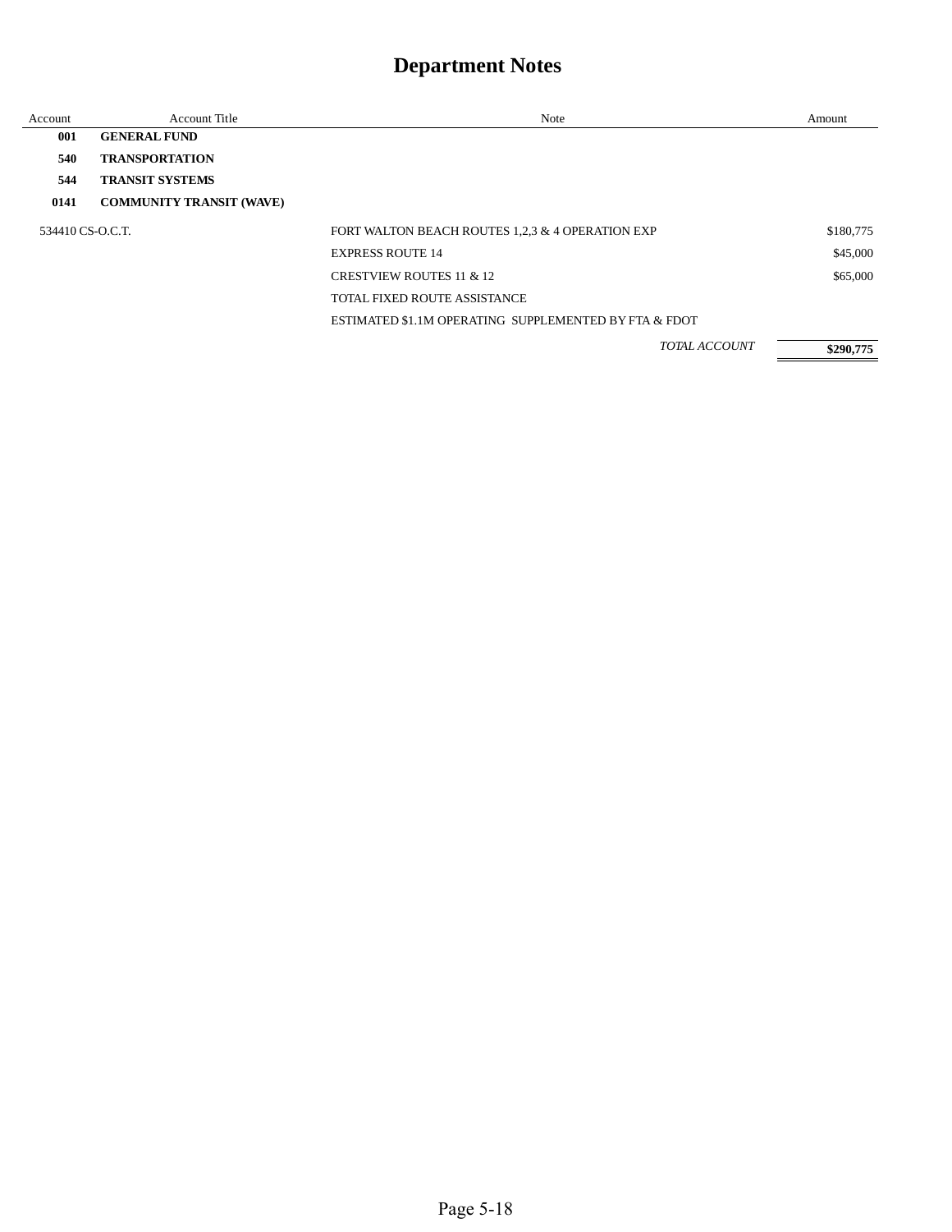| Account          | Account Title                   | Note                                                  | Amount    |
|------------------|---------------------------------|-------------------------------------------------------|-----------|
| 001              | <b>GENERAL FUND</b>             |                                                       |           |
| 540              | <b>TRANSPORTATION</b>           |                                                       |           |
| 544              | <b>TRANSIT SYSTEMS</b>          |                                                       |           |
| 0141             | <b>COMMUNITY TRANSIT (WAVE)</b> |                                                       |           |
| 534410 CS-O.C.T. |                                 | FORT WALTON BEACH ROUTES 1,2,3 & 4 OPERATION EXP      | \$180,775 |
|                  |                                 | <b>EXPRESS ROUTE 14</b>                               | \$45,000  |
|                  |                                 | <b>CRESTVIEW ROUTES 11 &amp; 12</b>                   | \$65,000  |
|                  |                                 | <b>TOTAL FIXED ROUTE ASSISTANCE</b>                   |           |
|                  |                                 | ESTIMATED \$1.1M OPERATING SUPPLEMENTED BY FTA & FDOT |           |
|                  |                                 | TOTAL ACCOUNT                                         | \$290,775 |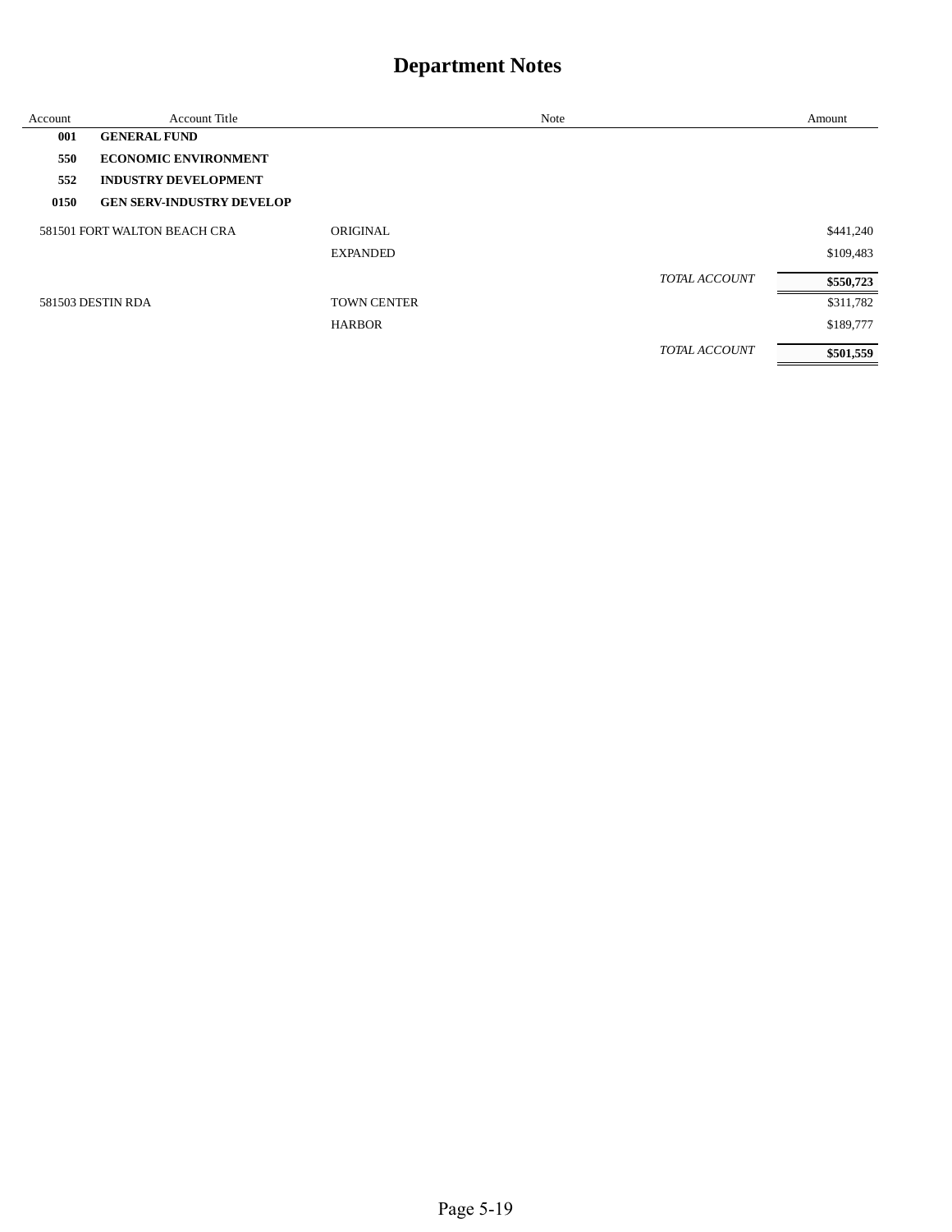| Account | <b>Account Title</b>             |                    | Note |               | Amount    |
|---------|----------------------------------|--------------------|------|---------------|-----------|
| 001     | <b>GENERAL FUND</b>              |                    |      |               |           |
| 550     | <b>ECONOMIC ENVIRONMENT</b>      |                    |      |               |           |
| 552     | <b>INDUSTRY DEVELOPMENT</b>      |                    |      |               |           |
| 0150    | <b>GEN SERV-INDUSTRY DEVELOP</b> |                    |      |               |           |
|         | 581501 FORT WALTON BEACH CRA     | ORIGINAL           |      |               | \$441,240 |
|         |                                  | <b>EXPANDED</b>    |      |               | \$109,483 |
|         |                                  |                    |      | TOTAL ACCOUNT | \$550,723 |
|         | 581503 DESTIN RDA                | <b>TOWN CENTER</b> |      |               | \$311,782 |
|         |                                  | <b>HARBOR</b>      |      |               | \$189,777 |
|         |                                  |                    |      | TOTAL ACCOUNT | \$501,559 |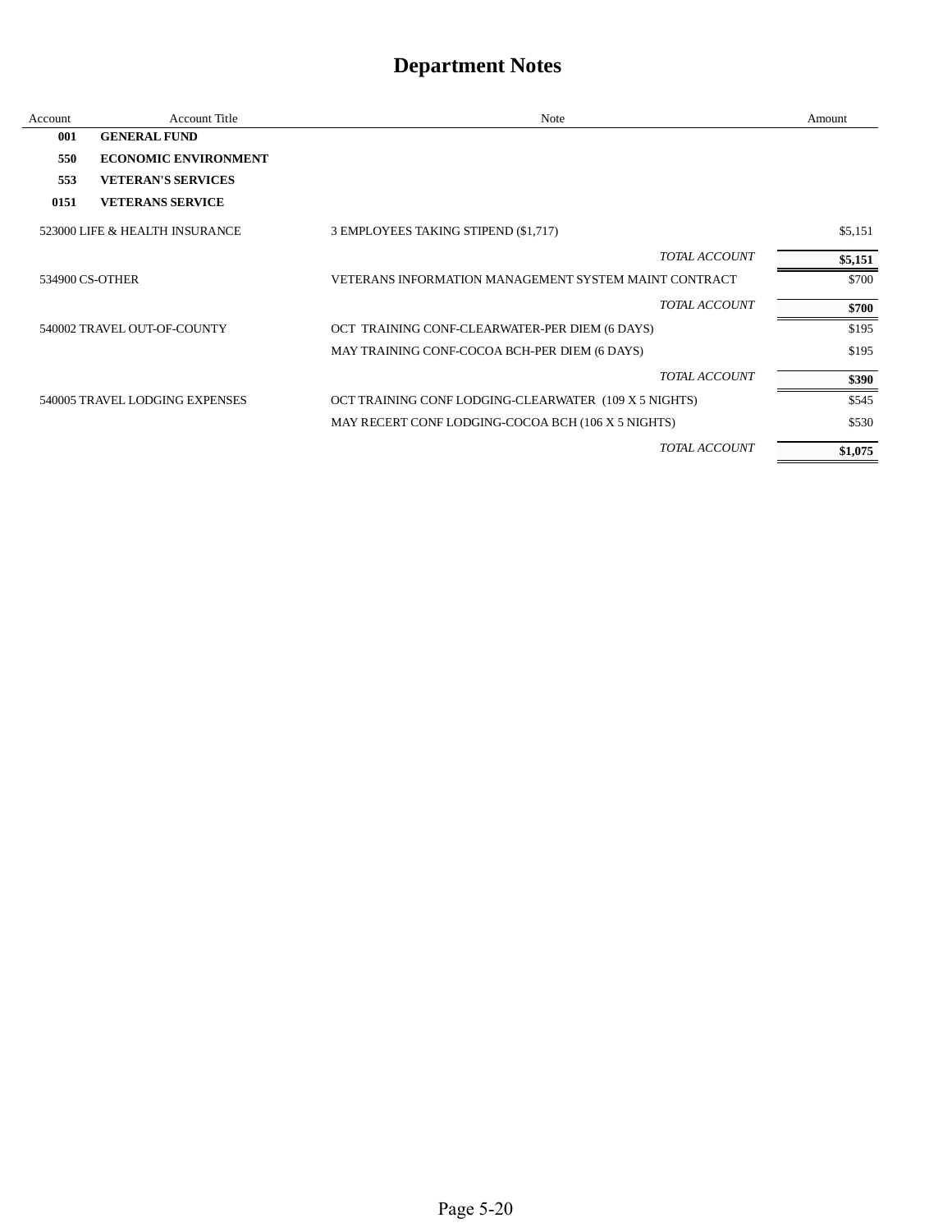| Account | Account Title                  | Note                                                  | Amount  |
|---------|--------------------------------|-------------------------------------------------------|---------|
| 001     | <b>GENERAL FUND</b>            |                                                       |         |
| 550     | <b>ECONOMIC ENVIRONMENT</b>    |                                                       |         |
| 553     | <b>VETERAN'S SERVICES</b>      |                                                       |         |
| 0151    | <b>VETERANS SERVICE</b>        |                                                       |         |
|         | 523000 LIFE & HEALTH INSURANCE | 3 EMPLOYEES TAKING STIPEND (\$1,717)                  | \$5,151 |
|         |                                | TOTAL ACCOUNT                                         | \$5,151 |
|         | 534900 CS-OTHER                | VETERANS INFORMATION MANAGEMENT SYSTEM MAINT CONTRACT | \$700   |
|         |                                | TOTAL ACCOUNT                                         | \$700   |
|         | 540002 TRAVEL OUT-OF-COUNTY    | OCT TRAINING CONF-CLEARWATER-PER DIEM (6 DAYS)        | \$195   |
|         |                                | MAY TRAINING CONF-COCOA BCH-PER DIEM (6 DAYS)         | \$195   |
|         |                                | <b>TOTAL ACCOUNT</b>                                  | \$390   |
|         | 540005 TRAVEL LODGING EXPENSES | OCT TRAINING CONF LODGING-CLEARWATER (109 X 5 NIGHTS) | \$545   |
|         |                                | MAY RECERT CONF LODGING-COCOA BCH (106 X 5 NIGHTS)    | \$530   |
|         |                                | <b>TOTAL ACCOUNT</b>                                  | \$1,075 |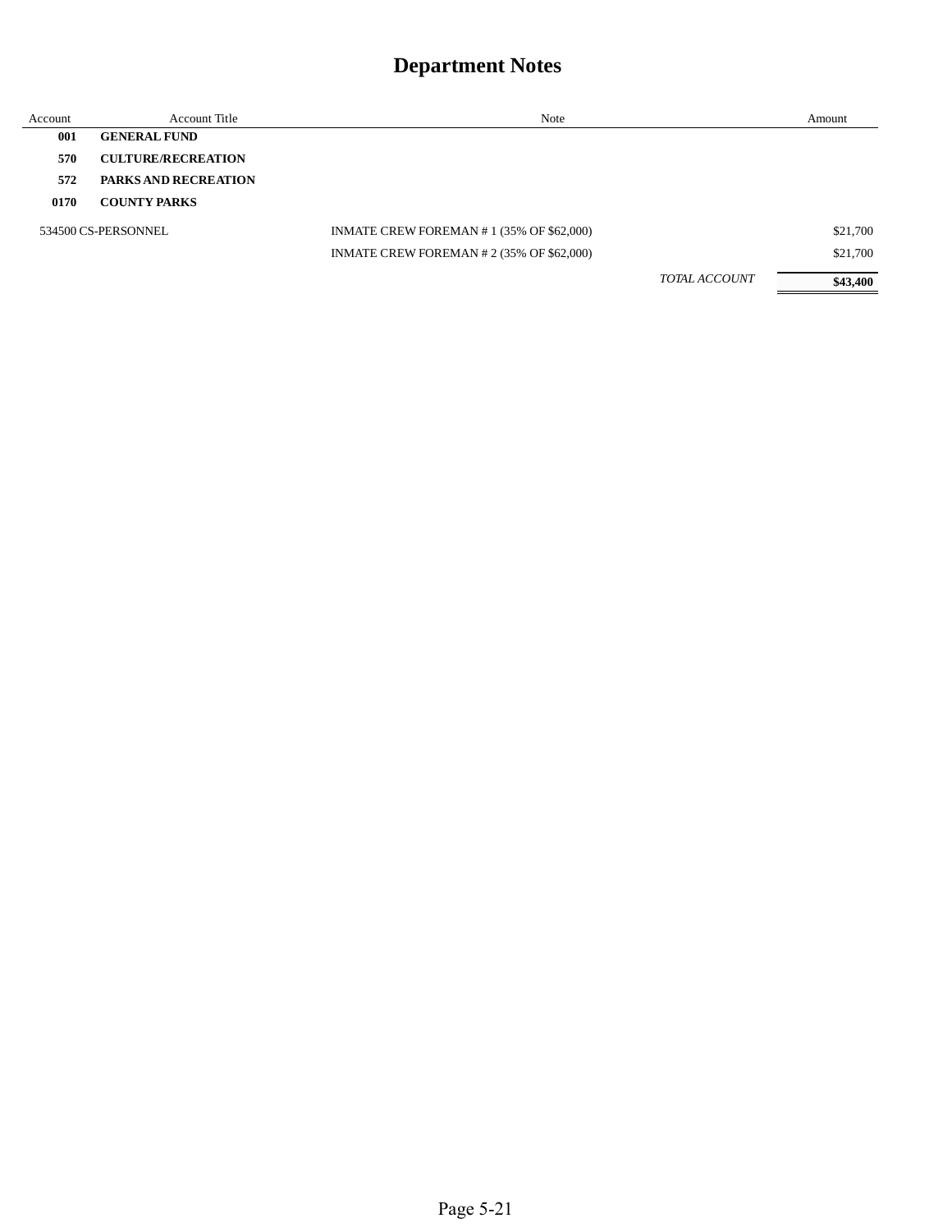| Account | Account Title               | Note                                      |                      | Amount   |
|---------|-----------------------------|-------------------------------------------|----------------------|----------|
| 001     | <b>GENERAL FUND</b>         |                                           |                      |          |
| 570     | <b>CULTURE/RECREATION</b>   |                                           |                      |          |
| 572     | <b>PARKS AND RECREATION</b> |                                           |                      |          |
| 0170    | <b>COUNTY PARKS</b>         |                                           |                      |          |
|         | 534500 CS-PERSONNEL         | INMATE CREW FOREMAN #1 (35% OF \$62,000)  |                      | \$21,700 |
|         |                             | INMATE CREW FOREMAN # 2 (35% OF \$62,000) |                      | \$21,700 |
|         |                             |                                           | <b>TOTAL ACCOUNT</b> | \$43,400 |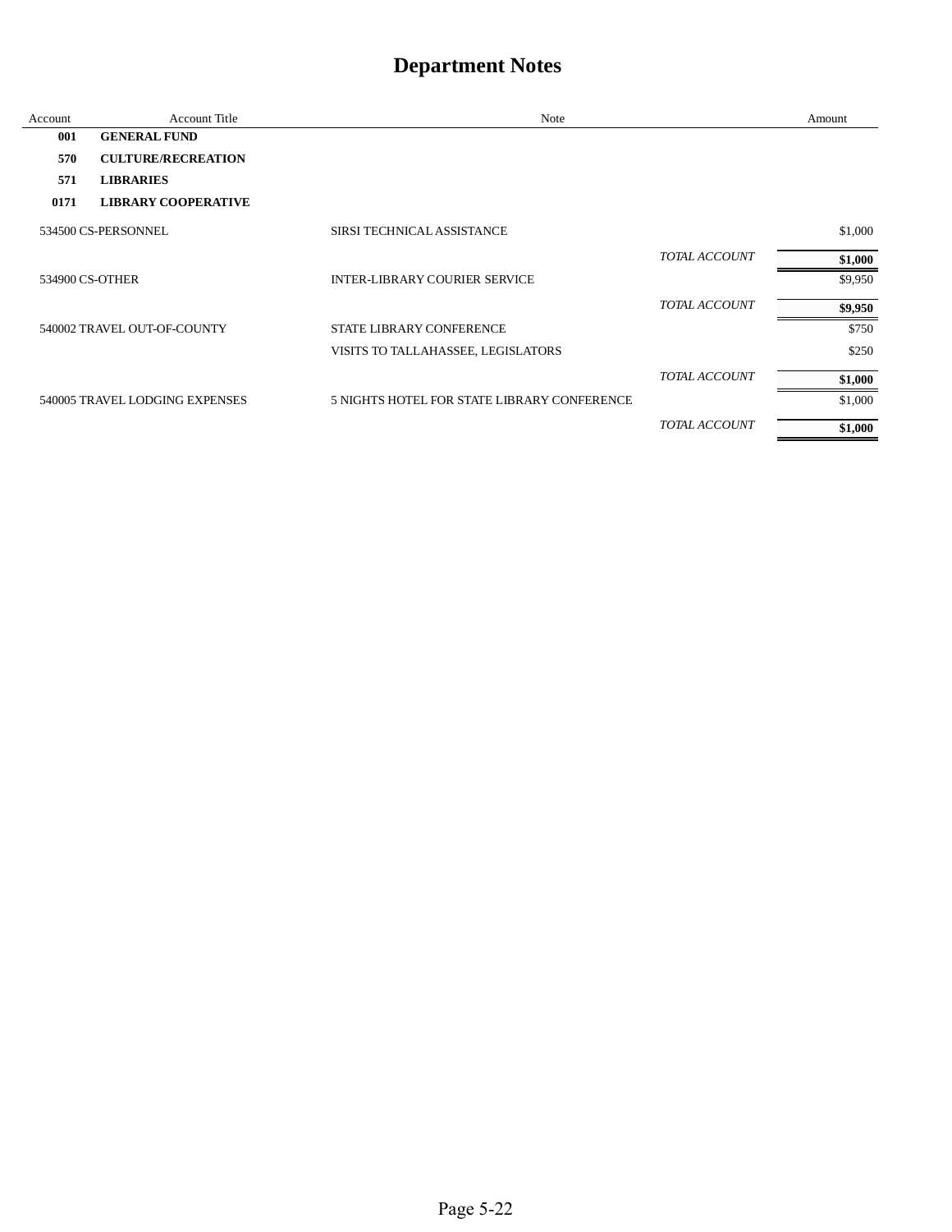| Account | <b>Account Title</b>           | Note                                        |                      | Amount  |
|---------|--------------------------------|---------------------------------------------|----------------------|---------|
| 001     | <b>GENERAL FUND</b>            |                                             |                      |         |
| 570     | <b>CULTURE/RECREATION</b>      |                                             |                      |         |
| 571     | <b>LIBRARIES</b>               |                                             |                      |         |
| 0171    | <b>LIBRARY COOPERATIVE</b>     |                                             |                      |         |
|         | 534500 CS-PERSONNEL            | SIRSI TECHNICAL ASSISTANCE                  |                      | \$1,000 |
|         |                                |                                             | <b>TOTAL ACCOUNT</b> | \$1,000 |
|         | 534900 CS-OTHER                | <b>INTER-LIBRARY COURIER SERVICE</b>        |                      | \$9,950 |
|         |                                |                                             | <b>TOTAL ACCOUNT</b> | \$9,950 |
|         | 540002 TRAVEL OUT-OF-COUNTY    | <b>STATE LIBRARY CONFERENCE</b>             |                      | \$750   |
|         |                                | VISITS TO TALLAHASSEE, LEGISLATORS          |                      | \$250   |
|         |                                |                                             | TOTAL ACCOUNT        | \$1,000 |
|         | 540005 TRAVEL LODGING EXPENSES | 5 NIGHTS HOTEL FOR STATE LIBRARY CONFERENCE |                      | \$1,000 |
|         |                                |                                             | TOTAL ACCOUNT        | \$1,000 |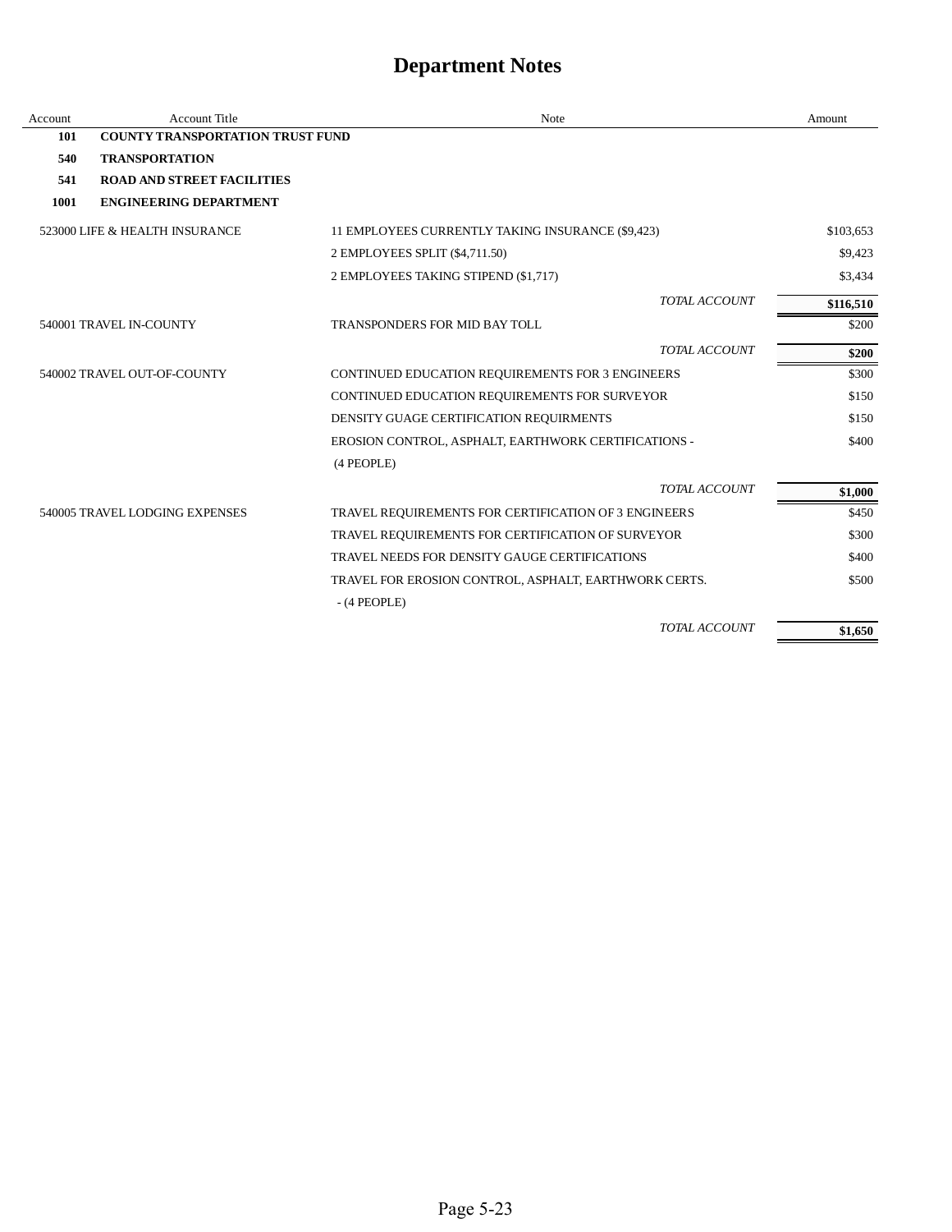| Account | <b>Account Title</b>                    | Note                                                  | Amount    |
|---------|-----------------------------------------|-------------------------------------------------------|-----------|
| 101     | <b>COUNTY TRANSPORTATION TRUST FUND</b> |                                                       |           |
| 540     | <b>TRANSPORTATION</b>                   |                                                       |           |
| 541     | <b>ROAD AND STREET FACILITIES</b>       |                                                       |           |
| 1001    | <b>ENGINEERING DEPARTMENT</b>           |                                                       |           |
|         | 523000 LIFE & HEALTH INSURANCE          | 11 EMPLOYEES CURRENTLY TAKING INSURANCE (\$9,423)     | \$103,653 |
|         |                                         | 2 EMPLOYEES SPLIT (\$4,711.50)                        | \$9,423   |
|         |                                         | 2 EMPLOYEES TAKING STIPEND (\$1,717)                  | \$3,434   |
|         |                                         | TOTAL ACCOUNT                                         | \$116,510 |
|         | 540001 TRAVEL IN-COUNTY                 | TRANSPONDERS FOR MID BAY TOLL                         | \$200     |
|         |                                         | TOTAL ACCOUNT                                         | \$200     |
|         | 540002 TRAVEL OUT-OF-COUNTY             | CONTINUED EDUCATION REQUIREMENTS FOR 3 ENGINEERS      | \$300     |
|         |                                         | CONTINUED EDUCATION REQUIREMENTS FOR SURVEYOR         | \$150     |
|         |                                         | DENSITY GUAGE CERTIFICATION REQUIRMENTS               | \$150     |
|         |                                         | EROSION CONTROL, ASPHALT, EARTHWORK CERTIFICATIONS -  | \$400     |
|         |                                         | (4 PEOPLE)                                            |           |
|         |                                         | TOTAL ACCOUNT                                         | \$1,000   |
|         | 540005 TRAVEL LODGING EXPENSES          | TRAVEL REQUIREMENTS FOR CERTIFICATION OF 3 ENGINEERS  | \$450     |
|         |                                         | TRAVEL REQUIREMENTS FOR CERTIFICATION OF SURVEYOR     | \$300     |
|         |                                         | TRAVEL NEEDS FOR DENSITY GAUGE CERTIFICATIONS         | \$400     |
|         |                                         | TRAVEL FOR EROSION CONTROL, ASPHALT, EARTHWORK CERTS. | \$500     |
|         |                                         | $-$ (4 PEOPLE)                                        |           |
|         |                                         | <b>TOTAL ACCOUNT</b>                                  | \$1,650   |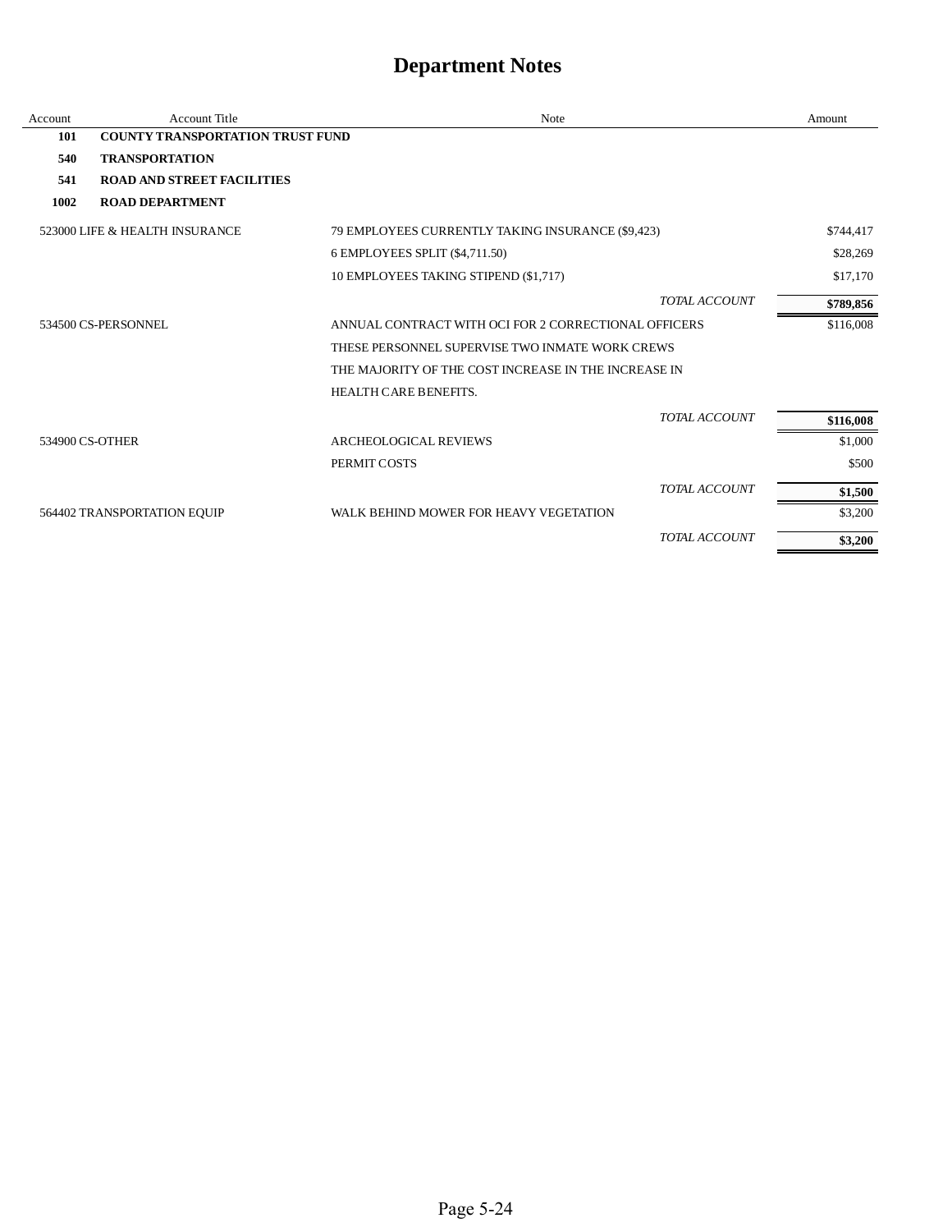| Account | <b>Account Title</b>                    | <b>Note</b>                                          |                      | Amount    |
|---------|-----------------------------------------|------------------------------------------------------|----------------------|-----------|
| 101     | <b>COUNTY TRANSPORTATION TRUST FUND</b> |                                                      |                      |           |
| 540     | <b>TRANSPORTATION</b>                   |                                                      |                      |           |
| 541     | <b>ROAD AND STREET FACILITIES</b>       |                                                      |                      |           |
| 1002    | <b>ROAD DEPARTMENT</b>                  |                                                      |                      |           |
|         | 523000 LIFE & HEALTH INSURANCE          | 79 EMPLOYEES CURRENTLY TAKING INSURANCE (\$9,423)    |                      | \$744,417 |
|         |                                         | 6 EMPLOYEES SPLIT (\$4,711.50)                       |                      | \$28,269  |
|         |                                         | 10 EMPLOYEES TAKING STIPEND (\$1,717)                |                      | \$17,170  |
|         |                                         |                                                      | TOTAL ACCOUNT        | \$789,856 |
|         | 534500 CS-PERSONNEL                     | ANNUAL CONTRACT WITH OCI FOR 2 CORRECTIONAL OFFICERS |                      | \$116,008 |
|         |                                         | THESE PERSONNEL SUPERVISE TWO INMATE WORK CREWS      |                      |           |
|         |                                         | THE MAJORITY OF THE COST INCREASE IN THE INCREASE IN |                      |           |
|         |                                         | HEALTH CARE BENEFITS.                                |                      |           |
|         |                                         |                                                      | <b>TOTAL ACCOUNT</b> | \$116,008 |
|         | 534900 CS-OTHER                         | <b>ARCHEOLOGICAL REVIEWS</b>                         |                      | \$1,000   |
|         |                                         | PERMIT COSTS                                         |                      | \$500     |
|         |                                         |                                                      | TOTAL ACCOUNT        | \$1,500   |
|         | 564402 TRANSPORTATION EQUIP             | WALK BEHIND MOWER FOR HEAVY VEGETATION               |                      | \$3,200   |
|         |                                         |                                                      | TOTAL ACCOUNT        | \$3,200   |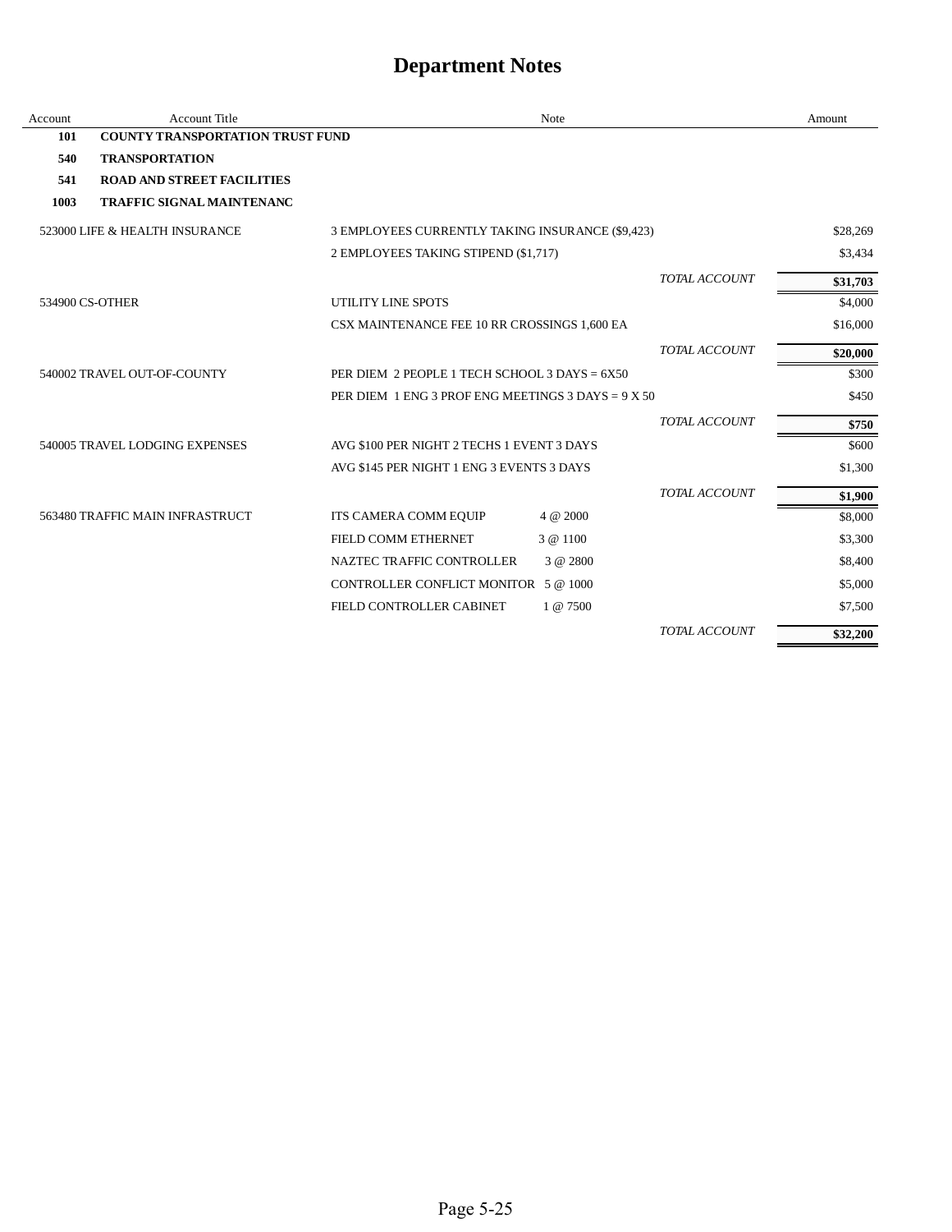| Account | <b>Account Title</b>                    |                                                      | Note     |                      | Amount   |
|---------|-----------------------------------------|------------------------------------------------------|----------|----------------------|----------|
| 101     | <b>COUNTY TRANSPORTATION TRUST FUND</b> |                                                      |          |                      |          |
| 540     | <b>TRANSPORTATION</b>                   |                                                      |          |                      |          |
| 541     | <b>ROAD AND STREET FACILITIES</b>       |                                                      |          |                      |          |
| 1003    | <b>TRAFFIC SIGNAL MAINTENANC</b>        |                                                      |          |                      |          |
|         | 523000 LIFE & HEALTH INSURANCE          | 3 EMPLOYEES CURRENTLY TAKING INSURANCE (\$9,423)     |          |                      | \$28,269 |
|         |                                         | 2 EMPLOYEES TAKING STIPEND (\$1,717)                 |          |                      | \$3,434  |
|         |                                         |                                                      |          | TOTAL ACCOUNT        | \$31,703 |
|         | 534900 CS-OTHER                         | UTILITY LINE SPOTS                                   |          |                      | \$4,000  |
|         |                                         | CSX MAINTENANCE FEE 10 RR CROSSINGS 1,600 EA         |          |                      | \$16,000 |
|         |                                         |                                                      |          | TOTAL ACCOUNT        | \$20,000 |
|         | 540002 TRAVEL OUT-OF-COUNTY             | PER DIEM 2 PEOPLE 1 TECH SCHOOL 3 DAYS = 6X50        |          |                      | \$300    |
|         |                                         | PER DIEM 1 ENG 3 PROF ENG MEETINGS 3 DAYS = $9 X 50$ |          |                      | \$450    |
|         |                                         |                                                      |          | TOTAL ACCOUNT        | \$750    |
|         | 540005 TRAVEL LODGING EXPENSES          | AVG \$100 PER NIGHT 2 TECHS 1 EVENT 3 DAYS           |          |                      | \$600    |
|         |                                         | AVG \$145 PER NIGHT 1 ENG 3 EVENTS 3 DAYS            |          |                      | \$1,300  |
|         |                                         |                                                      |          | TOTAL ACCOUNT        | \$1,900  |
|         | 563480 TRAFFIC MAIN INFRASTRUCT         | ITS CAMERA COMM EQUIP                                | 4 @ 2000 |                      | \$8,000  |
|         |                                         | FIELD COMM ETHERNET                                  | 3 @ 1100 |                      | \$3,300  |
|         |                                         | NAZTEC TRAFFIC CONTROLLER                            | 3 @ 2800 |                      | \$8,400  |
|         |                                         | CONTROLLER CONFLICT MONITOR 5 @ 1000                 |          |                      | \$5,000  |
|         |                                         | FIELD CONTROLLER CABINET                             | 1 @ 7500 |                      | \$7,500  |
|         |                                         |                                                      |          | <b>TOTAL ACCOUNT</b> | \$32,200 |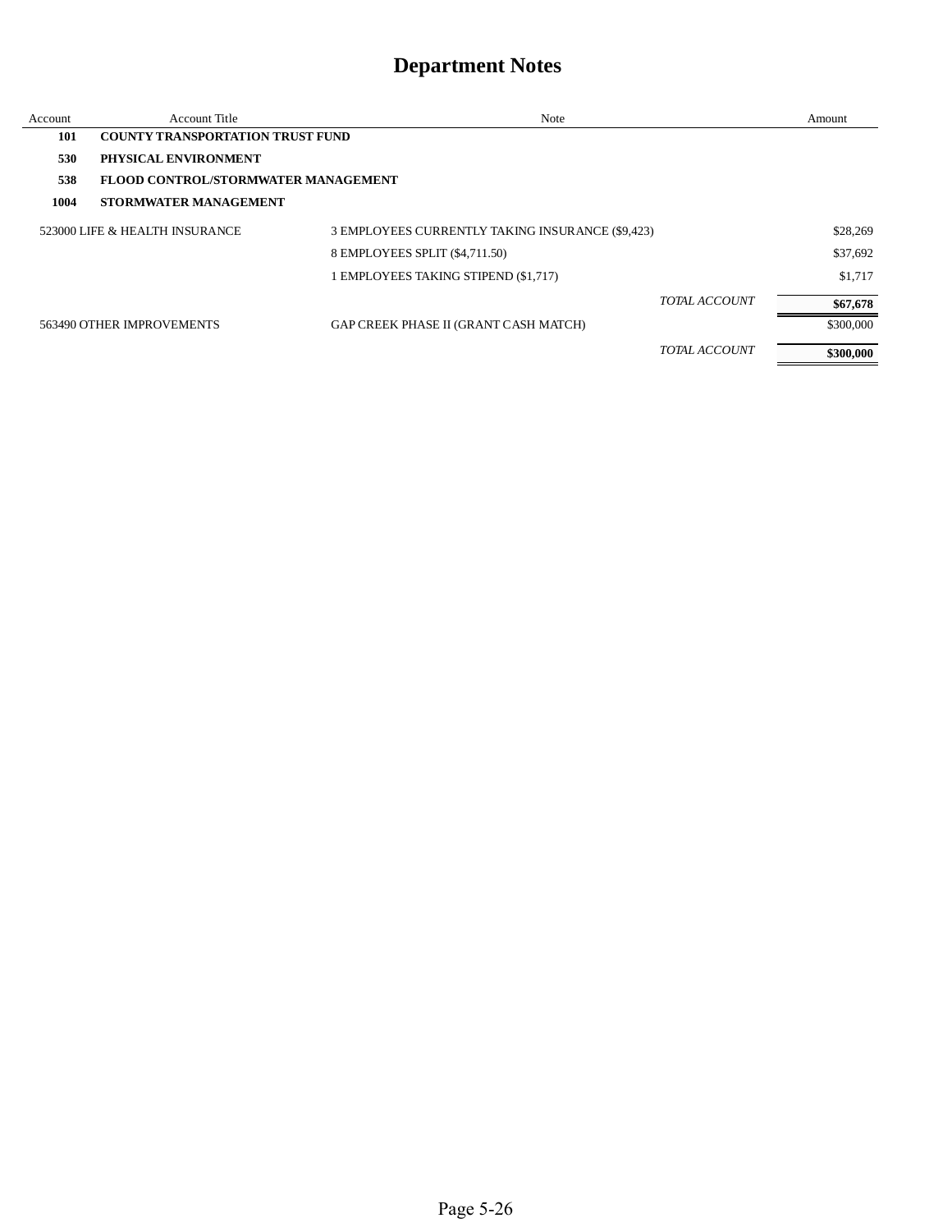| Account | Account Title                           | Note                                             |               | Amount    |
|---------|-----------------------------------------|--------------------------------------------------|---------------|-----------|
| 101     | <b>COUNTY TRANSPORTATION TRUST FUND</b> |                                                  |               |           |
| 530     | PHYSICAL ENVIRONMENT                    |                                                  |               |           |
| 538     | FLOOD CONTROL/STORMWATER MANAGEMENT     |                                                  |               |           |
| 1004    | <b>STORMWATER MANAGEMENT</b>            |                                                  |               |           |
|         | 523000 LIFE & HEALTH INSURANCE          | 3 EMPLOYEES CURRENTLY TAKING INSURANCE (\$9,423) |               | \$28,269  |
|         |                                         | 8 EMPLOYEES SPLIT (\$4,711.50)                   |               | \$37,692  |
|         |                                         | 1 EMPLOYEES TAKING STIPEND (\$1,717)             |               | \$1.717   |
|         |                                         |                                                  | TOTAL ACCOUNT | \$67,678  |
|         | 563490 OTHER IMPROVEMENTS               | GAP CREEK PHASE II (GRANT CASH MATCH)            |               | \$300,000 |
|         |                                         |                                                  | TOTAL ACCOUNT | \$300,000 |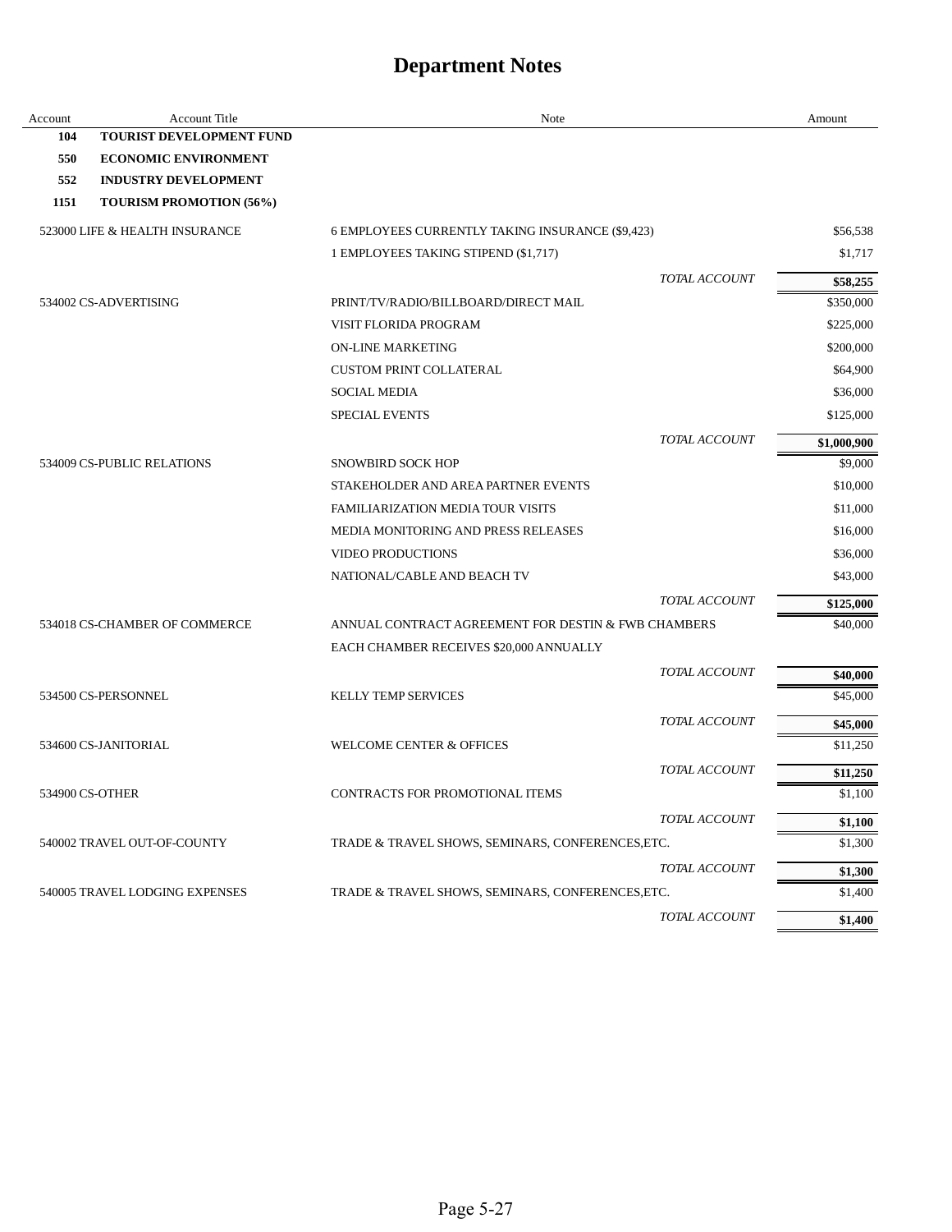| Account | <b>Account Title</b>            | Note                                                | Amount             |
|---------|---------------------------------|-----------------------------------------------------|--------------------|
| 104     | <b>TOURIST DEVELOPMENT FUND</b> |                                                     |                    |
| 550     | <b>ECONOMIC ENVIRONMENT</b>     |                                                     |                    |
| 552     | <b>INDUSTRY DEVELOPMENT</b>     |                                                     |                    |
| 1151    | <b>TOURISM PROMOTION (56%)</b>  |                                                     |                    |
|         | 523000 LIFE & HEALTH INSURANCE  | 6 EMPLOYEES CURRENTLY TAKING INSURANCE (\$9,423)    | \$56,538           |
|         |                                 | 1 EMPLOYEES TAKING STIPEND (\$1,717)                | \$1,717            |
|         |                                 | TOTAL ACCOUNT                                       | \$58,255           |
|         | 534002 CS-ADVERTISING           | PRINT/TV/RADIO/BILLBOARD/DIRECT MAIL                | \$350,000          |
|         |                                 | VISIT FLORIDA PROGRAM                               | \$225,000          |
|         |                                 | <b>ON-LINE MARKETING</b>                            | \$200,000          |
|         |                                 | <b>CUSTOM PRINT COLLATERAL</b>                      | \$64,900           |
|         |                                 | <b>SOCIAL MEDIA</b>                                 | \$36,000           |
|         |                                 | <b>SPECIAL EVENTS</b>                               | \$125,000          |
|         |                                 | TOTAL ACCOUNT                                       | \$1,000,900        |
|         | 534009 CS-PUBLIC RELATIONS      | <b>SNOWBIRD SOCK HOP</b>                            | \$9,000            |
|         |                                 | STAKEHOLDER AND AREA PARTNER EVENTS                 | \$10,000           |
|         |                                 | <b>FAMILIARIZATION MEDIA TOUR VISITS</b>            | \$11,000           |
|         |                                 | MEDIA MONITORING AND PRESS RELEASES                 | \$16,000           |
|         |                                 | <b>VIDEO PRODUCTIONS</b>                            | \$36,000           |
|         |                                 | NATIONAL/CABLE AND BEACH TV                         | \$43,000           |
|         |                                 | <b>TOTAL ACCOUNT</b>                                | \$125,000          |
|         | 534018 CS-CHAMBER OF COMMERCE   | ANNUAL CONTRACT AGREEMENT FOR DESTIN & FWB CHAMBERS | \$40,000           |
|         |                                 | EACH CHAMBER RECEIVES \$20,000 ANNUALLY             |                    |
|         |                                 | TOTAL ACCOUNT                                       | \$40,000           |
|         | 534500 CS-PERSONNEL             | <b>KELLY TEMP SERVICES</b>                          | \$45,000           |
|         |                                 | TOTAL ACCOUNT                                       | \$45,000           |
|         | 534600 CS-JANITORIAL            | <b>WELCOME CENTER &amp; OFFICES</b>                 | \$11,250           |
|         |                                 | TOTAL ACCOUNT                                       | \$11,250           |
|         | 534900 CS-OTHER                 | CONTRACTS FOR PROMOTIONAL ITEMS                     | \$1,100            |
|         |                                 | TOTAL ACCOUNT                                       | \$1,100            |
|         | 540002 TRAVEL OUT-OF-COUNTY     | TRADE & TRAVEL SHOWS, SEMINARS, CONFERENCES, ETC.   | \$1,300            |
|         |                                 | TOTAL ACCOUNT                                       |                    |
|         | 540005 TRAVEL LODGING EXPENSES  | TRADE & TRAVEL SHOWS, SEMINARS, CONFERENCES, ETC.   | \$1,300<br>\$1,400 |
|         |                                 |                                                     |                    |
|         |                                 | TOTAL ACCOUNT                                       | \$1,400            |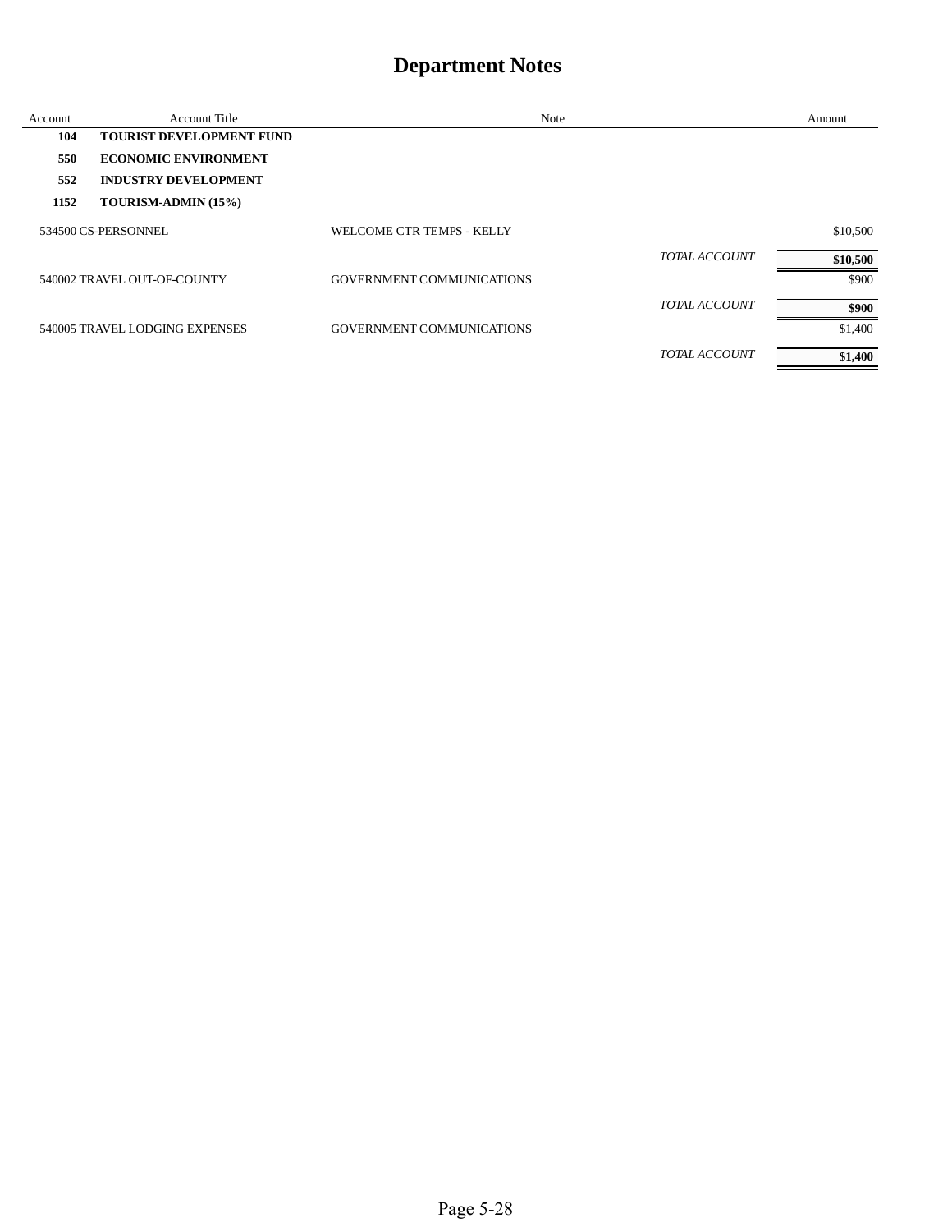| Account | Account Title                   | <b>Note</b>               | Amount   |
|---------|---------------------------------|---------------------------|----------|
| 104     | <b>TOURIST DEVELOPMENT FUND</b> |                           |          |
| 550     | <b>ECONOMIC ENVIRONMENT</b>     |                           |          |
| 552     | <b>INDUSTRY DEVELOPMENT</b>     |                           |          |
| 1152    | TOURISM-ADMIN (15%)             |                           |          |
|         | 534500 CS-PERSONNEL             | WELCOME CTR TEMPS - KELLY | \$10,500 |
|         |                                 | <b>TOTAL ACCOUNT</b>      | \$10,500 |
|         | 540002 TRAVEL OUT-OF-COUNTY     | GOVERNMENT COMMUNICATIONS | \$900    |
|         |                                 | TOTAL ACCOUNT             | \$900    |
|         | 540005 TRAVEL LODGING EXPENSES  | GOVERNMENT COMMUNICATIONS | \$1,400  |
|         |                                 | <b>TOTAL ACCOUNT</b>      | \$1,400  |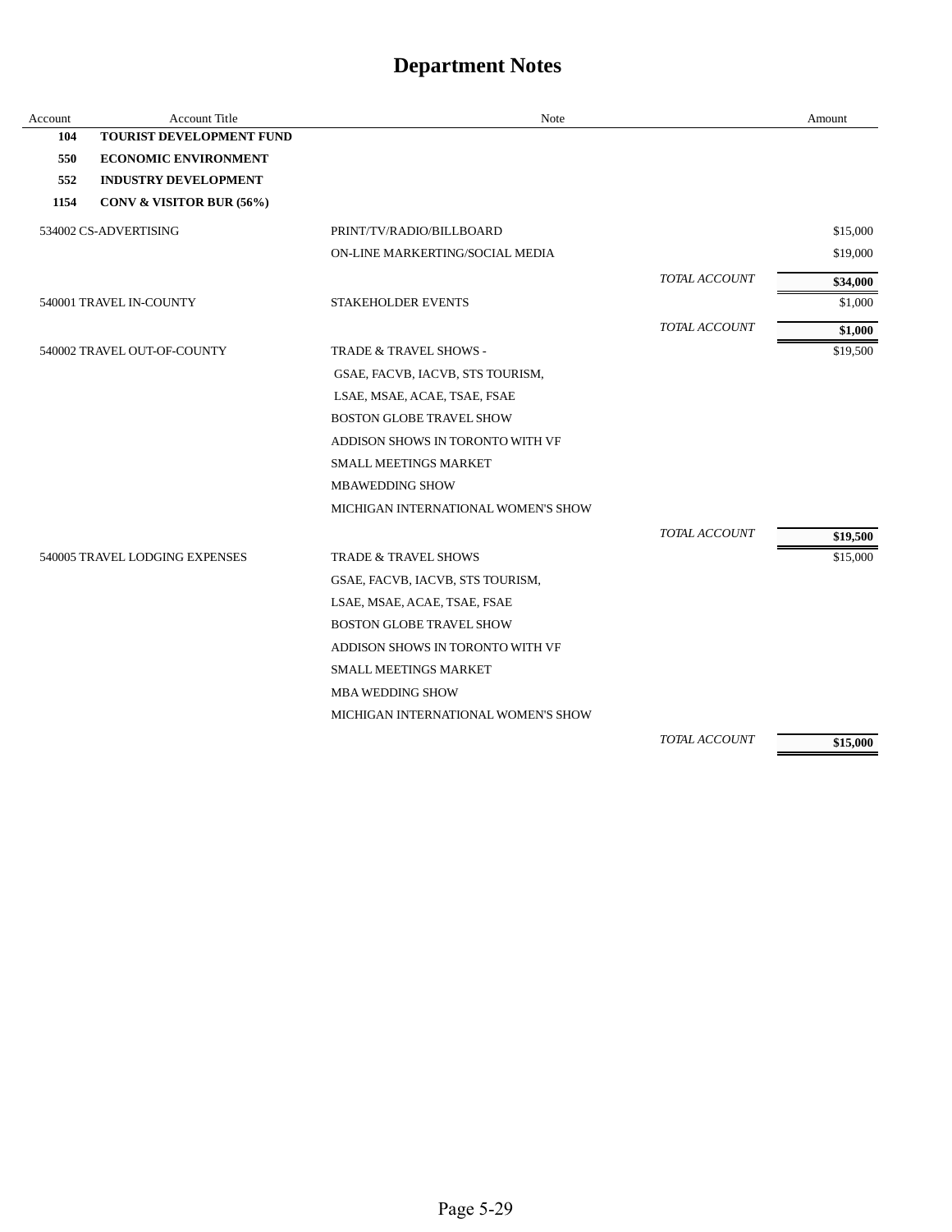| Account | <b>Account Title</b>            | Note                                |               | Amount   |
|---------|---------------------------------|-------------------------------------|---------------|----------|
| 104     | <b>TOURIST DEVELOPMENT FUND</b> |                                     |               |          |
| 550     | <b>ECONOMIC ENVIRONMENT</b>     |                                     |               |          |
| 552     | <b>INDUSTRY DEVELOPMENT</b>     |                                     |               |          |
| 1154    | CONV & VISITOR BUR (56%)        |                                     |               |          |
|         | 534002 CS-ADVERTISING           | PRINT/TV/RADIO/BILLBOARD            |               | \$15,000 |
|         |                                 | ON-LINE MARKERTING/SOCIAL MEDIA     |               | \$19,000 |
|         |                                 |                                     | TOTAL ACCOUNT | \$34,000 |
|         | 540001 TRAVEL IN-COUNTY         | <b>STAKEHOLDER EVENTS</b>           |               | \$1,000  |
|         |                                 |                                     | TOTAL ACCOUNT | \$1,000  |
|         | 540002 TRAVEL OUT-OF-COUNTY     | TRADE & TRAVEL SHOWS -              |               | \$19,500 |
|         |                                 | GSAE, FACVB, IACVB, STS TOURISM,    |               |          |
|         |                                 | LSAE, MSAE, ACAE, TSAE, FSAE        |               |          |
|         |                                 | <b>BOSTON GLOBE TRAVEL SHOW</b>     |               |          |
|         |                                 | ADDISON SHOWS IN TORONTO WITH VF    |               |          |
|         |                                 | <b>SMALL MEETINGS MARKET</b>        |               |          |
|         |                                 | <b>MBAWEDDING SHOW</b>              |               |          |
|         |                                 | MICHIGAN INTERNATIONAL WOMEN'S SHOW |               |          |
|         |                                 |                                     | TOTAL ACCOUNT | \$19,500 |
|         | 540005 TRAVEL LODGING EXPENSES  | <b>TRADE &amp; TRAVEL SHOWS</b>     |               | \$15,000 |
|         |                                 | GSAE, FACVB, IACVB, STS TOURISM,    |               |          |
|         |                                 | LSAE, MSAE, ACAE, TSAE, FSAE        |               |          |
|         |                                 | <b>BOSTON GLOBE TRAVEL SHOW</b>     |               |          |
|         |                                 | ADDISON SHOWS IN TORONTO WITH VF    |               |          |
|         |                                 | <b>SMALL MEETINGS MARKET</b>        |               |          |
|         |                                 | <b>MBA WEDDING SHOW</b>             |               |          |
|         |                                 | MICHIGAN INTERNATIONAL WOMEN'S SHOW |               |          |
|         |                                 |                                     | TOTAL ACCOUNT | \$15,000 |

Page 5-29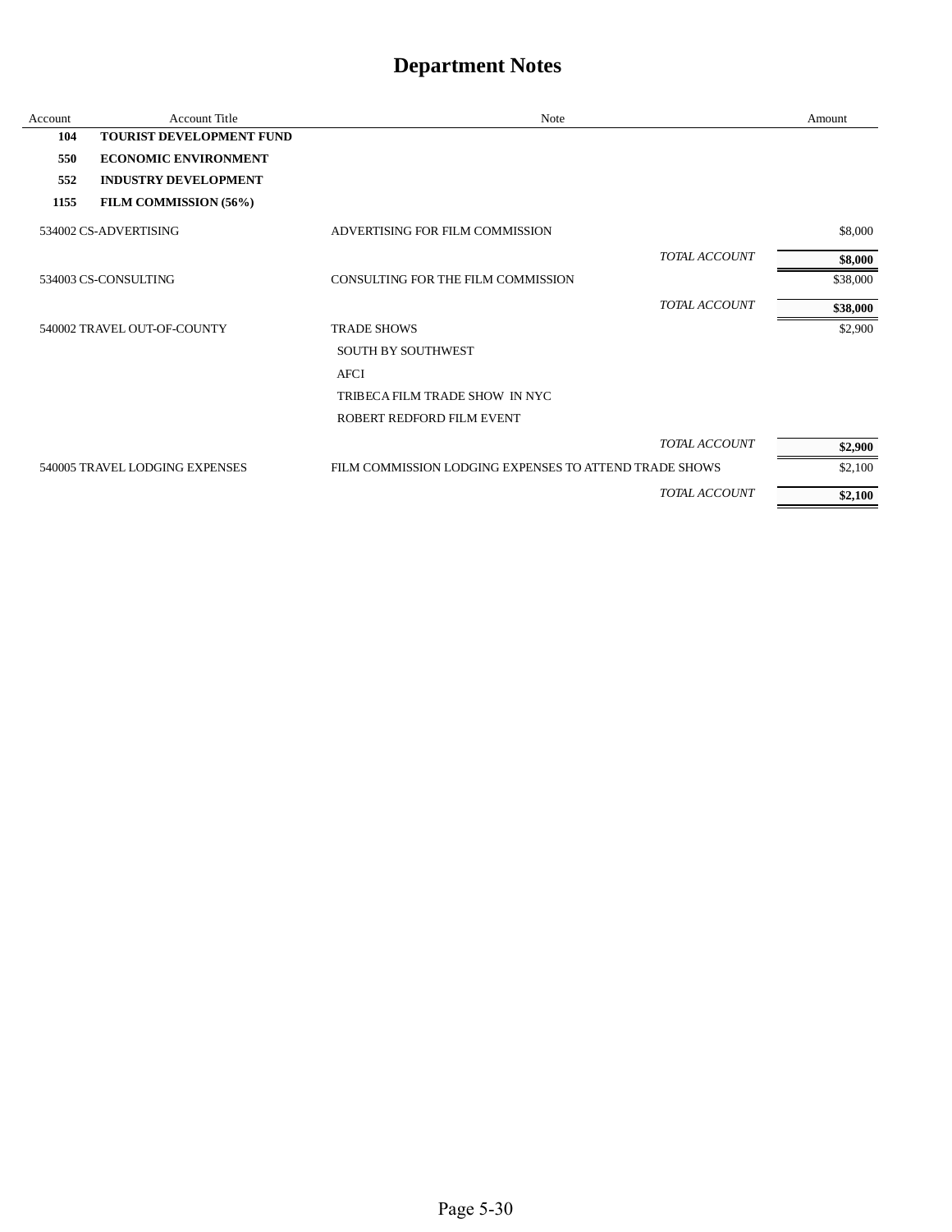| Account | <b>Account Title</b>            | Note                                                   |                      | Amount   |
|---------|---------------------------------|--------------------------------------------------------|----------------------|----------|
| 104     | <b>TOURIST DEVELOPMENT FUND</b> |                                                        |                      |          |
| 550     | <b>ECONOMIC ENVIRONMENT</b>     |                                                        |                      |          |
| 552     | <b>INDUSTRY DEVELOPMENT</b>     |                                                        |                      |          |
| 1155    | FILM COMMISSION (56%)           |                                                        |                      |          |
|         | 534002 CS-ADVERTISING           | ADVERTISING FOR FILM COMMISSION                        |                      | \$8,000  |
|         |                                 |                                                        | <b>TOTAL ACCOUNT</b> | \$8,000  |
|         | 534003 CS-CONSULTING            | CONSULTING FOR THE FILM COMMISSION                     |                      | \$38,000 |
|         |                                 |                                                        | TOTAL ACCOUNT        | \$38,000 |
|         | 540002 TRAVEL OUT-OF-COUNTY     | <b>TRADE SHOWS</b>                                     |                      | \$2,900  |
|         |                                 | <b>SOUTH BY SOUTHWEST</b>                              |                      |          |
|         |                                 | <b>AFCI</b>                                            |                      |          |
|         |                                 | TRIBECA FILM TRADE SHOW IN NYC                         |                      |          |
|         |                                 | ROBERT REDFORD FILM EVENT                              |                      |          |
|         |                                 |                                                        | TOTAL ACCOUNT        | \$2,900  |
|         | 540005 TRAVEL LODGING EXPENSES  | FILM COMMISSION LODGING EXPENSES TO ATTEND TRADE SHOWS |                      | \$2,100  |
|         |                                 |                                                        | <b>TOTAL ACCOUNT</b> | \$2,100  |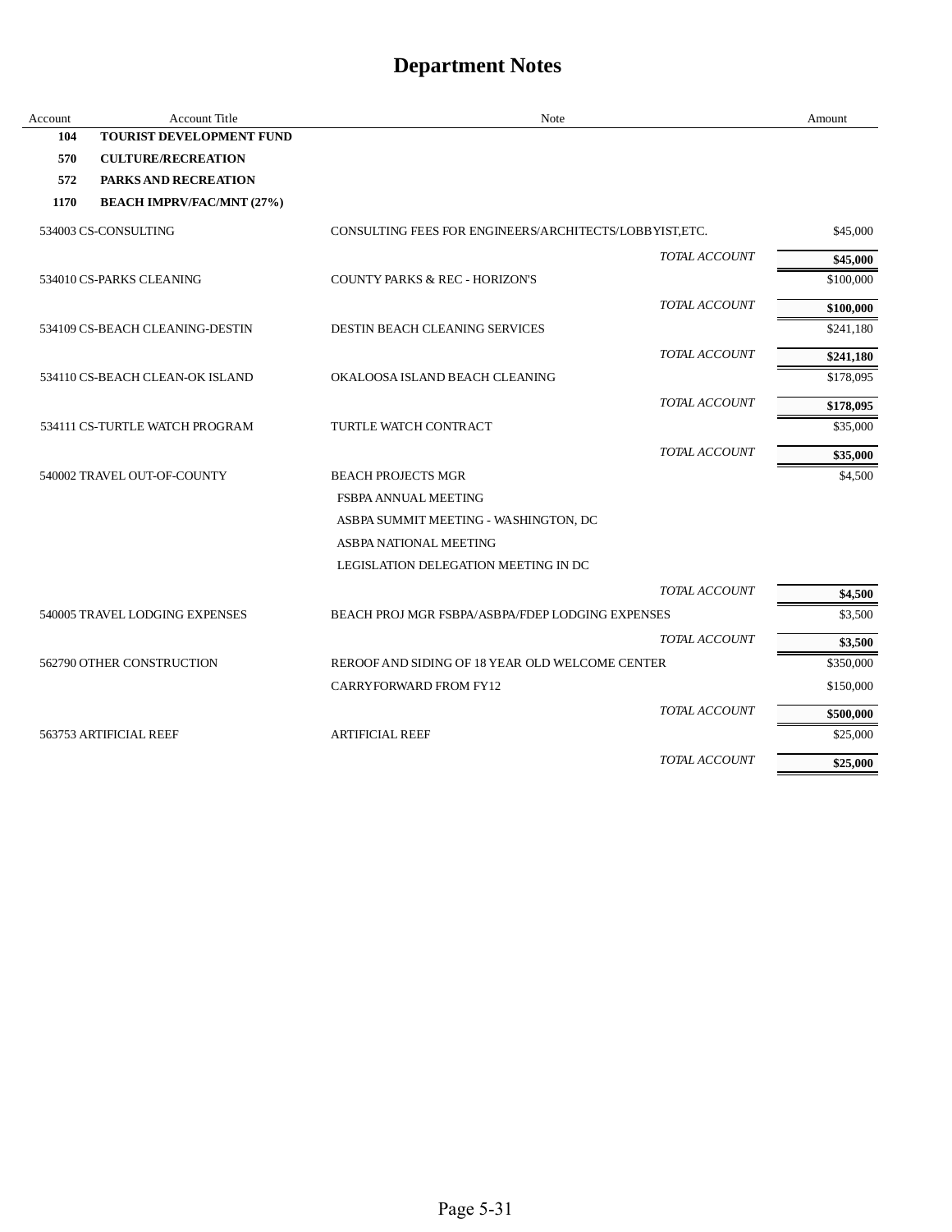| Account | <b>Account Title</b>             | Note                                                    | Amount    |
|---------|----------------------------------|---------------------------------------------------------|-----------|
| 104     | <b>TOURIST DEVELOPMENT FUND</b>  |                                                         |           |
| 570     | <b>CULTURE/RECREATION</b>        |                                                         |           |
| 572     | <b>PARKS AND RECREATION</b>      |                                                         |           |
| 1170    | <b>BEACH IMPRV/FAC/MNT (27%)</b> |                                                         |           |
|         | 534003 CS-CONSULTING             | CONSULTING FEES FOR ENGINEERS/ARCHITECTS/LOBBYIST, ETC. | \$45,000  |
|         |                                  | <b>TOTAL ACCOUNT</b>                                    | \$45,000  |
|         | 534010 CS-PARKS CLEANING         | <b>COUNTY PARKS &amp; REC - HORIZON'S</b>               | \$100,000 |
|         |                                  | <b>TOTAL ACCOUNT</b>                                    | \$100,000 |
|         | 534109 CS-BEACH CLEANING-DESTIN  | <b>DESTIN BEACH CLEANING SERVICES</b>                   | \$241,180 |
|         |                                  | TOTAL ACCOUNT                                           | \$241,180 |
|         | 534110 CS-BEACH CLEAN-OK ISLAND  | OKALOOSA ISLAND BEACH CLEANING                          | \$178,095 |
|         |                                  | TOTAL ACCOUNT                                           | \$178,095 |
|         | 534111 CS-TURTLE WATCH PROGRAM   | <b>TURTLE WATCH CONTRACT</b>                            | \$35,000  |
|         |                                  | TOTAL ACCOUNT                                           | \$35,000  |
|         | 540002 TRAVEL OUT-OF-COUNTY      | <b>BEACH PROJECTS MGR</b>                               | \$4,500   |
|         |                                  | FSBPA ANNUAL MEETING                                    |           |
|         |                                  | ASBPA SUMMIT MEETING - WASHINGTON, DC                   |           |
|         |                                  | ASBPA NATIONAL MEETING                                  |           |
|         |                                  | LEGISLATION DELEGATION MEETING IN DC                    |           |
|         |                                  | <b>TOTAL ACCOUNT</b>                                    | \$4,500   |
|         | 540005 TRAVEL LODGING EXPENSES   | BEACH PROJ MGR FSBPA/ASBPA/FDEP LODGING EXPENSES        | \$3,500   |
|         |                                  | <b>TOTAL ACCOUNT</b>                                    | \$3,500   |
|         | 562790 OTHER CONSTRUCTION        | REROOF AND SIDING OF 18 YEAR OLD WELCOME CENTER         | \$350,000 |
|         |                                  | CARRYFORWARD FROM FY12                                  | \$150,000 |
|         |                                  | TOTAL ACCOUNT                                           | \$500,000 |
|         | 563753 ARTIFICIAL REEF           | <b>ARTIFICIAL REEF</b>                                  | \$25,000  |
|         |                                  | TOTAL ACCOUNT                                           | \$25,000  |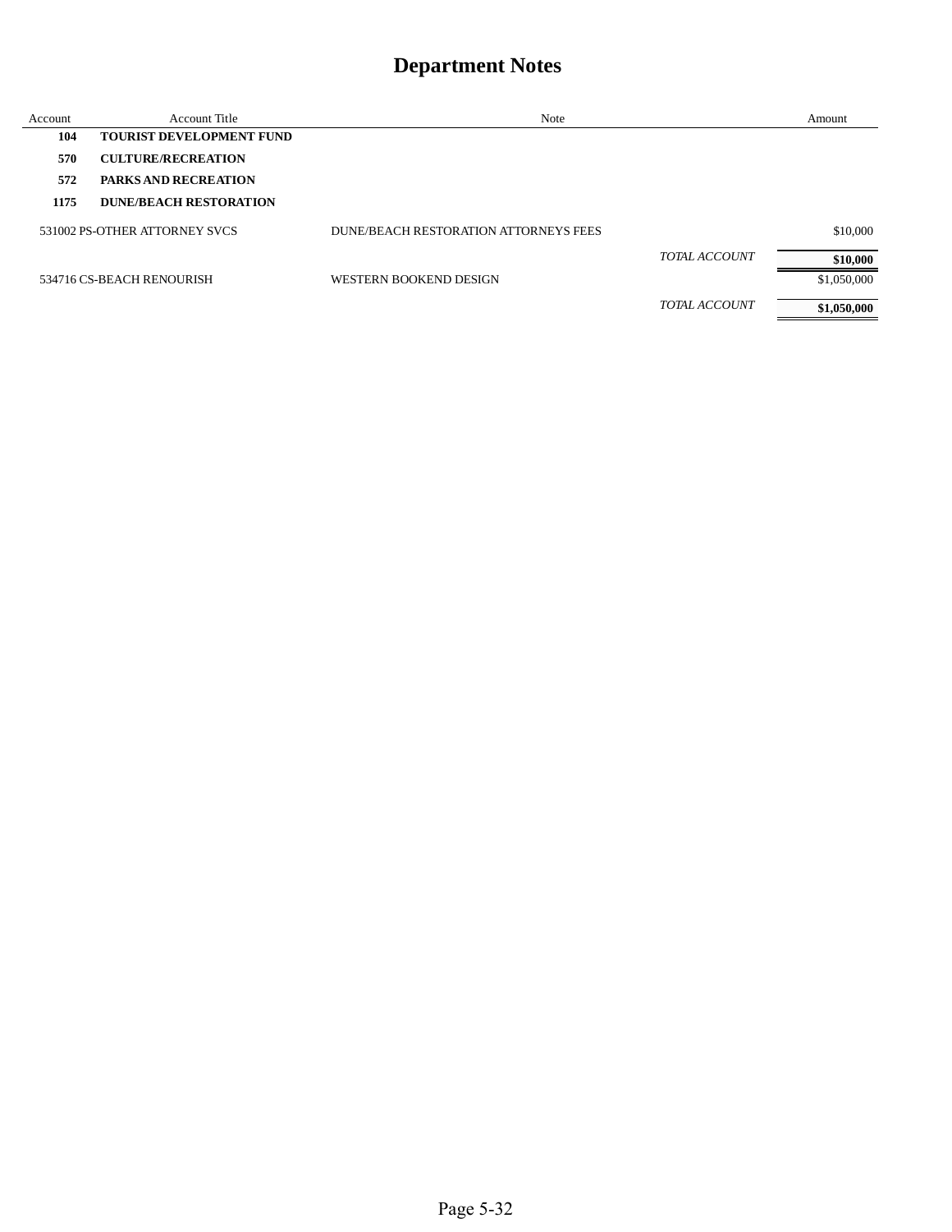| Account | <b>Account Title</b>            | Note                                  |                      | Amount      |
|---------|---------------------------------|---------------------------------------|----------------------|-------------|
| 104     | <b>TOURIST DEVELOPMENT FUND</b> |                                       |                      |             |
| 570     | <b>CULTURE/RECREATION</b>       |                                       |                      |             |
| 572     | <b>PARKS AND RECREATION</b>     |                                       |                      |             |
| 1175    | DUNE/BEACH RESTORATION          |                                       |                      |             |
|         | 531002 PS-OTHER ATTORNEY SVCS   | DUNE/BEACH RESTORATION ATTORNEYS FEES |                      | \$10,000    |
|         |                                 |                                       | <b>TOTAL ACCOUNT</b> | \$10,000    |
|         | 534716 CS-BEACH RENOURISH       | WESTERN BOOKEND DESIGN                |                      | \$1,050,000 |
|         |                                 |                                       | <b>TOTAL ACCOUNT</b> | \$1,050,000 |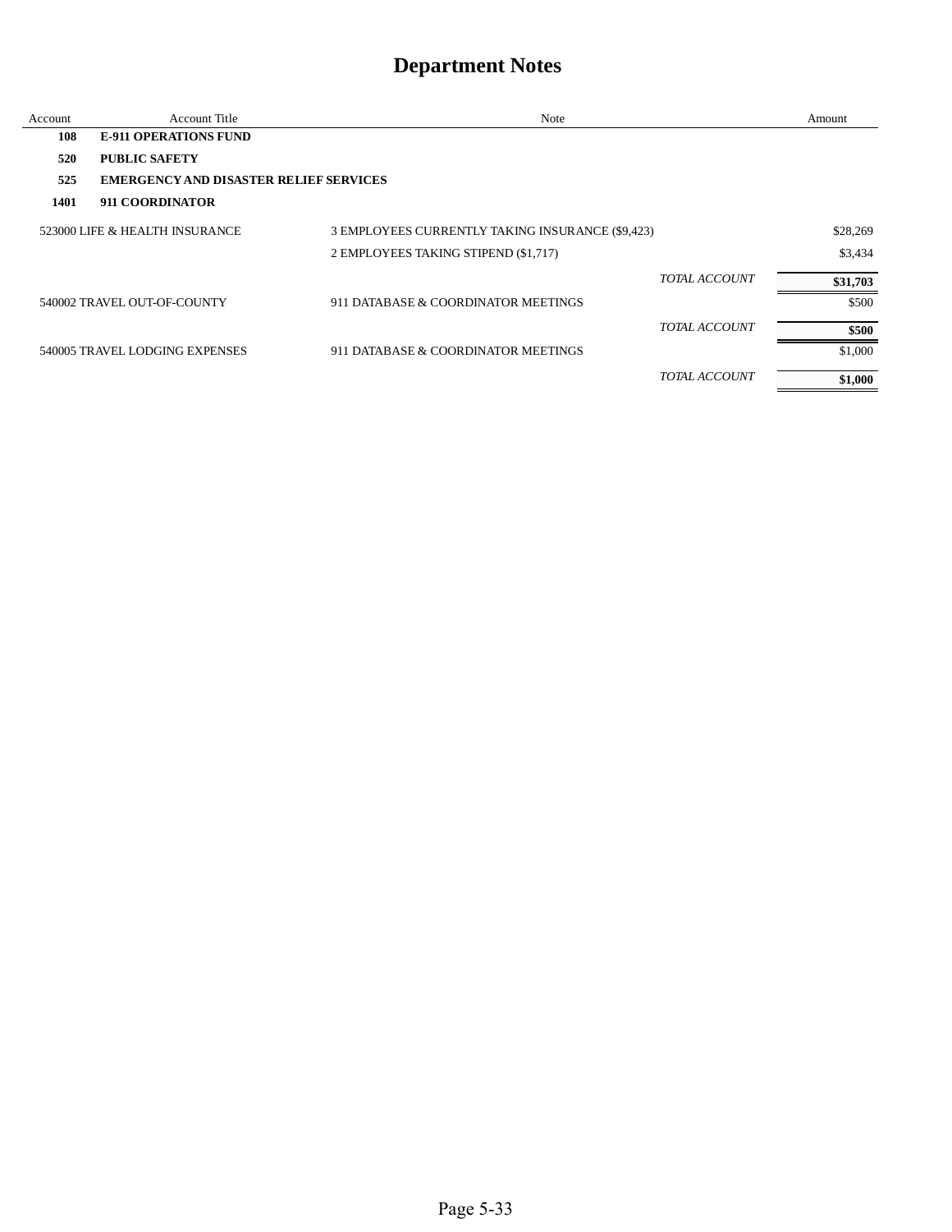| Account | Account Title                                 | Note                                             | Amount   |
|---------|-----------------------------------------------|--------------------------------------------------|----------|
| 108     | <b>E-911 OPERATIONS FUND</b>                  |                                                  |          |
| 520     | <b>PUBLIC SAFETY</b>                          |                                                  |          |
| 525     | <b>EMERGENCY AND DISASTER RELIEF SERVICES</b> |                                                  |          |
| 1401    | 911 COORDINATOR                               |                                                  |          |
|         | 523000 LIFE & HEALTH INSURANCE                | 3 EMPLOYEES CURRENTLY TAKING INSURANCE (\$9,423) | \$28,269 |
|         |                                               | 2 EMPLOYEES TAKING STIPEND (\$1,717)             | \$3.434  |
|         |                                               | TOTAL ACCOUNT                                    | \$31,703 |
|         | 540002 TRAVEL OUT-OF-COUNTY                   | 911 DATABASE & COORDINATOR MEETINGS              | \$500    |
|         |                                               | <b>TOTAL ACCOUNT</b>                             | \$500    |
|         | 540005 TRAVEL LODGING EXPENSES                | 911 DATABASE & COORDINATOR MEETINGS              | \$1,000  |
|         |                                               | <b>TOTAL ACCOUNT</b>                             | \$1,000  |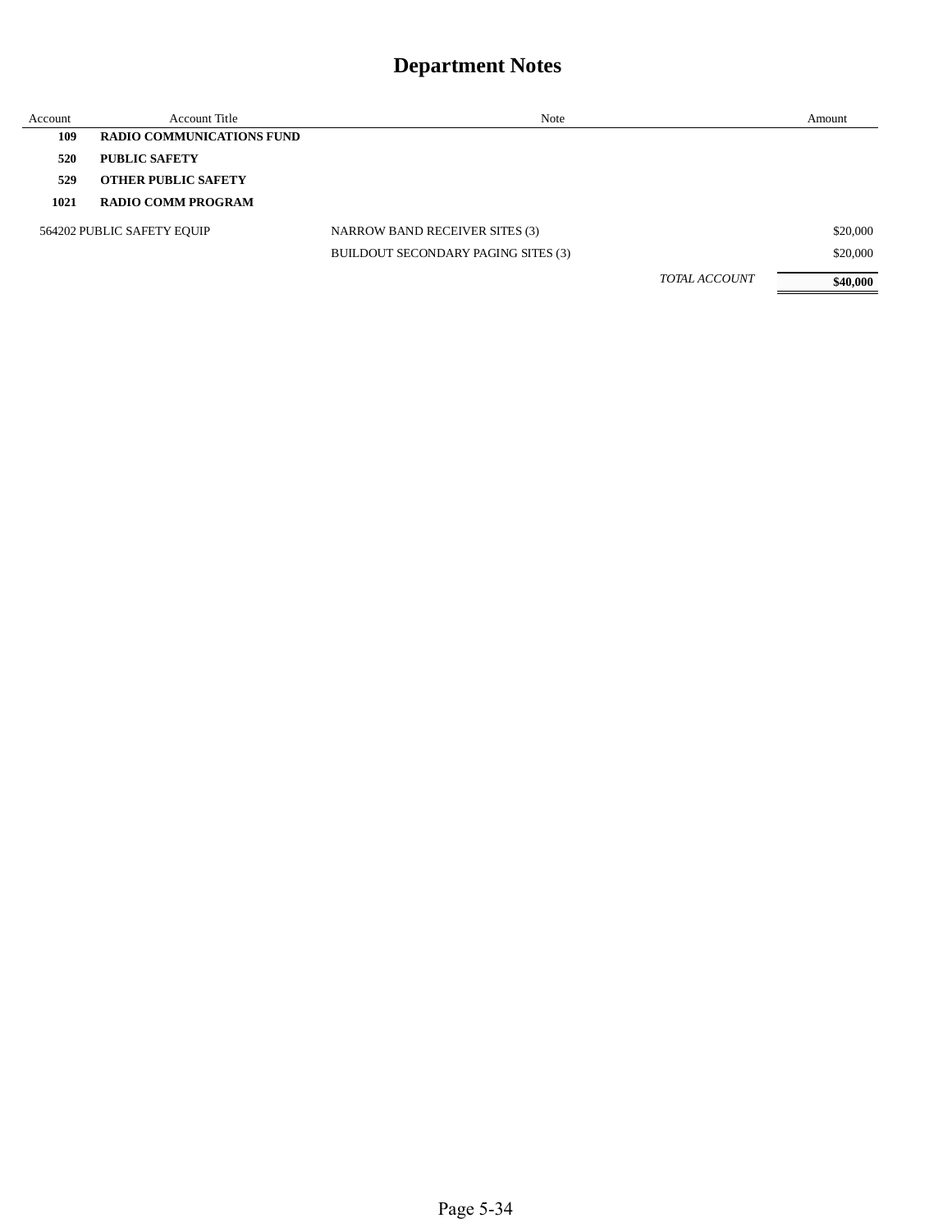| Account | <b>Account Title</b>             | Note                                  | Amount   |
|---------|----------------------------------|---------------------------------------|----------|
| 109     | <b>RADIO COMMUNICATIONS FUND</b> |                                       |          |
| 520     | PUBLIC SAFETY                    |                                       |          |
| 529     | <b>OTHER PUBLIC SAFETY</b>       |                                       |          |
| 1021    | <b>RADIO COMM PROGRAM</b>        |                                       |          |
|         | 564202 PUBLIC SAFETY EQUIP       | <b>NARROW BAND RECEIVER SITES (3)</b> | \$20,000 |
|         |                                  | BUILDOUT SECONDARY PAGING SITES (3)   | \$20,000 |
|         |                                  | <b>TOTAL ACCOUNT</b>                  | \$40,000 |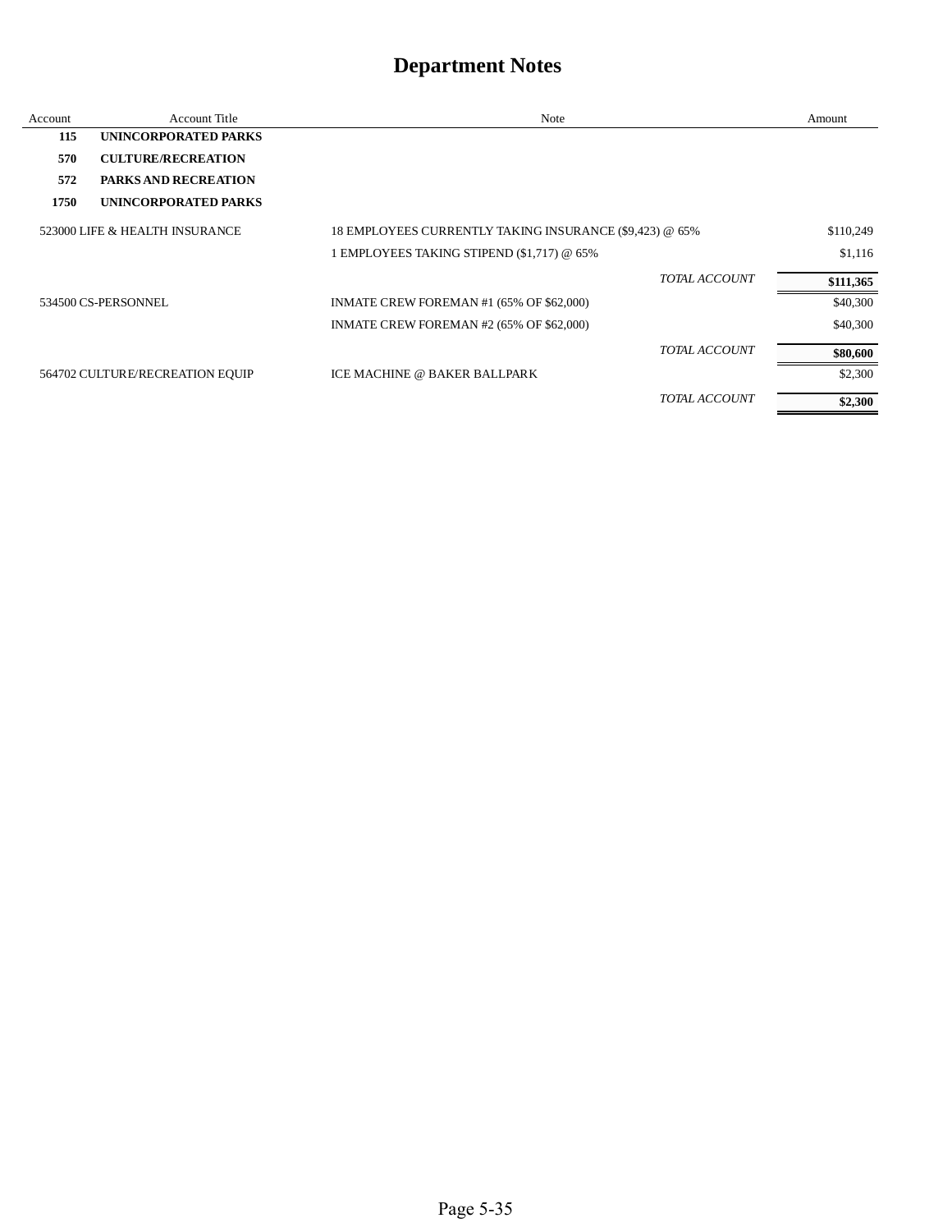| Account | <b>Account Title</b>            | Note                                                    | Amount    |
|---------|---------------------------------|---------------------------------------------------------|-----------|
| 115     | UNINCORPORATED PARKS            |                                                         |           |
| 570     | <b>CULTURE/RECREATION</b>       |                                                         |           |
| 572     | <b>PARKS AND RECREATION</b>     |                                                         |           |
| 1750    | UNINCORPORATED PARKS            |                                                         |           |
|         | 523000 LIFE & HEALTH INSURANCE  | 18 EMPLOYEES CURRENTLY TAKING INSURANCE (\$9,423) @ 65% | \$110,249 |
|         |                                 | 1 EMPLOYEES TAKING STIPEND (\$1,717) @ 65%              | \$1,116   |
|         |                                 | <b>TOTAL ACCOUNT</b>                                    | \$111,365 |
|         | 534500 CS-PERSONNEL             | INMATE CREW FOREMAN #1 (65% OF \$62,000)                | \$40,300  |
|         |                                 | INMATE CREW FOREMAN #2 (65% OF \$62,000)                | \$40,300  |
|         |                                 | <b>TOTAL ACCOUNT</b>                                    | \$80,600  |
|         | 564702 CULTURE/RECREATION EQUIP | ICE MACHINE @ BAKER BALLPARK                            | \$2,300   |
|         |                                 | <b>TOTAL ACCOUNT</b>                                    | \$2,300   |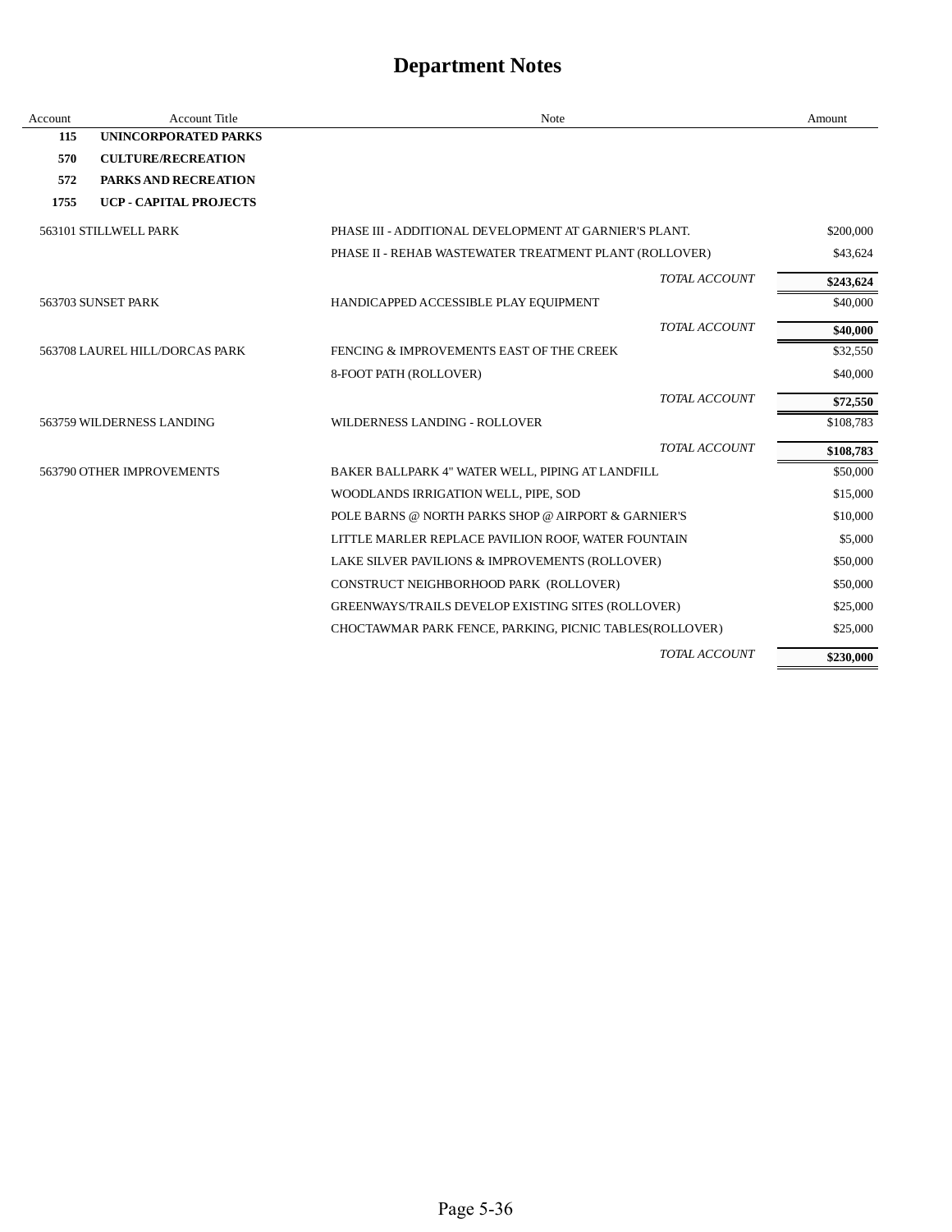| Account | <b>Account Title</b>           | <b>Note</b>                                             | Amount    |
|---------|--------------------------------|---------------------------------------------------------|-----------|
| 115     | <b>UNINCORPORATED PARKS</b>    |                                                         |           |
| 570     | <b>CULTURE/RECREATION</b>      |                                                         |           |
| 572     | <b>PARKS AND RECREATION</b>    |                                                         |           |
| 1755    | UCP - CAPITAL PROJECTS         |                                                         |           |
|         | 563101 STILLWELL PARK          | PHASE III - ADDITIONAL DEVELOPMENT AT GARNIER'S PLANT.  | \$200,000 |
|         |                                | PHASE II - REHAB WASTEWATER TREATMENT PLANT (ROLLOVER)  | \$43,624  |
|         |                                | TOTAL ACCOUNT                                           | \$243,624 |
|         | 563703 SUNSET PARK             | HANDICAPPED ACCESSIBLE PLAY EQUIPMENT                   | \$40,000  |
|         |                                | TOTAL ACCOUNT                                           | \$40,000  |
|         | 563708 LAUREL HILL/DORCAS PARK | FENCING & IMPROVEMENTS EAST OF THE CREEK                | \$32,550  |
|         |                                | 8-FOOT PATH (ROLLOVER)                                  | \$40,000  |
|         |                                | TOTAL ACCOUNT                                           | \$72,550  |
|         | 563759 WILDERNESS LANDING      | <b>WILDERNESS LANDING - ROLLOVER</b>                    | \$108,783 |
|         |                                | TOTAL ACCOUNT                                           | \$108,783 |
|         | 563790 OTHER IMPROVEMENTS      | BAKER BALLPARK 4" WATER WELL, PIPING AT LANDFILL        | \$50,000  |
|         |                                | WOODLANDS IRRIGATION WELL, PIPE, SOD                    | \$15,000  |
|         |                                | POLE BARNS @ NORTH PARKS SHOP @ AIRPORT & GARNIER'S     | \$10,000  |
|         |                                | LITTLE MARLER REPLACE PAVILION ROOF, WATER FOUNTAIN     | \$5,000   |
|         |                                | LAKE SILVER PAVILIONS & IMPROVEMENTS (ROLLOVER)         | \$50,000  |
|         |                                | CONSTRUCT NEIGHBORHOOD PARK (ROLLOVER)                  | \$50,000  |
|         |                                | GREENWAYS/TRAILS DEVELOP EXISTING SITES (ROLLOVER)      | \$25,000  |
|         |                                | CHOCTAWMAR PARK FENCE, PARKING, PICNIC TABLES(ROLLOVER) | \$25,000  |
|         |                                | TOTAL ACCOUNT                                           | \$230,000 |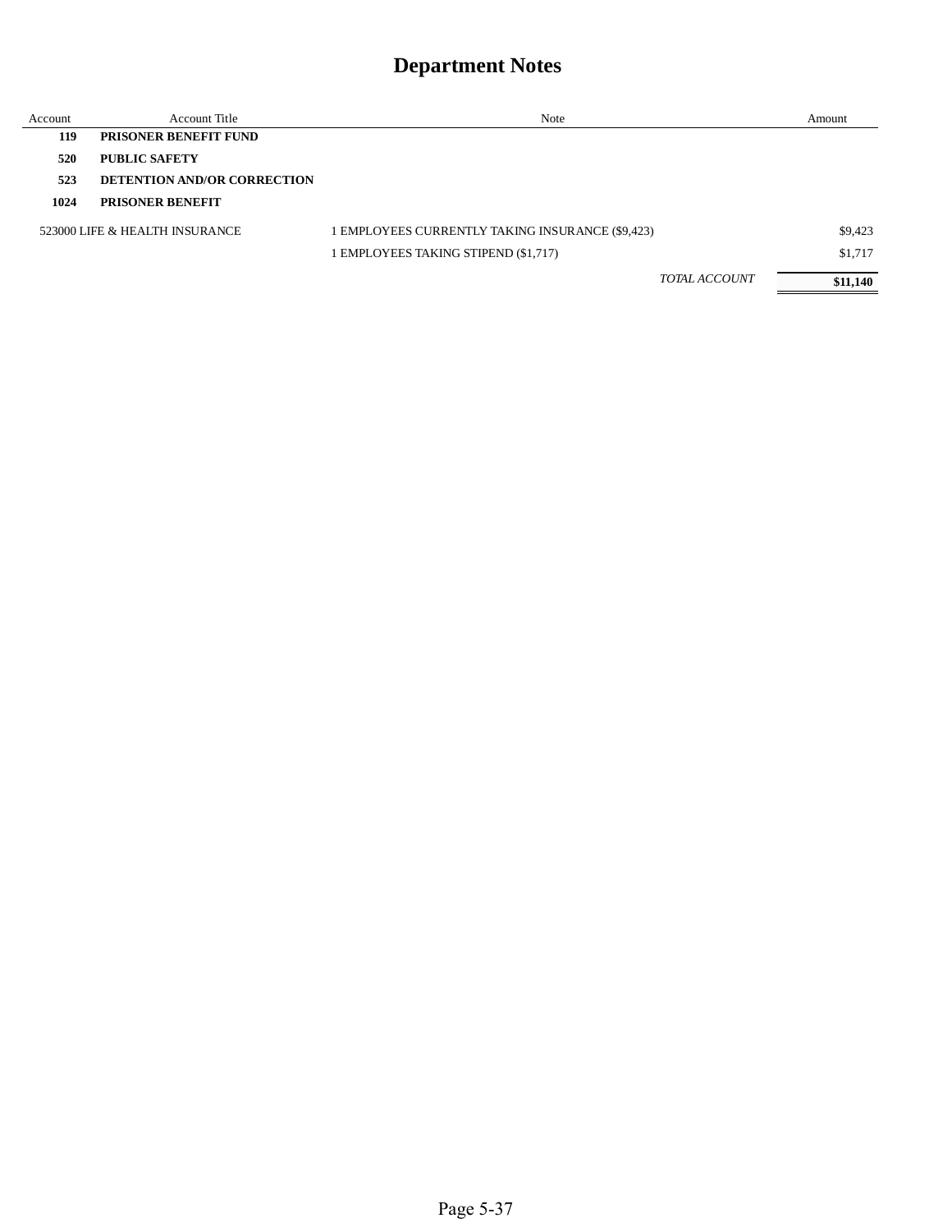| Account | <b>Account Title</b>               | Note                                             | Amount   |
|---------|------------------------------------|--------------------------------------------------|----------|
| 119     | <b>PRISONER BENEFIT FUND</b>       |                                                  |          |
| 520     | <b>PUBLIC SAFETY</b>               |                                                  |          |
| 523     | <b>DETENTION AND/OR CORRECTION</b> |                                                  |          |
| 1024    | <b>PRISONER BENEFIT</b>            |                                                  |          |
|         | 523000 LIFE & HEALTH INSURANCE     | 1 EMPLOYEES CURRENTLY TAKING INSURANCE (\$9,423) | \$9,423  |
|         |                                    | 1 EMPLOYEES TAKING STIPEND (\$1,717)             | \$1,717  |
|         |                                    | <b>TOTAL ACCOUNT</b>                             | \$11,140 |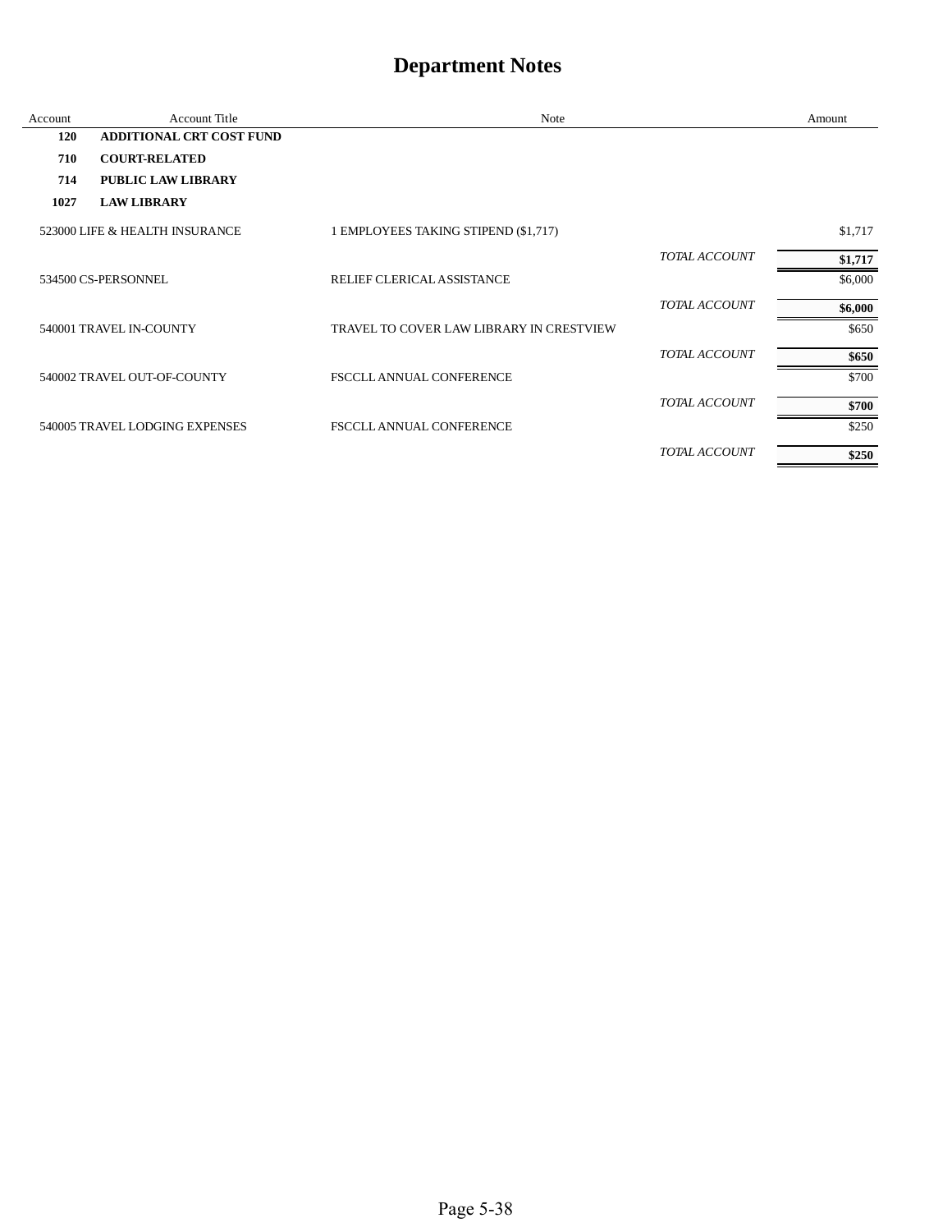| Account | <b>Account Title</b>            | Note                                     |                      | Amount  |
|---------|---------------------------------|------------------------------------------|----------------------|---------|
| 120     | <b>ADDITIONAL CRT COST FUND</b> |                                          |                      |         |
| 710     | <b>COURT-RELATED</b>            |                                          |                      |         |
| 714     | <b>PUBLIC LAW LIBRARY</b>       |                                          |                      |         |
| 1027    | <b>LAW LIBRARY</b>              |                                          |                      |         |
|         | 523000 LIFE & HEALTH INSURANCE  | 1 EMPLOYEES TAKING STIPEND (\$1,717)     |                      | \$1,717 |
|         |                                 |                                          | <b>TOTAL ACCOUNT</b> | \$1,717 |
|         | 534500 CS-PERSONNEL             | RELIEF CLERICAL ASSISTANCE               |                      | \$6,000 |
|         |                                 |                                          | <b>TOTAL ACCOUNT</b> | \$6,000 |
|         | 540001 TRAVEL IN-COUNTY         | TRAVEL TO COVER LAW LIBRARY IN CRESTVIEW |                      | \$650   |
|         |                                 |                                          | TOTAL ACCOUNT        | \$650   |
|         | 540002 TRAVEL OUT-OF-COUNTY     | FSCCLL ANNUAL CONFERENCE                 |                      | \$700   |
|         |                                 |                                          | <b>TOTAL ACCOUNT</b> | \$700   |
|         | 540005 TRAVEL LODGING EXPENSES  | <b>FSCCLL ANNUAL CONFERENCE</b>          |                      | \$250   |
|         |                                 |                                          | <b>TOTAL ACCOUNT</b> | \$250   |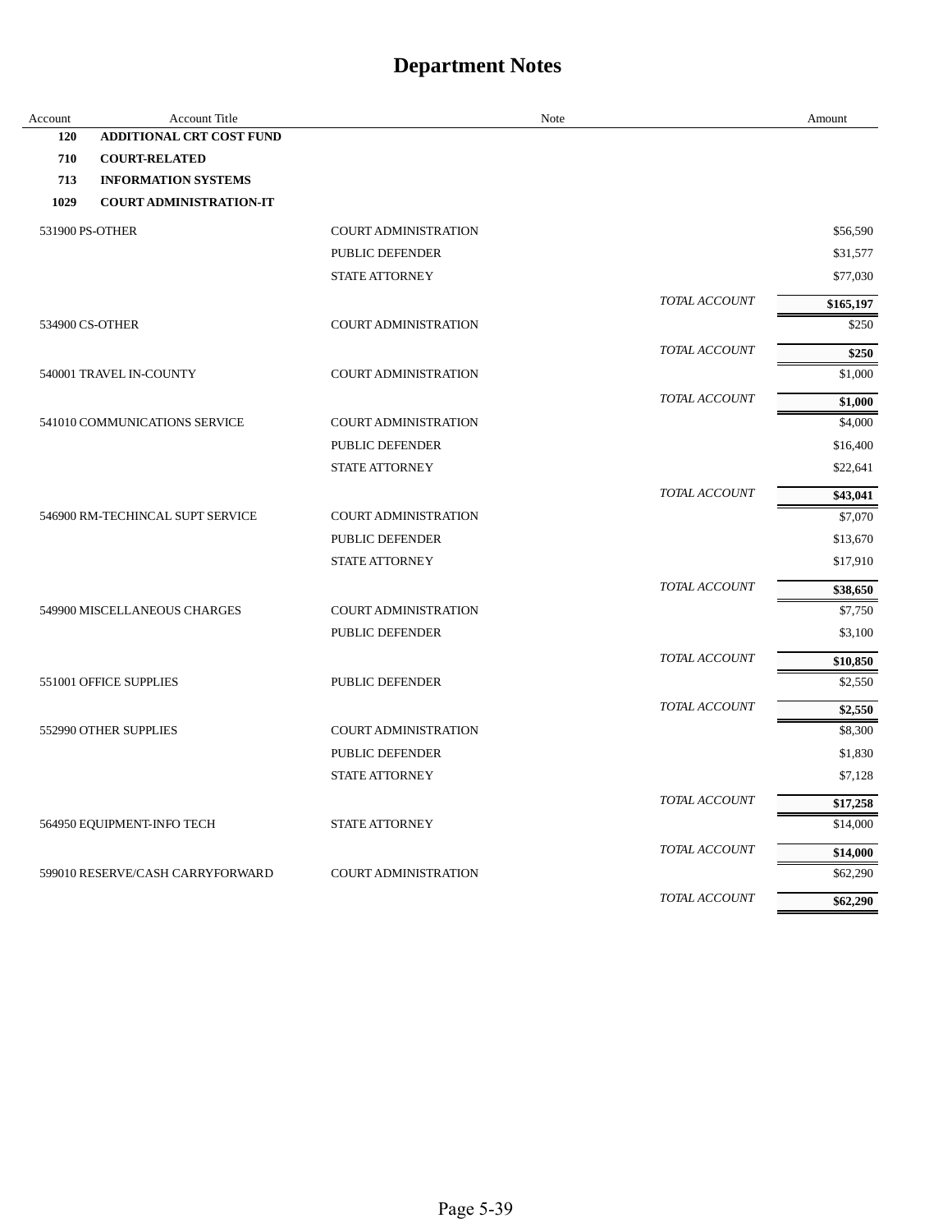| Account         | <b>Account Title</b>             |                             | Note |               | Amount              |
|-----------------|----------------------------------|-----------------------------|------|---------------|---------------------|
| 120             | ADDITIONAL CRT COST FUND         |                             |      |               |                     |
| 710             | <b>COURT-RELATED</b>             |                             |      |               |                     |
| 713             | <b>INFORMATION SYSTEMS</b>       |                             |      |               |                     |
| 1029            | <b>COURT ADMINISTRATION-IT</b>   |                             |      |               |                     |
| 531900 PS-OTHER |                                  | <b>COURT ADMINISTRATION</b> |      |               | \$56,590            |
|                 |                                  | PUBLIC DEFENDER             |      |               | \$31,577            |
|                 |                                  | <b>STATE ATTORNEY</b>       |      |               | \$77,030            |
|                 |                                  |                             |      | TOTAL ACCOUNT | \$165,197           |
|                 | 534900 CS-OTHER                  | <b>COURT ADMINISTRATION</b> |      |               | \$250               |
|                 |                                  |                             |      | TOTAL ACCOUNT | \$250               |
|                 | 540001 TRAVEL IN-COUNTY          | <b>COURT ADMINISTRATION</b> |      |               | \$1,000             |
|                 |                                  |                             |      | TOTAL ACCOUNT | \$1,000             |
|                 | 541010 COMMUNICATIONS SERVICE    | <b>COURT ADMINISTRATION</b> |      |               | \$4,000             |
|                 |                                  | PUBLIC DEFENDER             |      |               | \$16,400            |
|                 |                                  | <b>STATE ATTORNEY</b>       |      |               | \$22,641            |
|                 |                                  |                             |      | TOTAL ACCOUNT | \$43,041            |
|                 | 546900 RM-TECHINCAL SUPT SERVICE | <b>COURT ADMINISTRATION</b> |      |               | \$7,070             |
|                 |                                  | PUBLIC DEFENDER             |      |               | \$13,670            |
|                 |                                  | STATE ATTORNEY              |      |               | \$17,910            |
|                 |                                  |                             |      | TOTAL ACCOUNT |                     |
|                 | 549900 MISCELLANEOUS CHARGES     | <b>COURT ADMINISTRATION</b> |      |               | \$38,650<br>\$7,750 |
|                 |                                  | PUBLIC DEFENDER             |      |               | \$3,100             |
|                 |                                  |                             |      | TOTAL ACCOUNT |                     |
|                 | 551001 OFFICE SUPPLIES           | PUBLIC DEFENDER             |      |               | \$10,850<br>\$2,550 |
|                 |                                  |                             |      |               |                     |
|                 |                                  |                             |      | TOTAL ACCOUNT | \$2,550             |
|                 | 552990 OTHER SUPPLIES            | <b>COURT ADMINISTRATION</b> |      |               | \$8,300             |
|                 |                                  | PUBLIC DEFENDER             |      |               | \$1,830             |
|                 |                                  | <b>STATE ATTORNEY</b>       |      |               | \$7,128             |
|                 |                                  |                             |      | TOTAL ACCOUNT | \$17,258            |
|                 | 564950 EQUIPMENT-INFO TECH       | <b>STATE ATTORNEY</b>       |      |               | \$14,000            |
|                 |                                  |                             |      | TOTAL ACCOUNT | \$14,000            |
|                 | 599010 RESERVE/CASH CARRYFORWARD | <b>COURT ADMINISTRATION</b> |      |               | \$62,290            |
|                 |                                  |                             |      | TOTAL ACCOUNT | \$62,290            |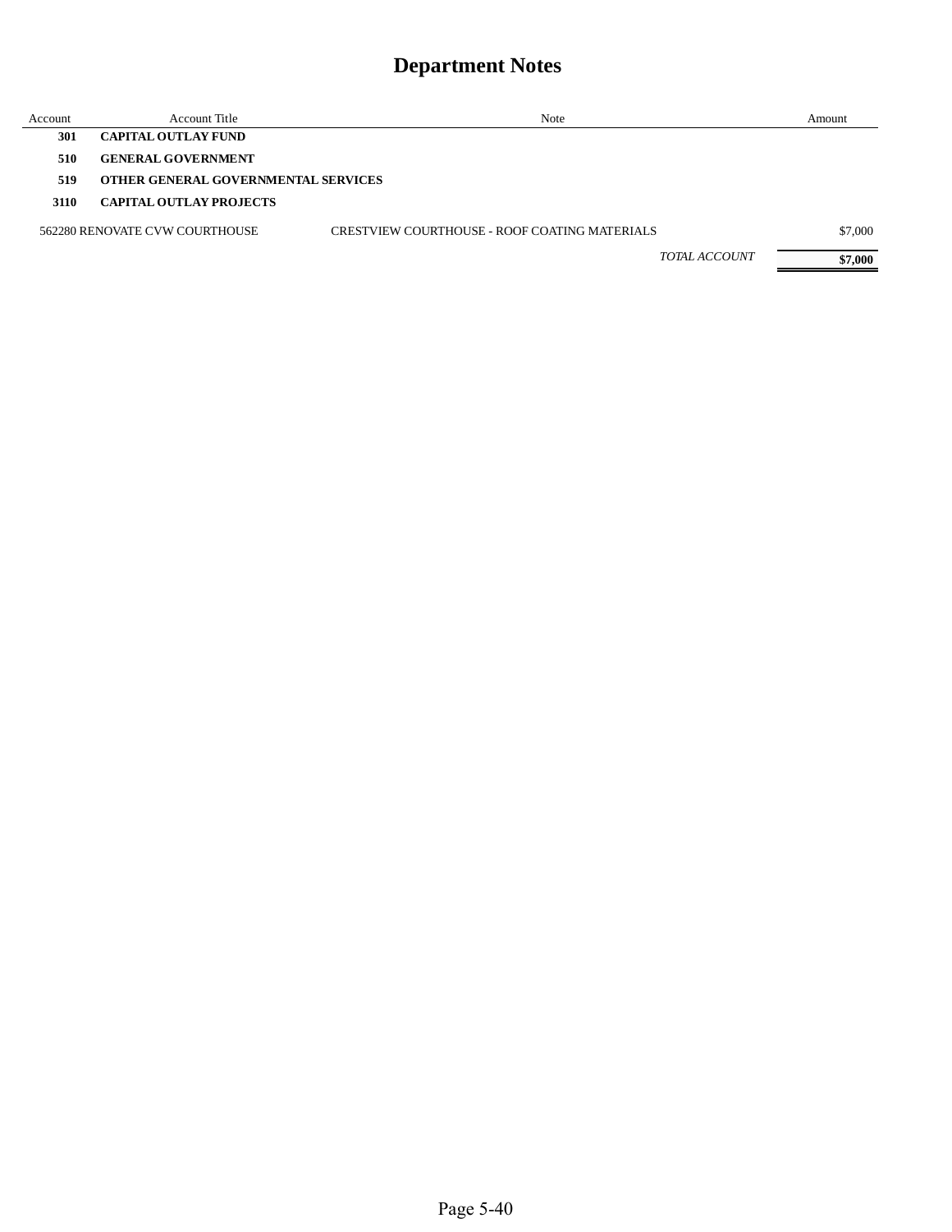| Account | Account Title                              | Note                                          |               | Amount  |
|---------|--------------------------------------------|-----------------------------------------------|---------------|---------|
| 301     | <b>CAPITAL OUTLAY FUND</b>                 |                                               |               |         |
| 510     | <b>GENERAL GOVERNMENT</b>                  |                                               |               |         |
| 519     | <b>OTHER GENERAL GOVERNMENTAL SERVICES</b> |                                               |               |         |
| 3110    | <b>CAPITAL OUTLAY PROJECTS</b>             |                                               |               |         |
|         | 562280 RENOVATE CVW COURTHOUSE             | CRESTVIEW COURTHOUSE - ROOF COATING MATERIALS |               | \$7,000 |
|         |                                            |                                               | TOTAL ACCOUNT | \$7,000 |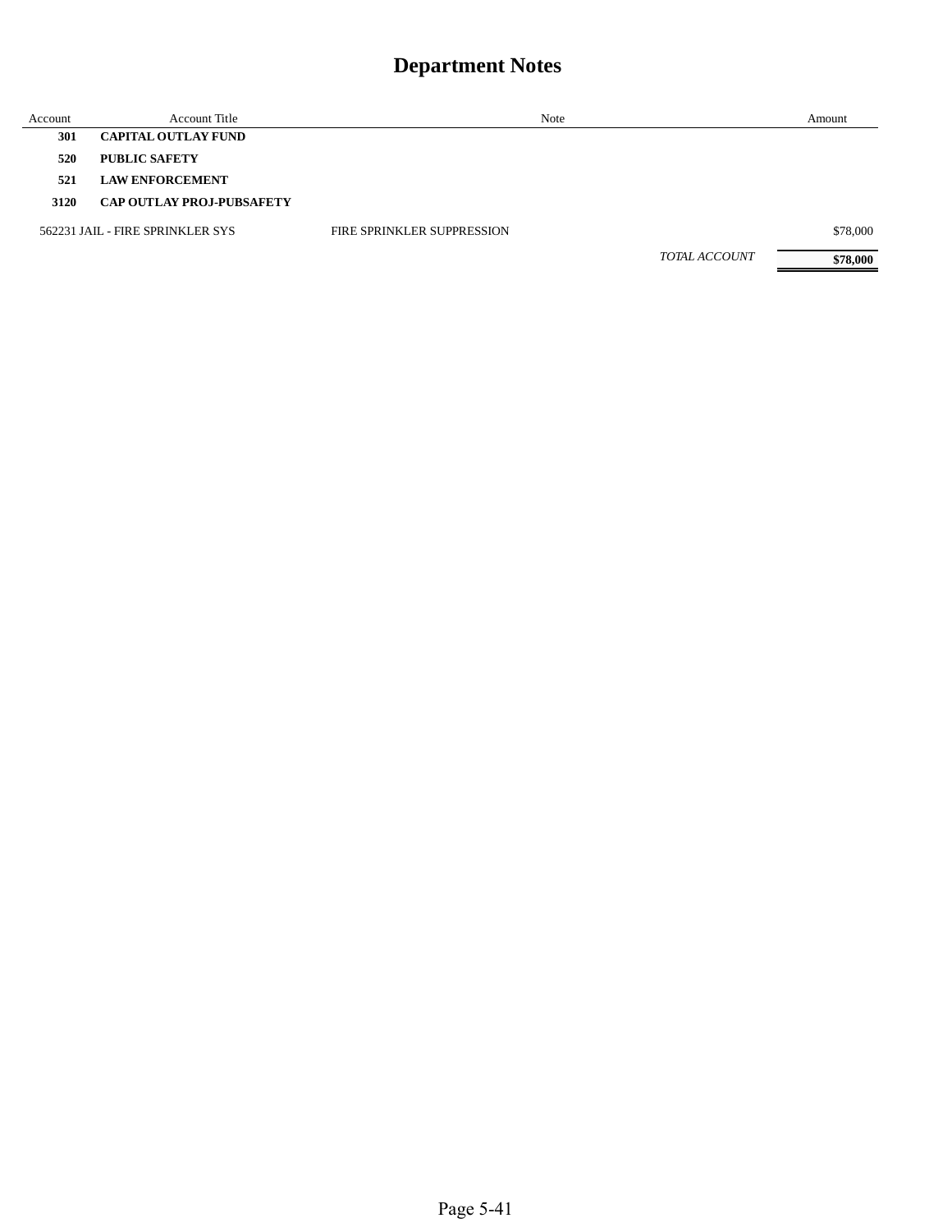| Account | <b>Account Title</b>             |                                   | Note                 | Amount   |
|---------|----------------------------------|-----------------------------------|----------------------|----------|
| 301     | <b>CAPITAL OUTLAY FUND</b>       |                                   |                      |          |
| 520     | <b>PUBLIC SAFETY</b>             |                                   |                      |          |
| 521     | <b>LAW ENFORCEMENT</b>           |                                   |                      |          |
| 3120    | <b>CAP OUTLAY PROJ-PUBSAFETY</b> |                                   |                      |          |
|         | 562231 JAIL - FIRE SPRINKLER SYS | <b>FIRE SPRINKLER SUPPRESSION</b> |                      | \$78,000 |
|         |                                  |                                   | <b>TOTAL ACCOUNT</b> | \$78,000 |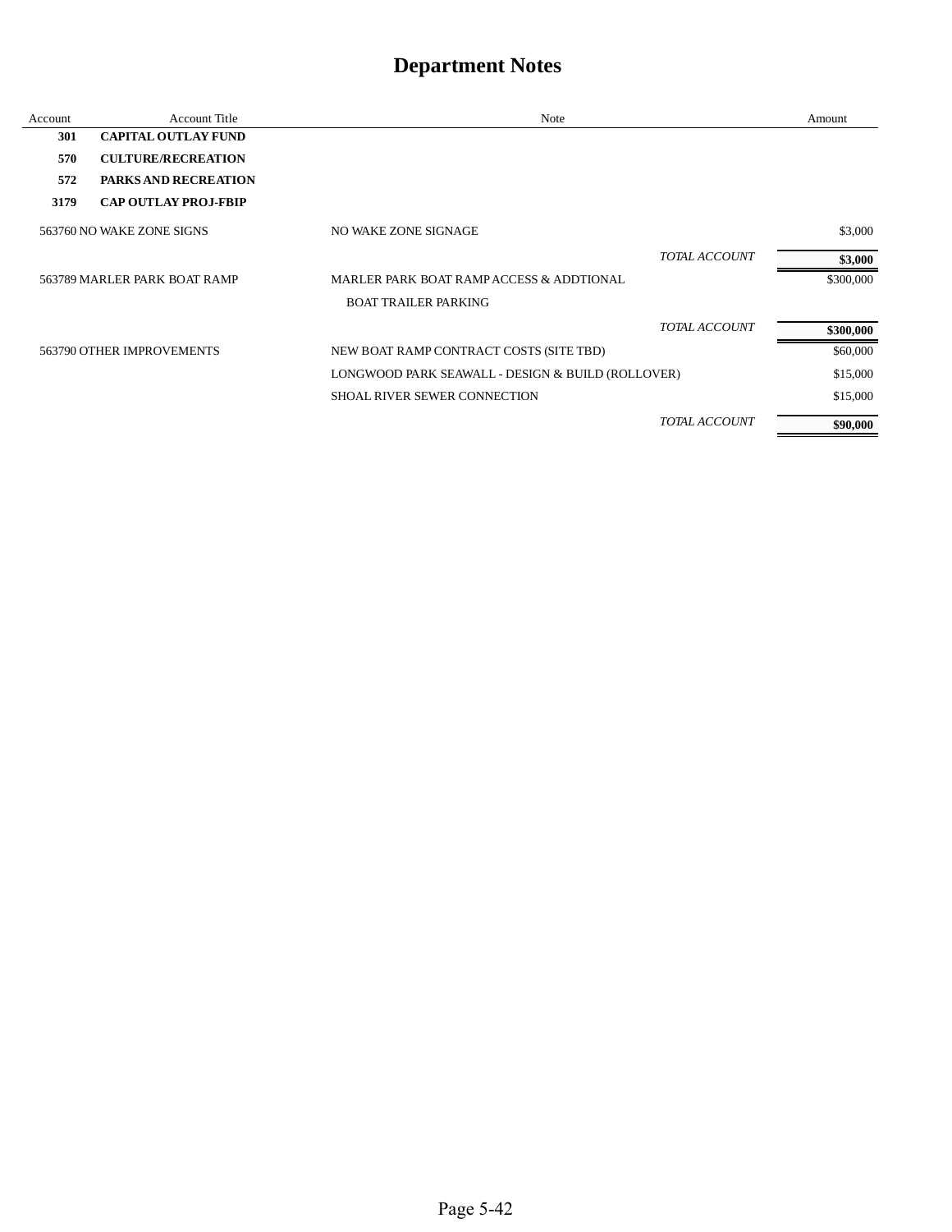| Account | <b>Account Title</b>         | <b>Note</b>                                       | Amount    |
|---------|------------------------------|---------------------------------------------------|-----------|
| 301     | <b>CAPITAL OUTLAY FUND</b>   |                                                   |           |
| 570     | <b>CULTURE/RECREATION</b>    |                                                   |           |
| 572     | <b>PARKS AND RECREATION</b>  |                                                   |           |
| 3179    | <b>CAP OUTLAY PROJ-FBIP</b>  |                                                   |           |
|         | 563760 NO WAKE ZONE SIGNS    | NO WAKE ZONE SIGNAGE                              | \$3,000   |
|         |                              | <b>TOTAL ACCOUNT</b>                              | \$3,000   |
|         | 563789 MARLER PARK BOAT RAMP | MARLER PARK BOAT RAMP ACCESS & ADDTIONAL          | \$300,000 |
|         |                              | <b>BOAT TRAILER PARKING</b>                       |           |
|         |                              | <b>TOTAL ACCOUNT</b>                              | \$300,000 |
|         | 563790 OTHER IMPROVEMENTS    | NEW BOAT RAMP CONTRACT COSTS (SITE TBD)           | \$60,000  |
|         |                              | LONGWOOD PARK SEAWALL - DESIGN & BUILD (ROLLOVER) | \$15,000  |
|         |                              | SHOAL RIVER SEWER CONNECTION                      | \$15,000  |
|         |                              | TOTAL ACCOUNT                                     | \$90,000  |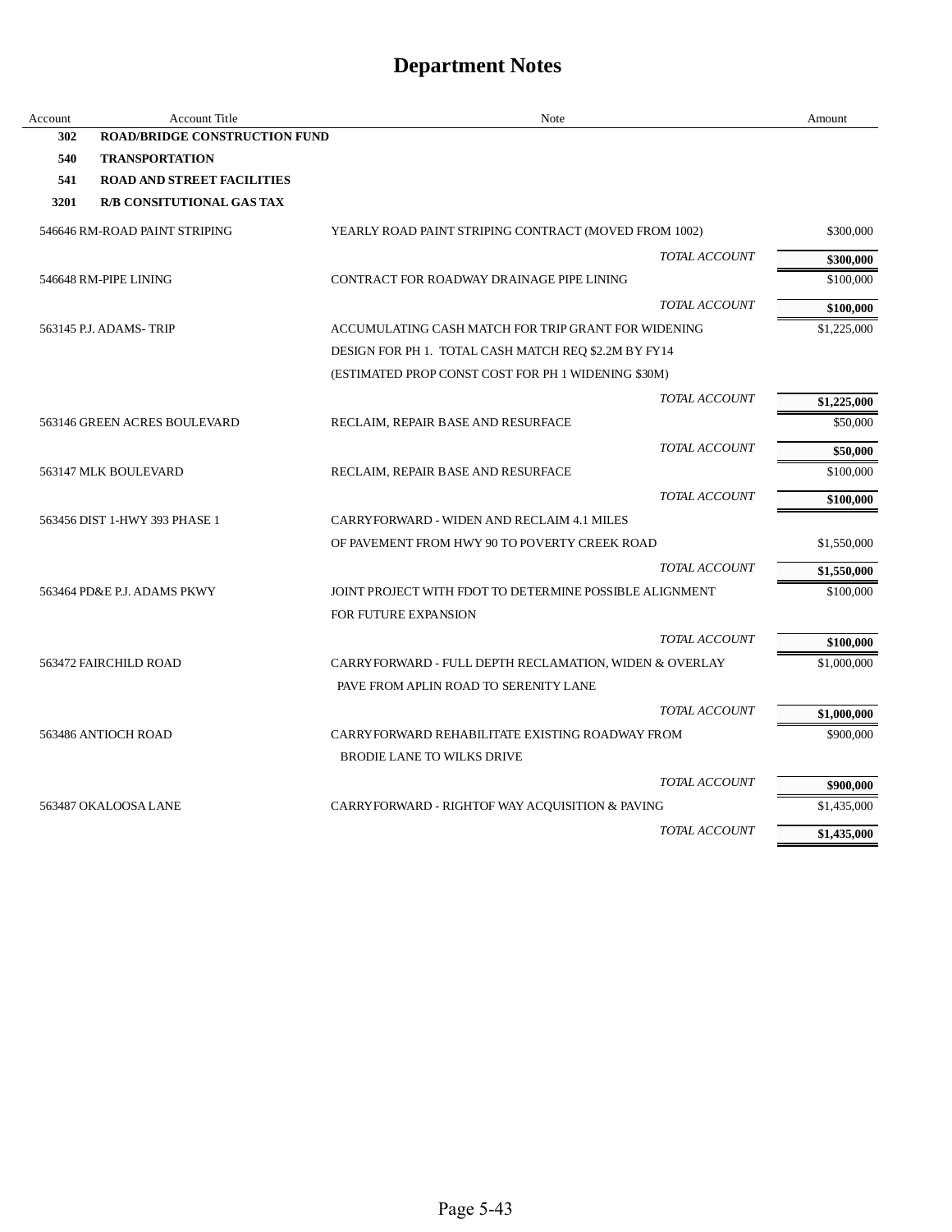| Account | <b>Account Title</b>                 | Note                                                    |                      | Amount      |
|---------|--------------------------------------|---------------------------------------------------------|----------------------|-------------|
| 302     | <b>ROAD/BRIDGE CONSTRUCTION FUND</b> |                                                         |                      |             |
| 540     | <b>TRANSPORTATION</b>                |                                                         |                      |             |
| 541     | <b>ROAD AND STREET FACILITIES</b>    |                                                         |                      |             |
| 3201    | <b>R/B CONSITUTIONAL GAS TAX</b>     |                                                         |                      |             |
|         | 546646 RM-ROAD PAINT STRIPING        | YEARLY ROAD PAINT STRIPING CONTRACT (MOVED FROM 1002)   |                      | \$300,000   |
|         |                                      |                                                         | <b>TOTAL ACCOUNT</b> | \$300,000   |
|         | 546648 RM-PIPE LINING                | CONTRACT FOR ROADWAY DRAINAGE PIPE LINING               |                      | \$100,000   |
|         |                                      |                                                         | TOTAL ACCOUNT        | \$100,000   |
|         | 563145 P.J. ADAMS-TRIP               | ACCUMULATING CASH MATCH FOR TRIP GRANT FOR WIDENING     |                      | \$1,225,000 |
|         |                                      | DESIGN FOR PH 1. TOTAL CASH MATCH REQ \$2.2M BY FY14    |                      |             |
|         |                                      | (ESTIMATED PROP CONST COST FOR PH 1 WIDENING \$30M)     |                      |             |
|         |                                      |                                                         | <b>TOTAL ACCOUNT</b> | \$1,225,000 |
|         | 563146 GREEN ACRES BOULEVARD         | RECLAIM, REPAIR BASE AND RESURFACE                      |                      | \$50,000    |
|         |                                      |                                                         | TOTAL ACCOUNT        | \$50,000    |
|         | 563147 MLK BOULEVARD                 | RECLAIM, REPAIR BASE AND RESURFACE                      |                      | \$100,000   |
|         |                                      |                                                         | TOTAL ACCOUNT        | \$100,000   |
|         | 563456 DIST 1-HWY 393 PHASE 1        | CARRYFORWARD - WIDEN AND RECLAIM 4.1 MILES              |                      |             |
|         |                                      | OF PAVEMENT FROM HWY 90 TO POVERTY CREEK ROAD           |                      | \$1,550,000 |
|         |                                      |                                                         | <b>TOTAL ACCOUNT</b> | \$1,550,000 |
|         | 563464 PD&E P.J. ADAMS PKWY          | JOINT PROJECT WITH FDOT TO DETERMINE POSSIBLE ALIGNMENT |                      | \$100,000   |
|         |                                      | <b>FOR FUTURE EXPANSION</b>                             |                      |             |
|         |                                      |                                                         | TOTAL ACCOUNT        | \$100,000   |
|         | 563472 FAIRCHILD ROAD                | CARRYFORWARD - FULL DEPTH RECLAMATION, WIDEN & OVERLAY  |                      | \$1,000,000 |
|         |                                      | PAVE FROM APLIN ROAD TO SERENITY LANE                   |                      |             |
|         |                                      |                                                         | <b>TOTAL ACCOUNT</b> | \$1,000,000 |
|         | 563486 ANTIOCH ROAD                  | CARRYFORWARD REHABILITATE EXISTING ROADWAY FROM         |                      | \$900,000   |
|         |                                      | <b>BRODIE LANE TO WILKS DRIVE</b>                       |                      |             |
|         |                                      |                                                         | <b>TOTAL ACCOUNT</b> | \$900,000   |
|         | 563487 OKALOOSA LANE                 | CARRYFORWARD - RIGHTOF WAY ACQUISITION & PAVING         |                      | \$1,435,000 |
|         |                                      |                                                         | TOTAL ACCOUNT        | \$1,435,000 |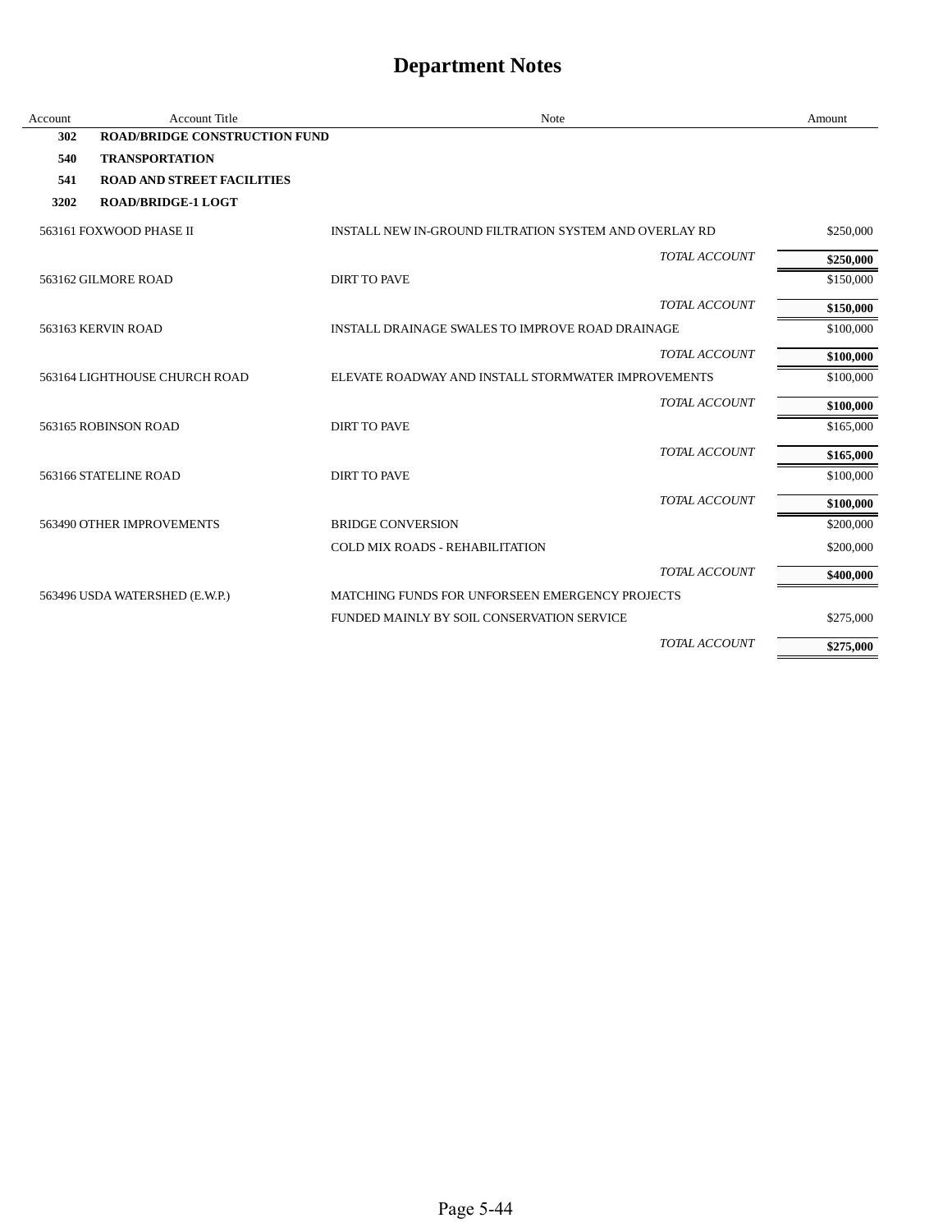| Account | <b>Account Title</b>                 | Note                                                   | Amount    |
|---------|--------------------------------------|--------------------------------------------------------|-----------|
| 302     | <b>ROAD/BRIDGE CONSTRUCTION FUND</b> |                                                        |           |
| 540     | <b>TRANSPORTATION</b>                |                                                        |           |
| 541     | <b>ROAD AND STREET FACILITIES</b>    |                                                        |           |
| 3202    | <b>ROAD/BRIDGE-1 LOGT</b>            |                                                        |           |
|         | 563161 FOXWOOD PHASE II              | INSTALL NEW IN-GROUND FILTRATION SYSTEM AND OVERLAY RD | \$250,000 |
|         |                                      | TOTAL ACCOUNT                                          | \$250,000 |
|         | 563162 GILMORE ROAD                  | <b>DIRT TO PAVE</b>                                    | \$150,000 |
|         |                                      | TOTAL ACCOUNT                                          | \$150,000 |
|         | 563163 KERVIN ROAD                   | INSTALL DRAINAGE SWALES TO IMPROVE ROAD DRAINAGE       | \$100,000 |
|         |                                      | TOTAL ACCOUNT                                          | \$100,000 |
|         | 563164 LIGHTHOUSE CHURCH ROAD        | ELEVATE ROADWAY AND INSTALL STORMWATER IMPROVEMENTS    | \$100,000 |
|         |                                      | TOTAL ACCOUNT                                          | \$100,000 |
|         | 563165 ROBINSON ROAD                 | <b>DIRT TO PAVE</b>                                    | \$165,000 |
|         |                                      | TOTAL ACCOUNT                                          | \$165,000 |
|         | 563166 STATELINE ROAD                | <b>DIRT TO PAVE</b>                                    | \$100,000 |
|         |                                      | TOTAL ACCOUNT                                          | \$100,000 |
|         | 563490 OTHER IMPROVEMENTS            | <b>BRIDGE CONVERSION</b>                               | \$200,000 |
|         |                                      | <b>COLD MIX ROADS - REHABILITATION</b>                 | \$200,000 |
|         |                                      | TOTAL ACCOUNT                                          | \$400,000 |
|         | 563496 USDA WATERSHED (E.W.P.)       | MATCHING FUNDS FOR UNFORSEEN EMERGENCY PROJECTS        |           |
|         |                                      | FUNDED MAINLY BY SOIL CONSERVATION SERVICE             | \$275,000 |
|         |                                      | TOTAL ACCOUNT                                          | \$275,000 |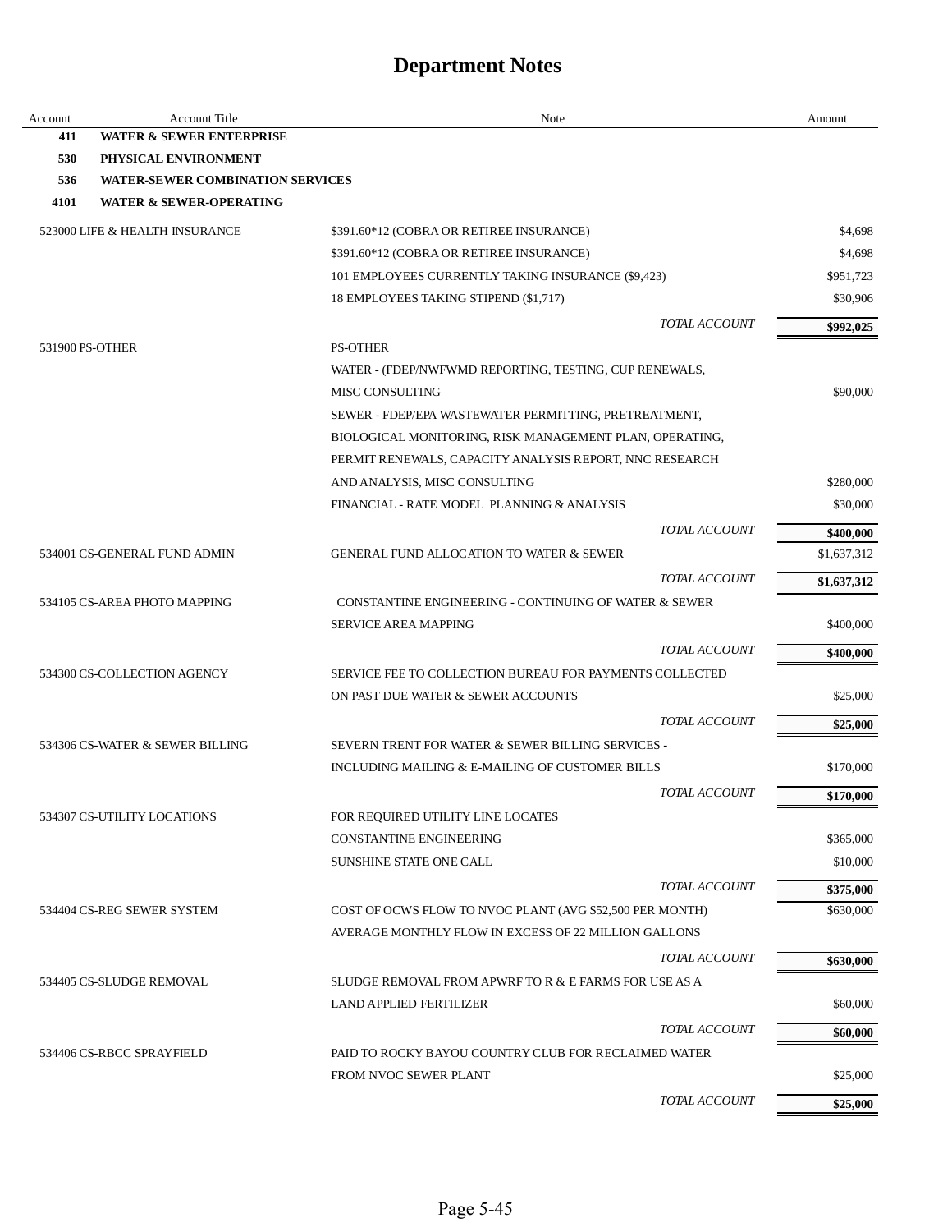| Account         | Account Title                           | Note                                                     |               | Amount      |
|-----------------|-----------------------------------------|----------------------------------------------------------|---------------|-------------|
| 411             | <b>WATER &amp; SEWER ENTERPRISE</b>     |                                                          |               |             |
| 530             | PHYSICAL ENVIRONMENT                    |                                                          |               |             |
| 536             | <b>WATER-SEWER COMBINATION SERVICES</b> |                                                          |               |             |
| 4101            | <b>WATER &amp; SEWER-OPERATING</b>      |                                                          |               |             |
|                 | 523000 LIFE & HEALTH INSURANCE          | \$391.60*12 (COBRA OR RETIREE INSURANCE)                 |               | \$4,698     |
|                 |                                         | \$391.60*12 (COBRA OR RETIREE INSURANCE)                 |               | \$4,698     |
|                 |                                         | 101 EMPLOYEES CURRENTLY TAKING INSURANCE (\$9,423)       |               | \$951,723   |
|                 |                                         | 18 EMPLOYEES TAKING STIPEND (\$1,717)                    |               | \$30,906    |
|                 |                                         |                                                          | TOTAL ACCOUNT | \$992,025   |
| 531900 PS-OTHER |                                         | <b>PS-OTHER</b>                                          |               |             |
|                 |                                         | WATER - (FDEP/NWFWMD REPORTING, TESTING, CUP RENEWALS,   |               |             |
|                 |                                         | <b>MISC CONSULTING</b>                                   |               | \$90,000    |
|                 |                                         | SEWER - FDEP/EPA WASTEWATER PERMITTING, PRETREATMENT,    |               |             |
|                 |                                         | BIOLOGICAL MONITORING, RISK MANAGEMENT PLAN, OPERATING,  |               |             |
|                 |                                         | PERMIT RENEWALS, CAPACITY ANALYSIS REPORT, NNC RESEARCH  |               |             |
|                 |                                         | AND ANALYSIS, MISC CONSULTING                            |               | \$280,000   |
|                 |                                         | FINANCIAL - RATE MODEL PLANNING & ANALYSIS               |               | \$30,000    |
|                 |                                         |                                                          | TOTAL ACCOUNT | \$400,000   |
|                 | 534001 CS-GENERAL FUND ADMIN            | <b>GENERAL FUND ALLOCATION TO WATER &amp; SEWER</b>      |               | \$1,637,312 |
|                 |                                         |                                                          | TOTAL ACCOUNT |             |
|                 |                                         |                                                          |               | \$1,637,312 |
|                 | 534105 CS-AREA PHOTO MAPPING            | CONSTANTINE ENGINEERING - CONTINUING OF WATER & SEWER    |               |             |
|                 |                                         | <b>SERVICE AREA MAPPING</b>                              |               | \$400,000   |
|                 |                                         |                                                          | TOTAL ACCOUNT | \$400,000   |
|                 | 534300 CS-COLLECTION AGENCY             | SERVICE FEE TO COLLECTION BUREAU FOR PAYMENTS COLLECTED  |               |             |
|                 |                                         | ON PAST DUE WATER & SEWER ACCOUNTS                       |               | \$25,000    |
|                 |                                         |                                                          | TOTAL ACCOUNT | \$25,000    |
|                 | 534306 CS-WATER & SEWER BILLING         | SEVERN TRENT FOR WATER & SEWER BILLING SERVICES -        |               |             |
|                 |                                         | INCLUDING MAILING & E-MAILING OF CUSTOMER BILLS          |               | \$170,000   |
|                 |                                         |                                                          | TOTAL ACCOUNT | \$170,000   |
|                 | 534307 CS-UTILITY LOCATIONS             | FOR REQUIRED UTILITY LINE LOCATES                        |               |             |
|                 |                                         | <b>CONSTANTINE ENGINEERING</b>                           |               | \$365,000   |
|                 |                                         | <b>SUNSHINE STATE ONE CALL</b>                           |               | \$10,000    |
|                 |                                         |                                                          | TOTAL ACCOUNT | \$375,000   |
|                 | 534404 CS-REG SEWER SYSTEM              | COST OF OCWS FLOW TO NVOC PLANT (AVG \$52,500 PER MONTH) |               | \$630,000   |
|                 |                                         | AVERAGE MONTHLY FLOW IN EXCESS OF 22 MILLION GALLONS     |               |             |
|                 |                                         |                                                          | TOTAL ACCOUNT | \$630,000   |
|                 | 534405 CS-SLUDGE REMOVAL                | SLUDGE REMOVAL FROM APWRF TO R & E FARMS FOR USE AS A    |               |             |
|                 |                                         | <b>LAND APPLIED FERTILIZER</b>                           |               | \$60,000    |
|                 |                                         |                                                          | TOTAL ACCOUNT |             |
|                 | 534406 CS-RBCC SPRAYFIELD               | PAID TO ROCKY BAYOU COUNTRY CLUB FOR RECLAIMED WATER     |               | \$60,000    |
|                 |                                         | FROM NVOC SEWER PLANT                                    |               |             |
|                 |                                         |                                                          |               | \$25,000    |
|                 |                                         |                                                          | TOTAL ACCOUNT | \$25,000    |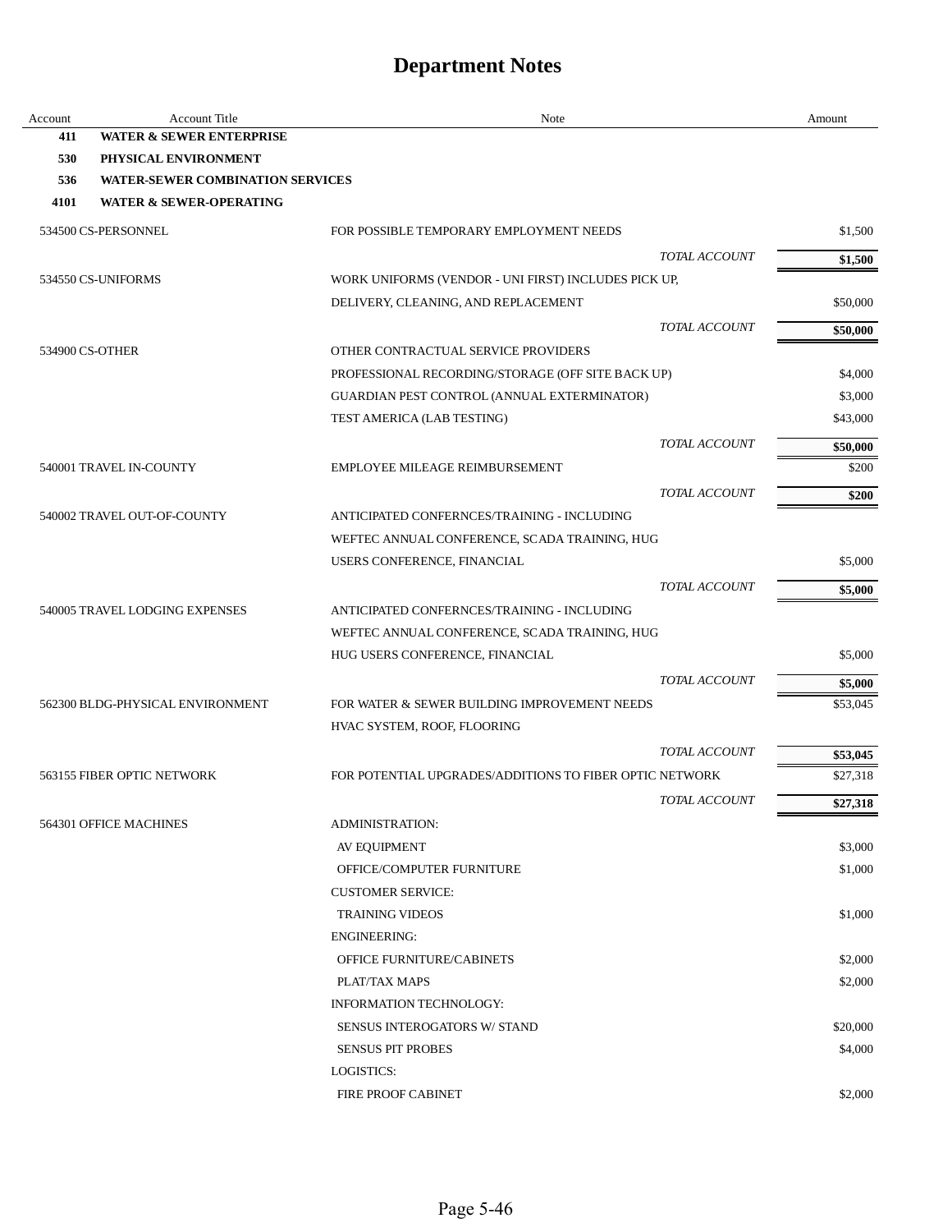| Account | <b>Account Title</b>                    | Note                                                                        | Amount   |
|---------|-----------------------------------------|-----------------------------------------------------------------------------|----------|
| 411     | <b>WATER &amp; SEWER ENTERPRISE</b>     |                                                                             |          |
| 530     | PHYSICAL ENVIRONMENT                    |                                                                             |          |
| 536     | <b>WATER-SEWER COMBINATION SERVICES</b> |                                                                             |          |
| 4101    | <b>WATER &amp; SEWER-OPERATING</b>      |                                                                             |          |
|         | 534500 CS-PERSONNEL                     | FOR POSSIBLE TEMPORARY EMPLOYMENT NEEDS                                     | \$1,500  |
|         |                                         | TOTAL ACCOUNT                                                               | \$1,500  |
|         | 534550 CS-UNIFORMS                      | WORK UNIFORMS (VENDOR - UNI FIRST) INCLUDES PICK UP,                        |          |
|         |                                         | DELIVERY, CLEANING, AND REPLACEMENT                                         | \$50,000 |
|         |                                         | TOTAL ACCOUNT                                                               | \$50,000 |
|         | 534900 CS-OTHER                         | OTHER CONTRACTUAL SERVICE PROVIDERS                                         |          |
|         |                                         | PROFESSIONAL RECORDING/STORAGE (OFF SITE BACK UP)                           | \$4,000  |
|         |                                         | GUARDIAN PEST CONTROL (ANNUAL EXTERMINATOR)                                 | \$3,000  |
|         |                                         | TEST AMERICA (LAB TESTING)                                                  | \$43,000 |
|         |                                         | TOTAL ACCOUNT                                                               | \$50,000 |
|         | 540001 TRAVEL IN-COUNTY                 | EMPLOYEE MILEAGE REIMBURSEMENT                                              | \$200    |
|         |                                         | TOTAL ACCOUNT                                                               |          |
|         | 540002 TRAVEL OUT-OF-COUNTY             | ANTICIPATED CONFERNCES/TRAINING - INCLUDING                                 | \$200    |
|         |                                         | WEFTEC ANNUAL CONFERENCE, SCADA TRAINING, HUG                               |          |
|         |                                         | USERS CONFERENCE, FINANCIAL                                                 | \$5,000  |
|         |                                         | TOTAL ACCOUNT                                                               |          |
|         | 540005 TRAVEL LODGING EXPENSES          | ANTICIPATED CONFERNCES/TRAINING - INCLUDING                                 | \$5,000  |
|         |                                         | WEFTEC ANNUAL CONFERENCE, SCADA TRAINING, HUG                               |          |
|         |                                         | HUG USERS CONFERENCE, FINANCIAL                                             | \$5,000  |
|         |                                         |                                                                             |          |
|         |                                         | TOTAL ACCOUNT                                                               | \$5,000  |
|         | 562300 BLDG-PHYSICAL ENVIRONMENT        | FOR WATER & SEWER BUILDING IMPROVEMENT NEEDS<br>HVAC SYSTEM, ROOF, FLOORING | \$53,045 |
|         |                                         |                                                                             |          |
|         |                                         | TOTAL ACCOUNT                                                               | \$53,045 |
|         | 563155 FIBER OPTIC NETWORK              | FOR POTENTIAL UPGRADES/ADDITIONS TO FIBER OPTIC NETWORK                     | \$27,318 |
|         |                                         | TOTAL ACCOUNT                                                               | \$27,318 |
|         | 564301 OFFICE MACHINES                  | <b>ADMINISTRATION:</b>                                                      |          |
|         |                                         | AV EQUIPMENT                                                                | \$3,000  |
|         |                                         | OFFICE/COMPUTER FURNITURE                                                   | \$1,000  |
|         |                                         | <b>CUSTOMER SERVICE:</b>                                                    |          |
|         |                                         | <b>TRAINING VIDEOS</b>                                                      | \$1,000  |
|         |                                         | <b>ENGINEERING:</b>                                                         |          |
|         |                                         | OFFICE FURNITURE/CABINETS                                                   | \$2,000  |
|         |                                         | PLAT/TAX MAPS                                                               | \$2,000  |
|         |                                         | INFORMATION TECHNOLOGY:                                                     |          |
|         |                                         | SENSUS INTEROGATORS W/ STAND                                                | \$20,000 |
|         |                                         | <b>SENSUS PIT PROBES</b>                                                    | \$4,000  |
|         |                                         | LOGISTICS:                                                                  |          |
|         |                                         | FIRE PROOF CABINET                                                          | \$2,000  |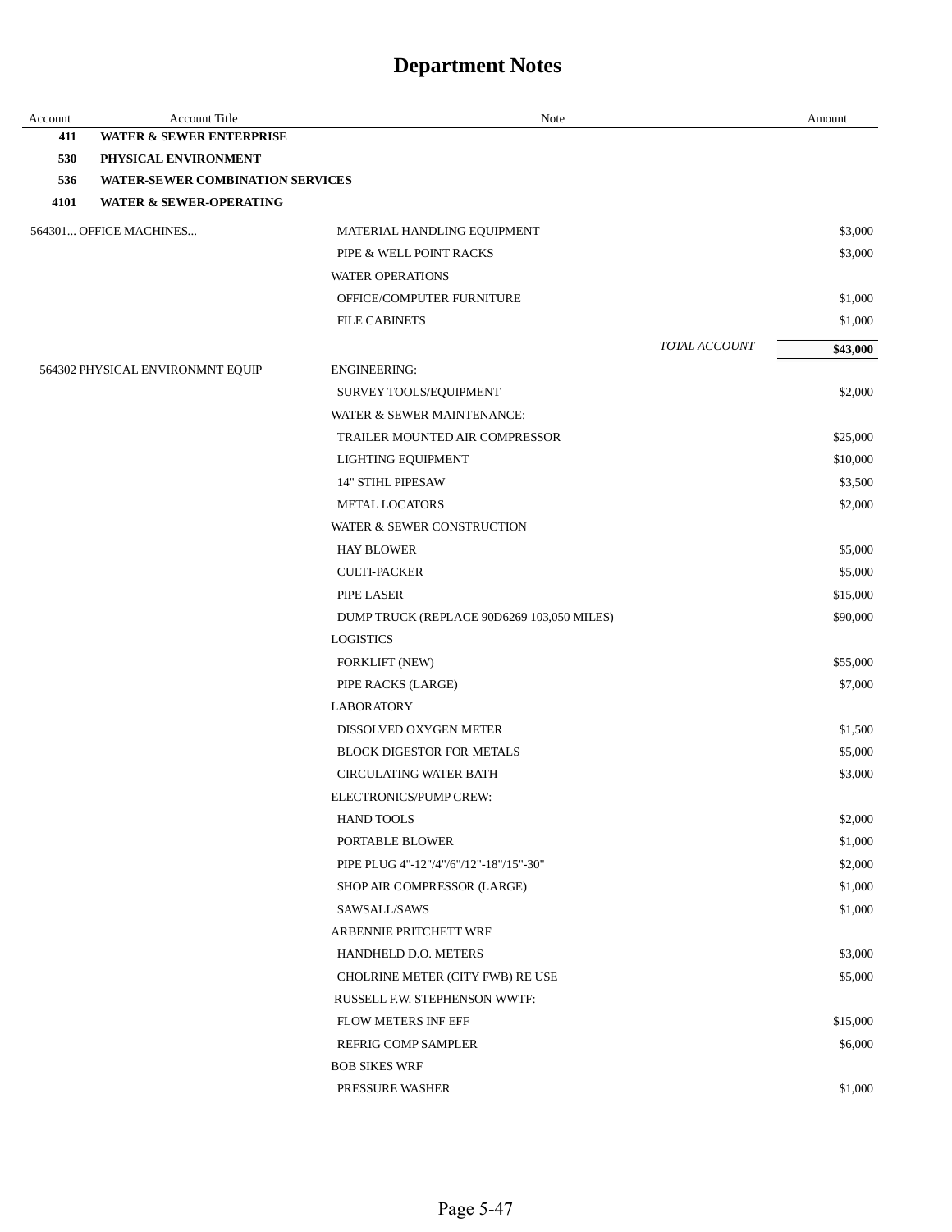| Account | <b>Account Title</b>                    | Note                                       |               | Amount   |
|---------|-----------------------------------------|--------------------------------------------|---------------|----------|
| 411     | <b>WATER &amp; SEWER ENTERPRISE</b>     |                                            |               |          |
| 530     | PHYSICAL ENVIRONMENT                    |                                            |               |          |
| 536     | <b>WATER-SEWER COMBINATION SERVICES</b> |                                            |               |          |
| 4101    | <b>WATER &amp; SEWER-OPERATING</b>      |                                            |               |          |
|         | 564301 OFFICE MACHINES                  | MATERIAL HANDLING EQUIPMENT                |               | \$3,000  |
|         |                                         | PIPE & WELL POINT RACKS                    |               | \$3,000  |
|         |                                         | <b>WATER OPERATIONS</b>                    |               |          |
|         |                                         | OFFICE/COMPUTER FURNITURE                  |               | \$1,000  |
|         |                                         | <b>FILE CABINETS</b>                       |               | \$1,000  |
|         |                                         |                                            | TOTAL ACCOUNT | \$43,000 |
|         | 564302 PHYSICAL ENVIRONMNT EQUIP        | <b>ENGINEERING:</b>                        |               |          |
|         |                                         | SURVEY TOOLS/EQUIPMENT                     |               | \$2,000  |
|         |                                         | WATER & SEWER MAINTENANCE:                 |               |          |
|         |                                         | TRAILER MOUNTED AIR COMPRESSOR             |               | \$25,000 |
|         |                                         | LIGHTING EQUIPMENT                         |               | \$10,000 |
|         |                                         | <b>14" STIHL PIPESAW</b>                   |               | \$3,500  |
|         |                                         | <b>METAL LOCATORS</b>                      |               | \$2,000  |
|         |                                         | WATER & SEWER CONSTRUCTION                 |               |          |
|         |                                         | <b>HAY BLOWER</b>                          |               | \$5,000  |
|         |                                         | <b>CULTI-PACKER</b>                        |               | \$5,000  |
|         |                                         | PIPE LASER                                 |               | \$15,000 |
|         |                                         | DUMP TRUCK (REPLACE 90D6269 103,050 MILES) |               | \$90,000 |
|         |                                         | <b>LOGISTICS</b>                           |               |          |
|         |                                         | FORKLIFT (NEW)                             |               | \$55,000 |
|         |                                         | PIPE RACKS (LARGE)                         |               | \$7,000  |
|         |                                         | <b>LABORATORY</b>                          |               |          |
|         |                                         | DISSOLVED OXYGEN METER                     |               | \$1,500  |
|         |                                         | <b>BLOCK DIGESTOR FOR METALS</b>           |               | \$5,000  |
|         |                                         | <b>CIRCULATING WATER BATH</b>              |               | \$3,000  |
|         |                                         | ELECTRONICS/PUMP CREW:                     |               |          |
|         |                                         | <b>HAND TOOLS</b>                          |               | \$2,000  |
|         |                                         | PORTABLE BLOWER                            |               | \$1,000  |
|         |                                         | PIPE PLUG 4"-12"/4"/6"/12"-18"/15"-30"     |               | \$2,000  |
|         |                                         | SHOP AIR COMPRESSOR (LARGE)                |               | \$1,000  |
|         |                                         | SAWSALL/SAWS                               |               | \$1,000  |
|         |                                         | ARBENNIE PRITCHETT WRF                     |               |          |
|         |                                         | HANDHELD D.O. METERS                       |               | \$3,000  |
|         |                                         | CHOLRINE METER (CITY FWB) RE USE           |               | \$5,000  |
|         |                                         | RUSSELL F.W. STEPHENSON WWTF:              |               |          |
|         |                                         | <b>FLOW METERS INF EFF</b>                 |               | \$15,000 |
|         |                                         | REFRIG COMP SAMPLER                        |               | \$6,000  |
|         |                                         | <b>BOB SIKES WRF</b>                       |               |          |
|         |                                         | PRESSURE WASHER                            |               | \$1,000  |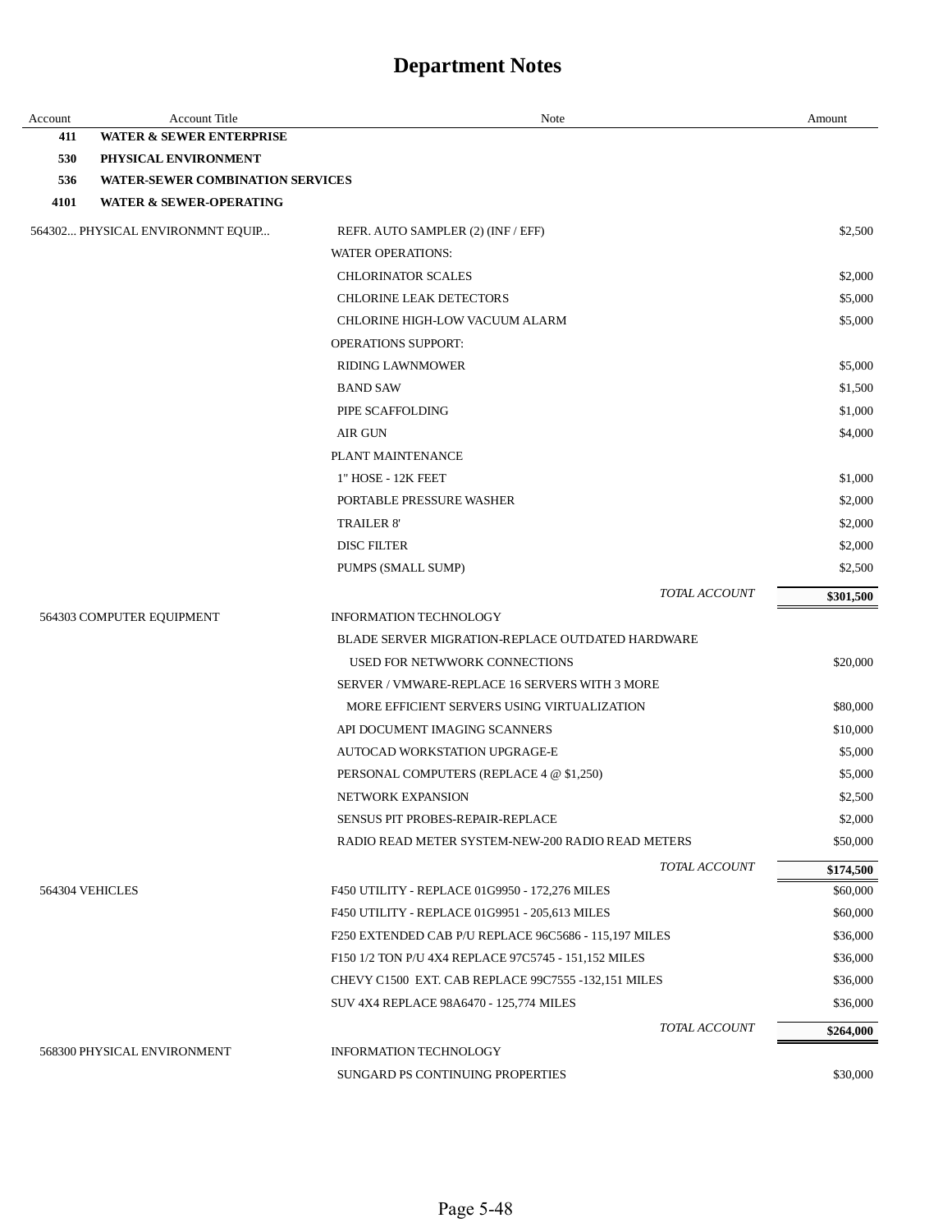| Account | Account Title                           | Note                                                    | Amount    |
|---------|-----------------------------------------|---------------------------------------------------------|-----------|
| 411     | <b>WATER &amp; SEWER ENTERPRISE</b>     |                                                         |           |
| 530     | PHYSICAL ENVIRONMENT                    |                                                         |           |
| 536     | <b>WATER-SEWER COMBINATION SERVICES</b> |                                                         |           |
| 4101    | <b>WATER &amp; SEWER-OPERATING</b>      |                                                         |           |
|         | 564302 PHYSICAL ENVIRONMNT EQUIP        | REFR. AUTO SAMPLER (2) (INF / EFF)                      | \$2,500   |
|         |                                         | <b>WATER OPERATIONS:</b>                                |           |
|         |                                         | <b>CHLORINATOR SCALES</b>                               | \$2,000   |
|         |                                         | <b>CHLORINE LEAK DETECTORS</b>                          | \$5,000   |
|         |                                         | CHLORINE HIGH-LOW VACUUM ALARM                          | \$5,000   |
|         |                                         | <b>OPERATIONS SUPPORT:</b>                              |           |
|         |                                         | <b>RIDING LAWNMOWER</b>                                 | \$5,000   |
|         |                                         | <b>BAND SAW</b>                                         | \$1,500   |
|         |                                         | PIPE SCAFFOLDING                                        | \$1,000   |
|         |                                         | <b>AIR GUN</b>                                          | \$4,000   |
|         |                                         | PLANT MAINTENANCE                                       |           |
|         |                                         | 1" HOSE - 12K FEET                                      | \$1,000   |
|         |                                         | PORTABLE PRESSURE WASHER                                | \$2,000   |
|         |                                         | <b>TRAILER 8'</b>                                       | \$2,000   |
|         |                                         | <b>DISC FILTER</b>                                      | \$2,000   |
|         |                                         | PUMPS (SMALL SUMP)                                      | \$2,500   |
|         |                                         | TOTAL ACCOUNT                                           | \$301,500 |
|         | 564303 COMPUTER EQUIPMENT               | <b>INFORMATION TECHNOLOGY</b>                           |           |
|         |                                         | <b>BLADE SERVER MIGRATION-REPLACE OUTDATED HARDWARE</b> |           |
|         |                                         | USED FOR NETWWORK CONNECTIONS                           | \$20,000  |
|         |                                         | SERVER / VMWARE-REPLACE 16 SERVERS WITH 3 MORE          |           |
|         |                                         | MORE EFFICIENT SERVERS USING VIRTUALIZATION             | \$80,000  |
|         |                                         | API DOCUMENT IMAGING SCANNERS                           | \$10,000  |
|         |                                         | AUTOCAD WORKSTATION UPGRAGE-E                           | \$5,000   |
|         |                                         | PERSONAL COMPUTERS (REPLACE 4 @ \$1,250)                | \$5,000   |
|         |                                         | <b>NETWORK EXPANSION</b>                                | \$2,500   |
|         |                                         | SENSUS PIT PROBES-REPAIR-REPLACE                        | \$2,000   |
|         |                                         | RADIO READ METER SYSTEM-NEW-200 RADIO READ METERS       | \$50,000  |
|         |                                         | TOTAL ACCOUNT                                           | \$174,500 |
|         | 564304 VEHICLES                         | F450 UTILITY - REPLACE 01G9950 - 172,276 MILES          | \$60,000  |
|         |                                         | F450 UTILITY - REPLACE 01G9951 - 205,613 MILES          | \$60,000  |
|         |                                         | F250 EXTENDED CAB P/U REPLACE 96C5686 - 115,197 MILES   | \$36,000  |
|         |                                         | F150 1/2 TON P/U 4X4 REPLACE 97C5745 - 151,152 MILES    | \$36,000  |
|         |                                         | CHEVY C1500 EXT. CAB REPLACE 99C7555 -132,151 MILES     | \$36,000  |
|         |                                         | SUV 4X4 REPLACE 98A6470 - 125,774 MILES                 | \$36,000  |
|         |                                         | TOTAL ACCOUNT                                           | \$264,000 |
|         | 568300 PHYSICAL ENVIRONMENT             | <b>INFORMATION TECHNOLOGY</b>                           |           |
|         |                                         | SUNGARD PS CONTINUING PROPERTIES                        | \$30,000  |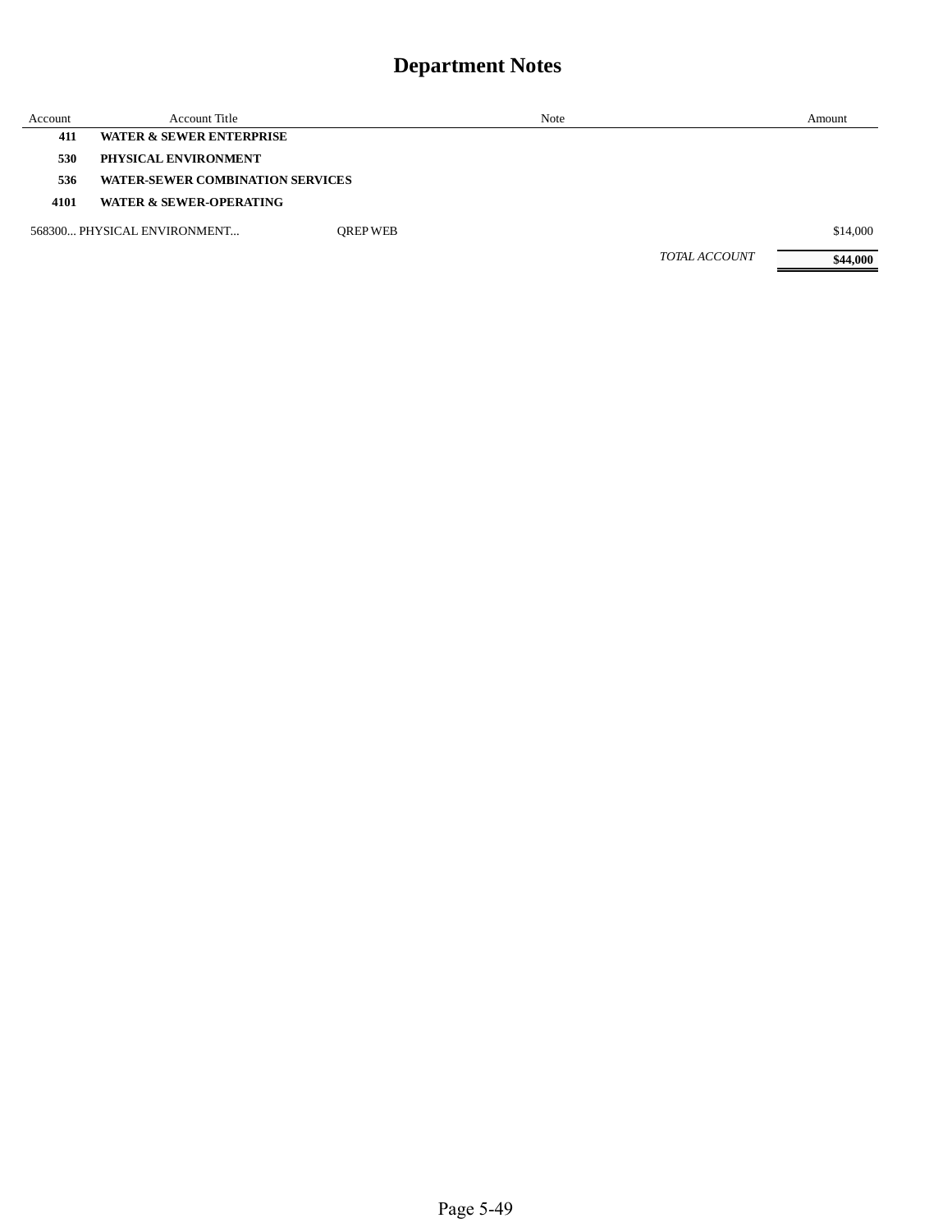| Account | Account Title                           |                 | Note                 | Amount   |
|---------|-----------------------------------------|-----------------|----------------------|----------|
| 411     | <b>WATER &amp; SEWER ENTERPRISE</b>     |                 |                      |          |
| 530     | PHYSICAL ENVIRONMENT                    |                 |                      |          |
| 536     | <b>WATER-SEWER COMBINATION SERVICES</b> |                 |                      |          |
| 4101    | <b>WATER &amp; SEWER-OPERATING</b>      |                 |                      |          |
|         | 568300 PHYSICAL ENVIRONMENT             | <b>OREP WEB</b> |                      | \$14,000 |
|         |                                         |                 | <b>TOTAL ACCOUNT</b> | \$44,000 |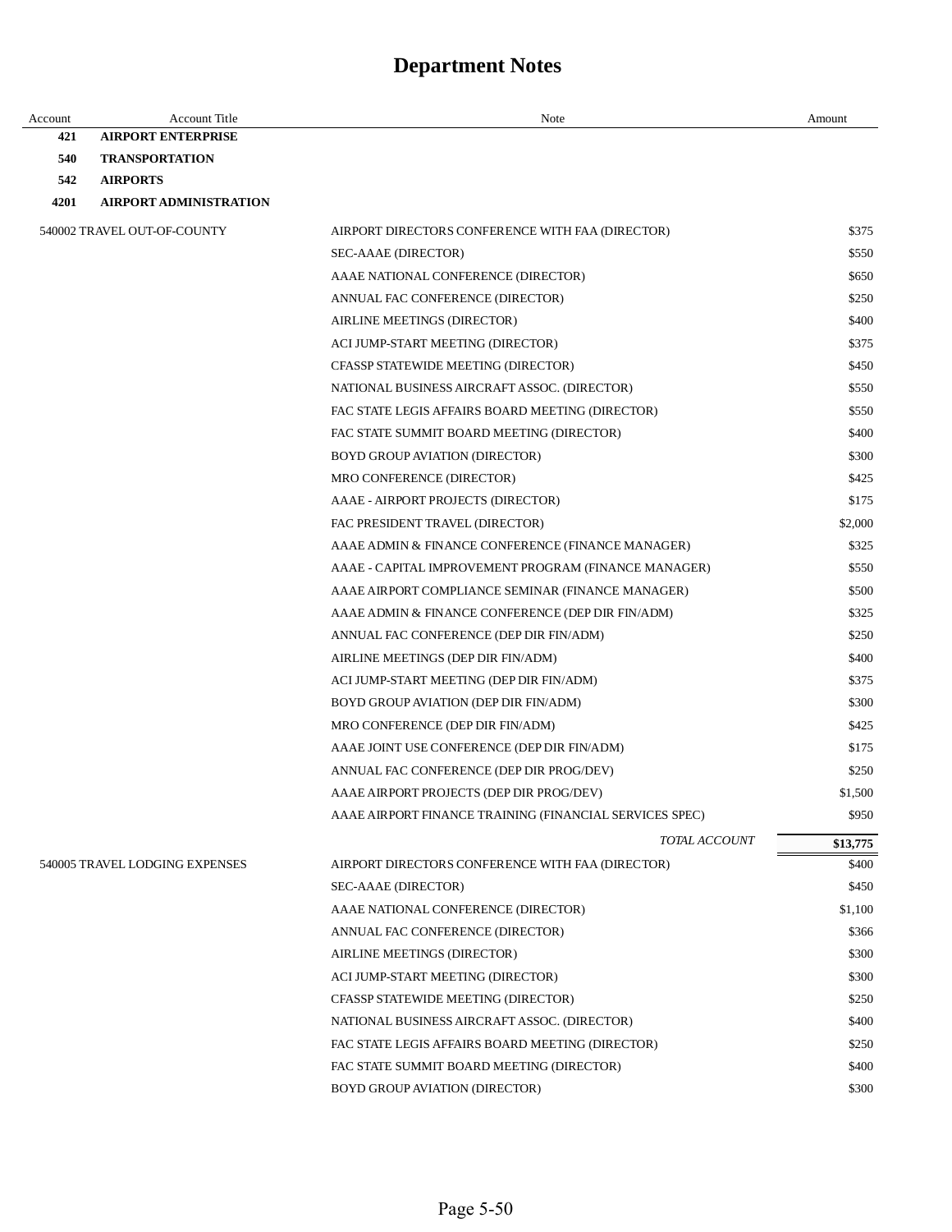| Account | <b>Account Title</b>           | Note                                                    | Amount   |
|---------|--------------------------------|---------------------------------------------------------|----------|
| 421     | <b>AIRPORT ENTERPRISE</b>      |                                                         |          |
| 540     | <b>TRANSPORTATION</b>          |                                                         |          |
| 542     | <b>AIRPORTS</b>                |                                                         |          |
| 4201    | <b>AIRPORT ADMINISTRATION</b>  |                                                         |          |
|         | 540002 TRAVEL OUT-OF-COUNTY    | AIRPORT DIRECTORS CONFERENCE WITH FAA (DIRECTOR)        | \$375    |
|         |                                | SEC-AAAE (DIRECTOR)                                     | \$550    |
|         |                                | AAAE NATIONAL CONFERENCE (DIRECTOR)                     | \$650    |
|         |                                | ANNUAL FAC CONFERENCE (DIRECTOR)                        | \$250    |
|         |                                | AIRLINE MEETINGS (DIRECTOR)                             | \$400    |
|         |                                | ACI JUMP-START MEETING (DIRECTOR)                       | \$375    |
|         |                                | CFASSP STATEWIDE MEETING (DIRECTOR)                     | \$450    |
|         |                                | NATIONAL BUSINESS AIRCRAFT ASSOC. (DIRECTOR)            | \$550    |
|         |                                | FAC STATE LEGIS AFFAIRS BOARD MEETING (DIRECTOR)        | \$550    |
|         |                                | FAC STATE SUMMIT BOARD MEETING (DIRECTOR)               | \$400    |
|         |                                | BOYD GROUP AVIATION (DIRECTOR)                          | \$300    |
|         |                                | MRO CONFERENCE (DIRECTOR)                               | \$425    |
|         |                                | AAAE - AIRPORT PROJECTS (DIRECTOR)                      | \$175    |
|         |                                | FAC PRESIDENT TRAVEL (DIRECTOR)                         | \$2,000  |
|         |                                | AAAE ADMIN & FINANCE CONFERENCE (FINANCE MANAGER)       | \$325    |
|         |                                | AAAE - CAPITAL IMPROVEMENT PROGRAM (FINANCE MANAGER)    | \$550    |
|         |                                | AAAE AIRPORT COMPLIANCE SEMINAR (FINANCE MANAGER)       | \$500    |
|         |                                | AAAE ADMIN & FINANCE CONFERENCE (DEP DIR FIN/ADM)       | \$325    |
|         |                                | ANNUAL FAC CONFERENCE (DEP DIR FIN/ADM)                 | \$250    |
|         |                                | AIRLINE MEETINGS (DEP DIR FIN/ADM)                      | \$400    |
|         |                                | ACI JUMP-START MEETING (DEP DIR FIN/ADM)                | \$375    |
|         |                                | BOYD GROUP AVIATION (DEP DIR FIN/ADM)                   | \$300    |
|         |                                | MRO CONFERENCE (DEP DIR FIN/ADM)                        | \$425    |
|         |                                | AAAE JOINT USE CONFERENCE (DEP DIR FIN/ADM)             | \$175    |
|         |                                | ANNUAL FAC CONFERENCE (DEP DIR PROG/DEV)                | \$250    |
|         |                                | AAAE AIRPORT PROJECTS (DEP DIR PROG/DEV)                | \$1,500  |
|         |                                | AAAE AIRPORT FINANCE TRAINING (FINANCIAL SERVICES SPEC) | \$950    |
|         |                                | TOTAL ACCOUNT                                           | \$13,775 |
|         | 540005 TRAVEL LODGING EXPENSES | AIRPORT DIRECTORS CONFERENCE WITH FAA (DIRECTOR)        | \$400    |
|         |                                | SEC-AAAE (DIRECTOR)                                     | \$450    |
|         |                                | AAAE NATIONAL CONFERENCE (DIRECTOR)                     | \$1,100  |
|         |                                | ANNUAL FAC CONFERENCE (DIRECTOR)                        | \$366    |
|         |                                | AIRLINE MEETINGS (DIRECTOR)                             | \$300    |
|         |                                | ACI JUMP-START MEETING (DIRECTOR)                       | \$300    |
|         |                                | CFASSP STATEWIDE MEETING (DIRECTOR)                     | \$250    |
|         |                                | NATIONAL BUSINESS AIRCRAFT ASSOC. (DIRECTOR)            | \$400    |
|         |                                | FAC STATE LEGIS AFFAIRS BOARD MEETING (DIRECTOR)        | \$250    |
|         |                                | FAC STATE SUMMIT BOARD MEETING (DIRECTOR)               | \$400    |
|         |                                | <b>BOYD GROUP AVIATION (DIRECTOR)</b>                   | \$300    |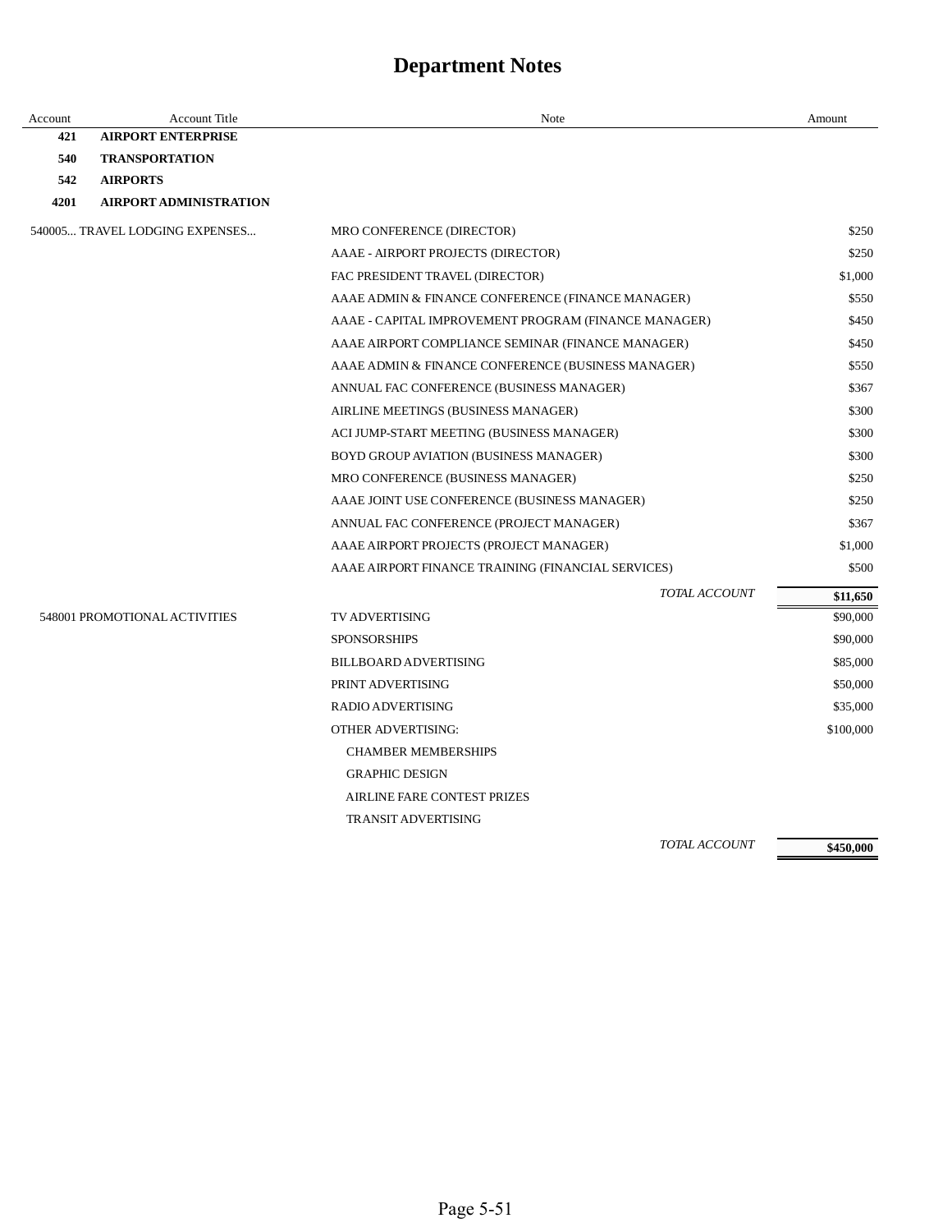| Account | <b>Account Title</b>           | Note                                                 | Amount    |
|---------|--------------------------------|------------------------------------------------------|-----------|
| 421     | <b>AIRPORT ENTERPRISE</b>      |                                                      |           |
| 540     | <b>TRANSPORTATION</b>          |                                                      |           |
| 542     | <b>AIRPORTS</b>                |                                                      |           |
| 4201    | <b>AIRPORT ADMINISTRATION</b>  |                                                      |           |
|         | 540005 TRAVEL LODGING EXPENSES | MRO CONFERENCE (DIRECTOR)                            | \$250     |
|         |                                | AAAE - AIRPORT PROJECTS (DIRECTOR)                   | \$250     |
|         |                                | FAC PRESIDENT TRAVEL (DIRECTOR)                      | \$1,000   |
|         |                                | AAAE ADMIN & FINANCE CONFERENCE (FINANCE MANAGER)    | \$550     |
|         |                                | AAAE - CAPITAL IMPROVEMENT PROGRAM (FINANCE MANAGER) | \$450     |
|         |                                | AAAE AIRPORT COMPLIANCE SEMINAR (FINANCE MANAGER)    | \$450     |
|         |                                | AAAE ADMIN & FINANCE CONFERENCE (BUSINESS MANAGER)   | \$550     |
|         |                                | ANNUAL FAC CONFERENCE (BUSINESS MANAGER)             | \$367     |
|         |                                | AIRLINE MEETINGS (BUSINESS MANAGER)                  | \$300     |
|         |                                | ACI JUMP-START MEETING (BUSINESS MANAGER)            | \$300     |
|         |                                | BOYD GROUP AVIATION (BUSINESS MANAGER)               | \$300     |
|         |                                | MRO CONFERENCE (BUSINESS MANAGER)                    | \$250     |
|         |                                | AAAE JOINT USE CONFERENCE (BUSINESS MANAGER)         | \$250     |
|         |                                | ANNUAL FAC CONFERENCE (PROJECT MANAGER)              | \$367     |
|         |                                | AAAE AIRPORT PROJECTS (PROJECT MANAGER)              | \$1,000   |
|         |                                | AAAE AIRPORT FINANCE TRAINING (FINANCIAL SERVICES)   | \$500     |
|         |                                | TOTAL ACCOUNT                                        | \$11,650  |
|         | 548001 PROMOTIONAL ACTIVITIES  | TV ADVERTISING                                       | \$90,000  |
|         |                                | <b>SPONSORSHIPS</b>                                  | \$90,000  |
|         |                                | <b>BILLBOARD ADVERTISING</b>                         | \$85,000  |
|         |                                | PRINT ADVERTISING                                    | \$50,000  |
|         |                                | RADIO ADVERTISING                                    | \$35,000  |
|         |                                | <b>OTHER ADVERTISING:</b>                            | \$100,000 |
|         |                                | <b>CHAMBER MEMBERSHIPS</b>                           |           |
|         |                                | <b>GRAPHIC DESIGN</b>                                |           |
|         |                                | <b>AIRLINE FARE CONTEST PRIZES</b>                   |           |
|         |                                | <b>TRANSIT ADVERTISING</b>                           |           |
|         |                                |                                                      |           |

*TOTAL ACCOUNT* 

**\$450,000**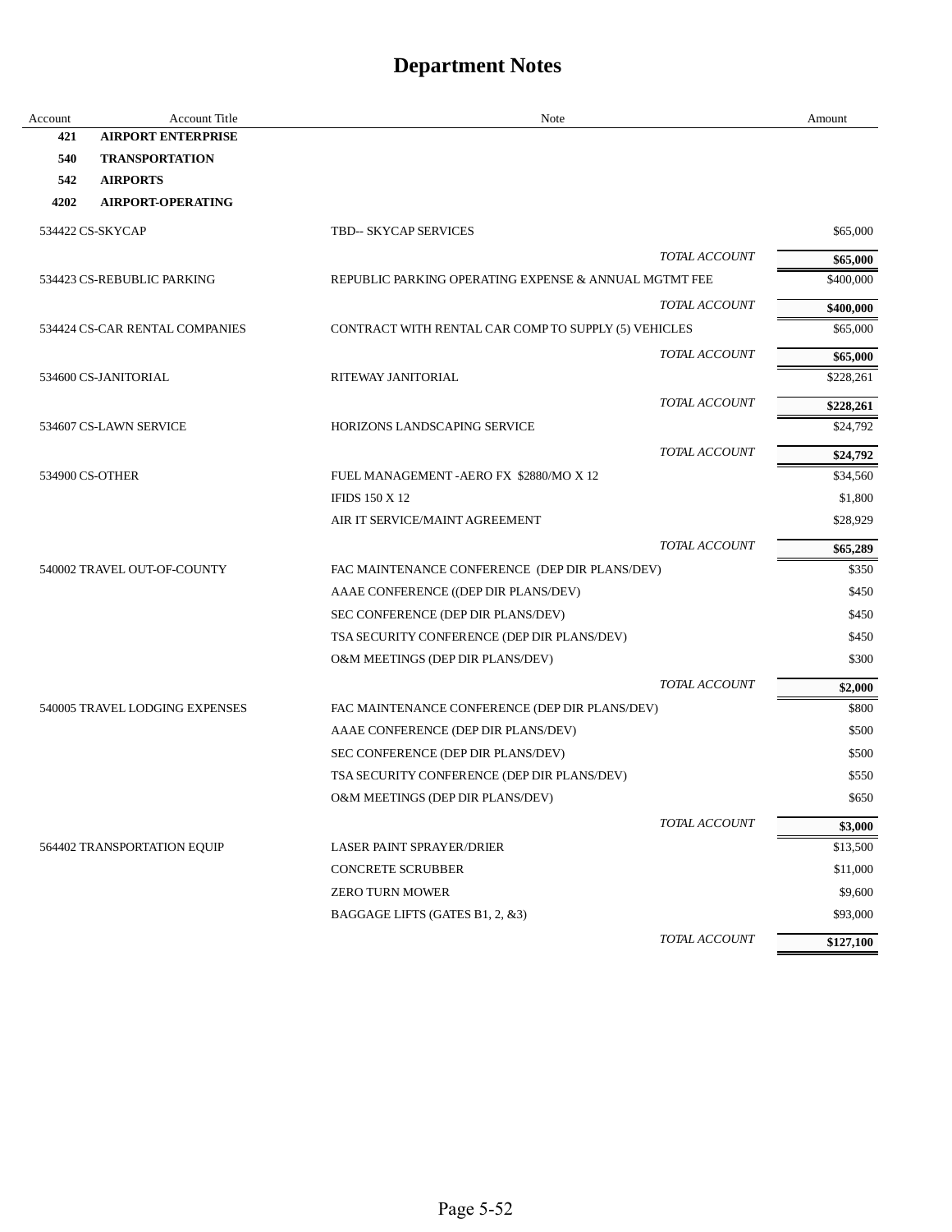| Account | Account Title                  | Note                                                  |                      | Amount    |
|---------|--------------------------------|-------------------------------------------------------|----------------------|-----------|
| 421     | <b>AIRPORT ENTERPRISE</b>      |                                                       |                      |           |
| 540     | <b>TRANSPORTATION</b>          |                                                       |                      |           |
| 542     | <b>AIRPORTS</b>                |                                                       |                      |           |
| 4202    | <b>AIRPORT-OPERATING</b>       |                                                       |                      |           |
|         | 534422 CS-SKYCAP               | <b>TBD-- SKYCAP SERVICES</b>                          |                      | \$65,000  |
|         |                                |                                                       | TOTAL ACCOUNT        | \$65,000  |
|         | 534423 CS-REBUBLIC PARKING     | REPUBLIC PARKING OPERATING EXPENSE & ANNUAL MGTMT FEE |                      | \$400,000 |
|         |                                |                                                       | <b>TOTAL ACCOUNT</b> | \$400,000 |
|         | 534424 CS-CAR RENTAL COMPANIES | CONTRACT WITH RENTAL CAR COMP TO SUPPLY (5) VEHICLES  |                      | \$65,000  |
|         |                                |                                                       | TOTAL ACCOUNT        | \$65,000  |
|         | 534600 CS-JANITORIAL           | RITEWAY JANITORIAL                                    |                      | \$228,261 |
|         |                                |                                                       | <b>TOTAL ACCOUNT</b> | \$228,261 |
|         | 534607 CS-LAWN SERVICE         | HORIZONS LANDSCAPING SERVICE                          |                      | \$24,792  |
|         |                                |                                                       | TOTAL ACCOUNT        | \$24,792  |
|         | 534900 CS-OTHER                | FUEL MANAGEMENT - AERO FX \$2880/MO X 12              |                      | \$34,560  |
|         |                                | <b>IFIDS 150 X 12</b>                                 |                      | \$1,800   |
|         |                                | AIR IT SERVICE/MAINT AGREEMENT                        |                      | \$28,929  |
|         |                                |                                                       | TOTAL ACCOUNT        | \$65,289  |
|         | 540002 TRAVEL OUT-OF-COUNTY    | FAC MAINTENANCE CONFERENCE (DEP DIR PLANS/DEV)        |                      | \$350     |
|         |                                | AAAE CONFERENCE ((DEP DIR PLANS/DEV)                  |                      | \$450     |
|         |                                | SEC CONFERENCE (DEP DIR PLANS/DEV)                    |                      | \$450     |
|         |                                | TSA SECURITY CONFERENCE (DEP DIR PLANS/DEV)           |                      | \$450     |
|         |                                | O&M MEETINGS (DEP DIR PLANS/DEV)                      |                      | \$300     |
|         |                                |                                                       | TOTAL ACCOUNT        | \$2,000   |
|         | 540005 TRAVEL LODGING EXPENSES | FAC MAINTENANCE CONFERENCE (DEP DIR PLANS/DEV)        |                      | \$800     |
|         |                                | AAAE CONFERENCE (DEP DIR PLANS/DEV)                   |                      | \$500     |
|         |                                | SEC CONFERENCE (DEP DIR PLANS/DEV)                    |                      | \$500     |
|         |                                | TSA SECURITY CONFERENCE (DEP DIR PLANS/DEV)           |                      | \$550     |
|         |                                | O&M MEETINGS (DEP DIR PLANS/DEV)                      |                      | \$650     |
|         |                                |                                                       | TOTAL ACCOUNT        | \$3,000   |
|         | 564402 TRANSPORTATION EQUIP    | <b>LASER PAINT SPRAYER/DRIER</b>                      |                      | \$13,500  |
|         |                                | <b>CONCRETE SCRUBBER</b>                              |                      | \$11,000  |
|         |                                | <b>ZERO TURN MOWER</b>                                |                      | \$9,600   |
|         |                                | BAGGAGE LIFTS (GATES B1, 2, &3)                       |                      | \$93,000  |
|         |                                |                                                       | TOTAL ACCOUNT        | \$127,100 |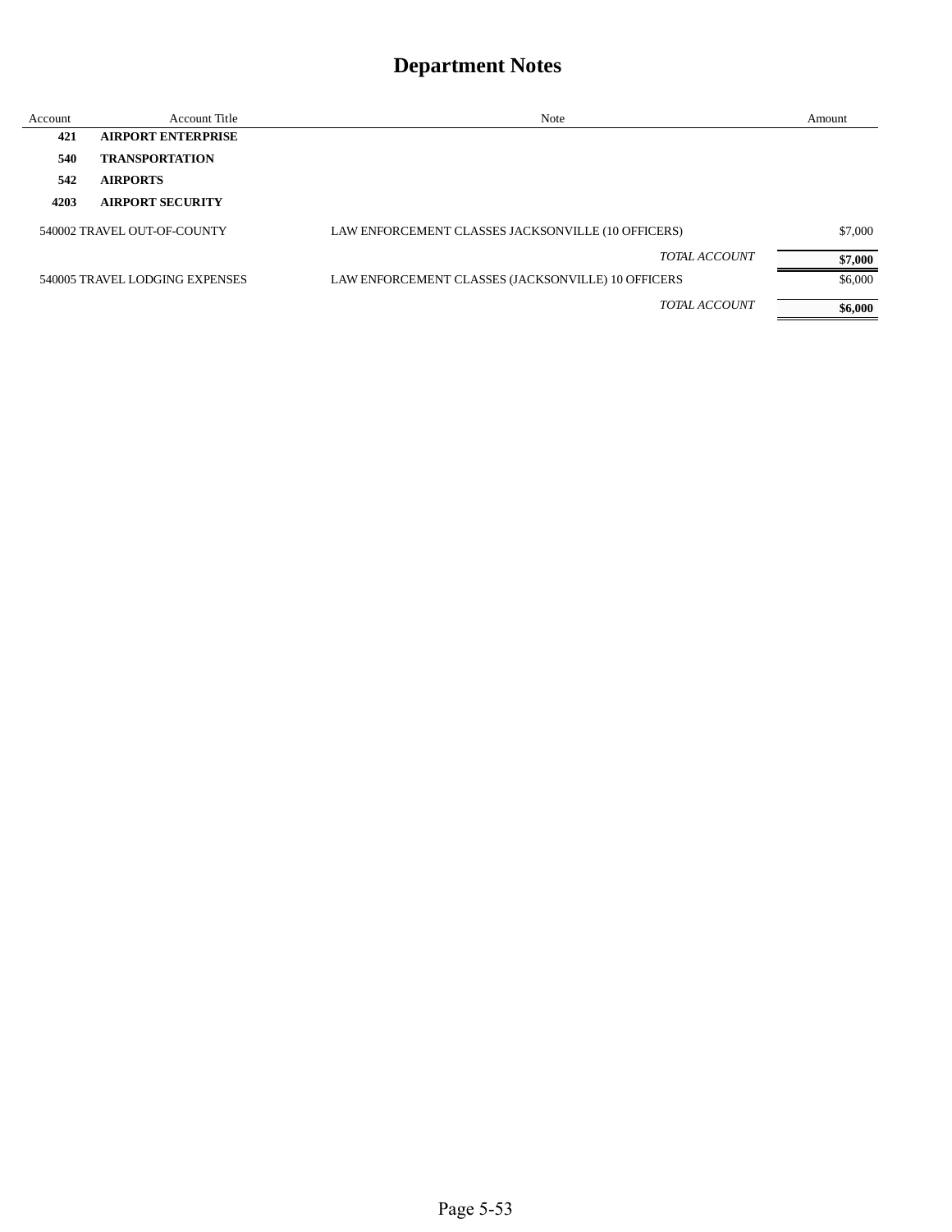| Account | <b>Account Title</b>           | Note                                               | Amount  |
|---------|--------------------------------|----------------------------------------------------|---------|
| 421     | <b>AIRPORT ENTERPRISE</b>      |                                                    |         |
| 540     | <b>TRANSPORTATION</b>          |                                                    |         |
| 542     | <b>AIRPORTS</b>                |                                                    |         |
| 4203    | <b>AIRPORT SECURITY</b>        |                                                    |         |
|         | 540002 TRAVEL OUT-OF-COUNTY    | LAW ENFORCEMENT CLASSES JACKSONVILLE (10 OFFICERS) | \$7,000 |
|         |                                | <b>TOTAL ACCOUNT</b>                               | \$7,000 |
|         | 540005 TRAVEL LODGING EXPENSES | LAW ENFORCEMENT CLASSES (JACKSONVILLE) 10 OFFICERS | \$6,000 |
|         |                                | <b>TOTAL ACCOUNT</b>                               | \$6,000 |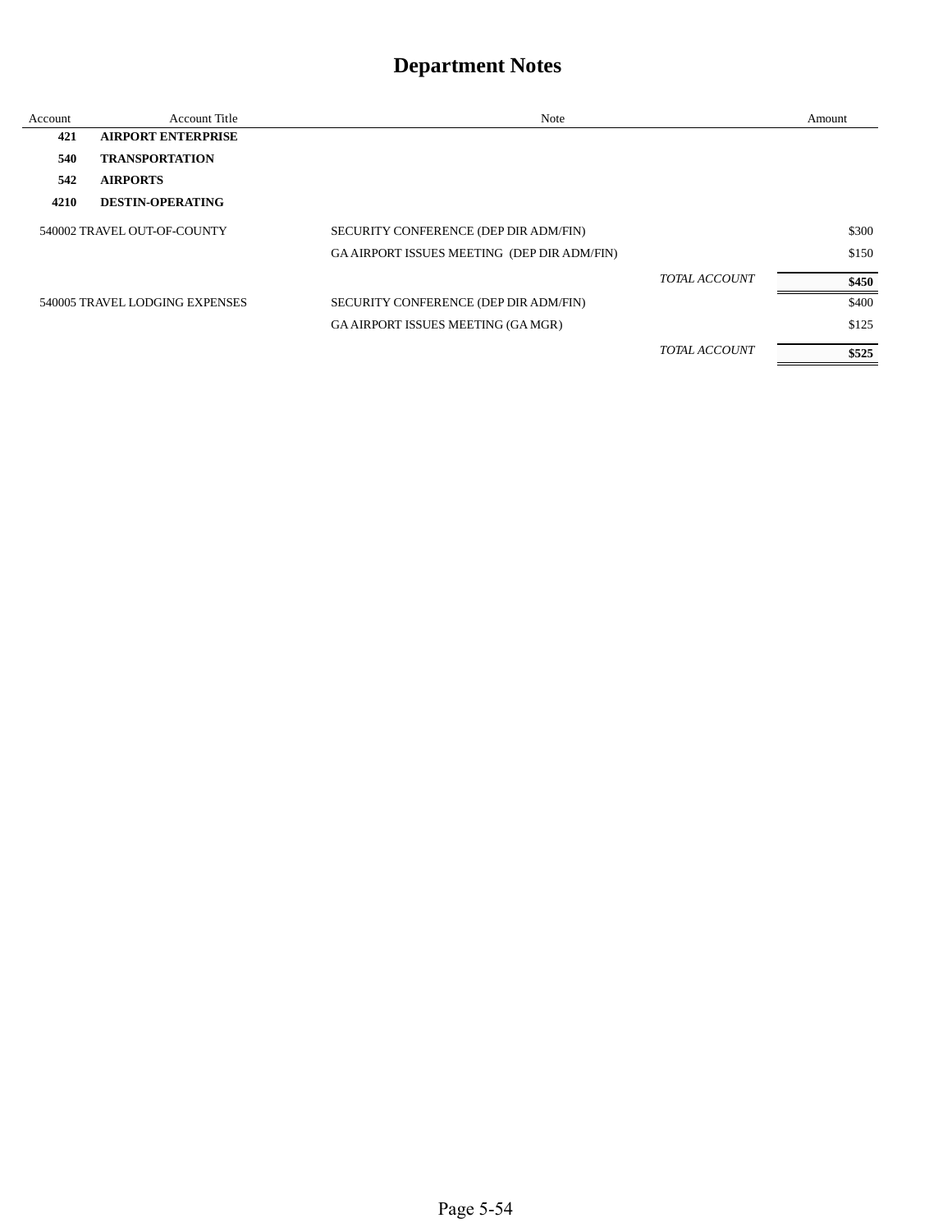| Account | <b>Account Title</b>           | <b>Note</b>                                 |                      | Amount |
|---------|--------------------------------|---------------------------------------------|----------------------|--------|
| 421     | <b>AIRPORT ENTERPRISE</b>      |                                             |                      |        |
| 540     | <b>TRANSPORTATION</b>          |                                             |                      |        |
| 542     | <b>AIRPORTS</b>                |                                             |                      |        |
| 4210    | <b>DESTIN-OPERATING</b>        |                                             |                      |        |
|         | 540002 TRAVEL OUT-OF-COUNTY    | SECURITY CONFERENCE (DEP DIR ADM/FIN)       |                      | \$300  |
|         |                                | GA AIRPORT ISSUES MEETING (DEP DIR ADM/FIN) |                      | \$150  |
|         |                                |                                             | TOTAL ACCOUNT        | \$450  |
|         | 540005 TRAVEL LODGING EXPENSES | SECURITY CONFERENCE (DEP DIR ADM/FIN)       |                      | \$400  |
|         |                                | <b>GA AIRPORT ISSUES MEETING (GA MGR)</b>   |                      | \$125  |
|         |                                |                                             | <b>TOTAL ACCOUNT</b> | \$525  |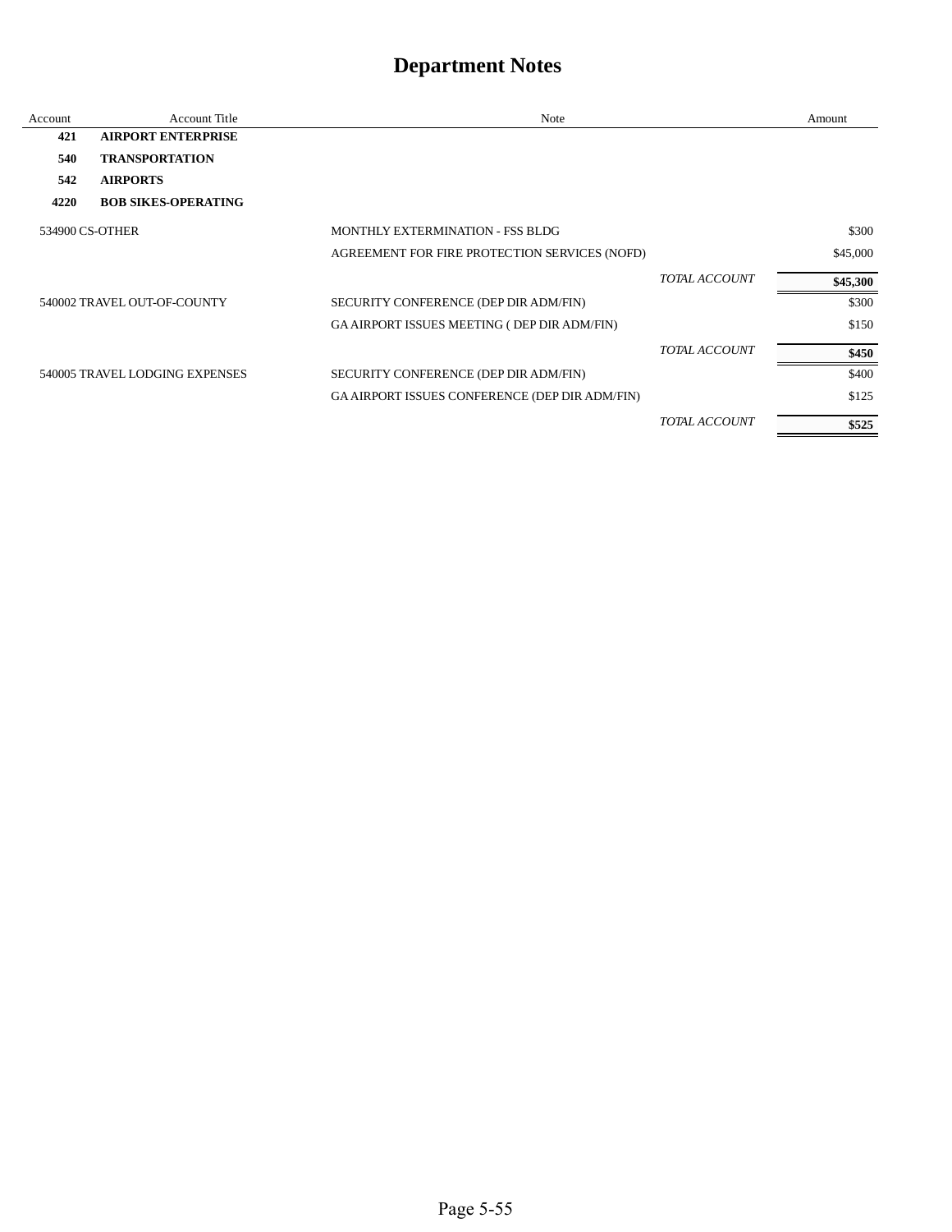| Account         | <b>Account Title</b>           | Note                                                  |                      | Amount   |
|-----------------|--------------------------------|-------------------------------------------------------|----------------------|----------|
| 421             | <b>AIRPORT ENTERPRISE</b>      |                                                       |                      |          |
| 540             | <b>TRANSPORTATION</b>          |                                                       |                      |          |
| 542             | <b>AIRPORTS</b>                |                                                       |                      |          |
| 4220            | <b>BOB SIKES-OPERATING</b>     |                                                       |                      |          |
| 534900 CS-OTHER |                                | <b>MONTHLY EXTERMINATION - FSS BLDG</b>               |                      | \$300    |
|                 |                                | AGREEMENT FOR FIRE PROTECTION SERVICES (NOFD)         |                      | \$45,000 |
|                 |                                |                                                       | <b>TOTAL ACCOUNT</b> | \$45,300 |
|                 | 540002 TRAVEL OUT-OF-COUNTY    | SECURITY CONFERENCE (DEP DIR ADM/FIN)                 |                      | \$300    |
|                 |                                | GA AIRPORT ISSUES MEETING ( DEP DIR ADM/FIN)          |                      | \$150    |
|                 |                                |                                                       | TOTAL ACCOUNT        | \$450    |
|                 | 540005 TRAVEL LODGING EXPENSES | SECURITY CONFERENCE (DEP DIR ADM/FIN)                 |                      | \$400    |
|                 |                                | <b>GA AIRPORT ISSUES CONFERENCE (DEP DIR ADM/FIN)</b> |                      | \$125    |
|                 |                                |                                                       | <b>TOTAL ACCOUNT</b> | \$525    |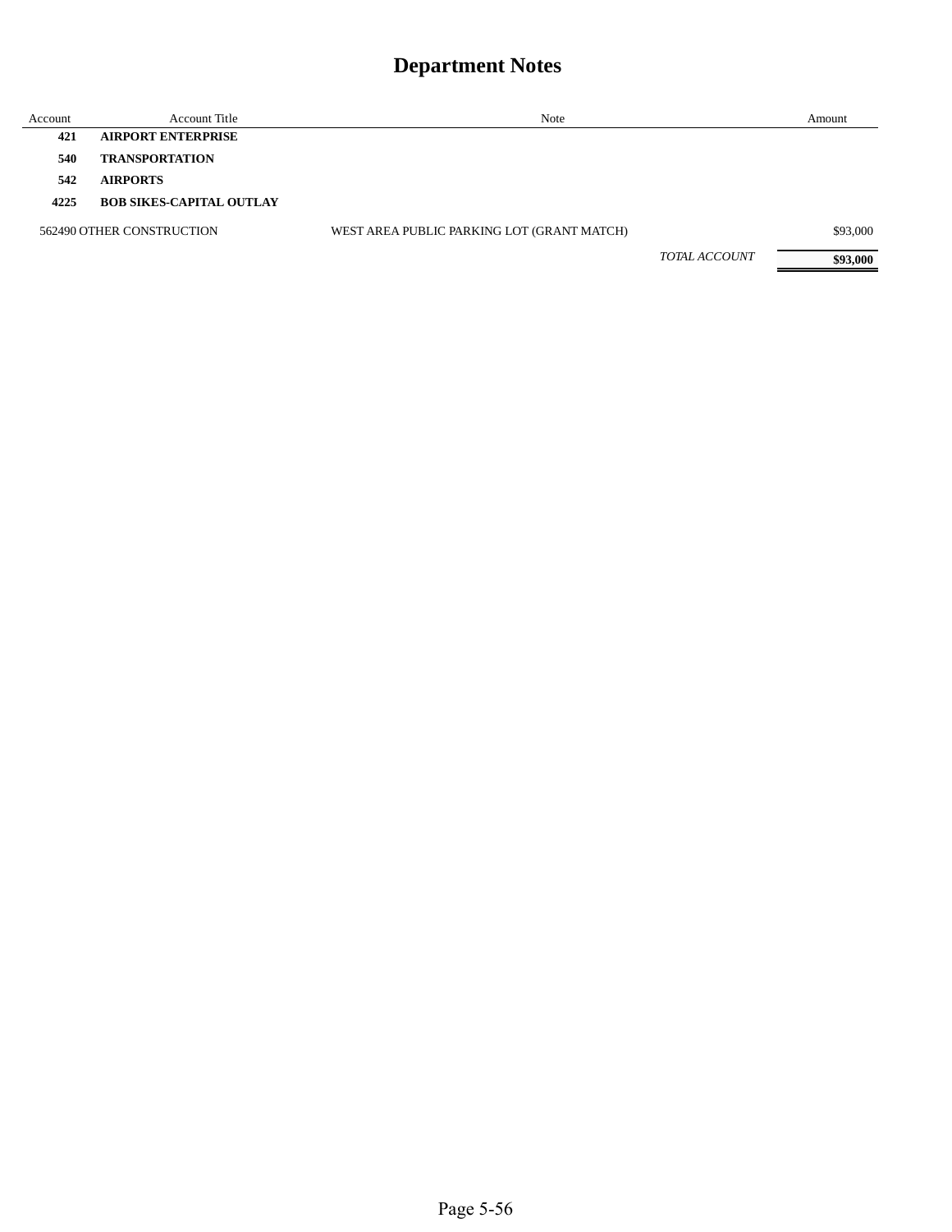| Account | <b>Account Title</b>            | Note                                       |               | Amount   |
|---------|---------------------------------|--------------------------------------------|---------------|----------|
| 421     | <b>AIRPORT ENTERPRISE</b>       |                                            |               |          |
| 540     | <b>TRANSPORTATION</b>           |                                            |               |          |
| 542     | <b>AIRPORTS</b>                 |                                            |               |          |
| 4225    | <b>BOB SIKES-CAPITAL OUTLAY</b> |                                            |               |          |
|         | 562490 OTHER CONSTRUCTION       | WEST AREA PUBLIC PARKING LOT (GRANT MATCH) |               | \$93,000 |
|         |                                 |                                            | TOTAL ACCOUNT | \$93,000 |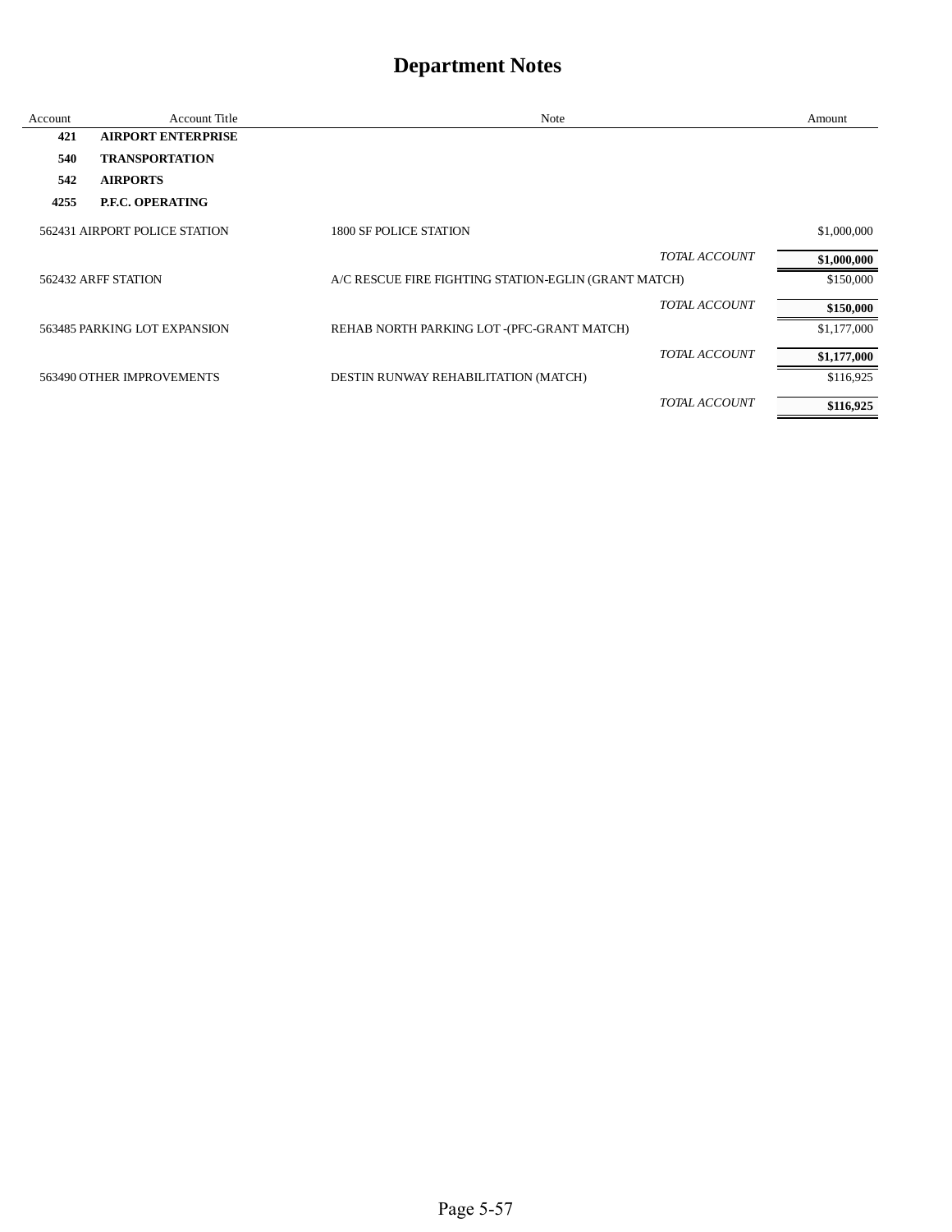| Account | <b>Account Title</b>          | Note                                                 |                      | Amount      |
|---------|-------------------------------|------------------------------------------------------|----------------------|-------------|
| 421     | <b>AIRPORT ENTERPRISE</b>     |                                                      |                      |             |
| 540     | <b>TRANSPORTATION</b>         |                                                      |                      |             |
| 542     | <b>AIRPORTS</b>               |                                                      |                      |             |
| 4255    | P.F.C. OPERATING              |                                                      |                      |             |
|         | 562431 AIRPORT POLICE STATION | <b>1800 SF POLICE STATION</b>                        |                      | \$1,000,000 |
|         |                               |                                                      | <b>TOTAL ACCOUNT</b> | \$1,000,000 |
|         | 562432 ARFF STATION           | A/C RESCUE FIRE FIGHTING STATION-EGLIN (GRANT MATCH) |                      | \$150,000   |
|         |                               |                                                      | <b>TOTAL ACCOUNT</b> | \$150,000   |
|         | 563485 PARKING LOT EXPANSION  | REHAB NORTH PARKING LOT -(PFC-GRANT MATCH)           |                      | \$1,177,000 |
|         |                               |                                                      | TOTAL ACCOUNT        | \$1,177,000 |
|         | 563490 OTHER IMPROVEMENTS     | DESTIN RUNWAY REHABILITATION (MATCH)                 |                      | \$116,925   |
|         |                               |                                                      | TOTAL ACCOUNT        | \$116,925   |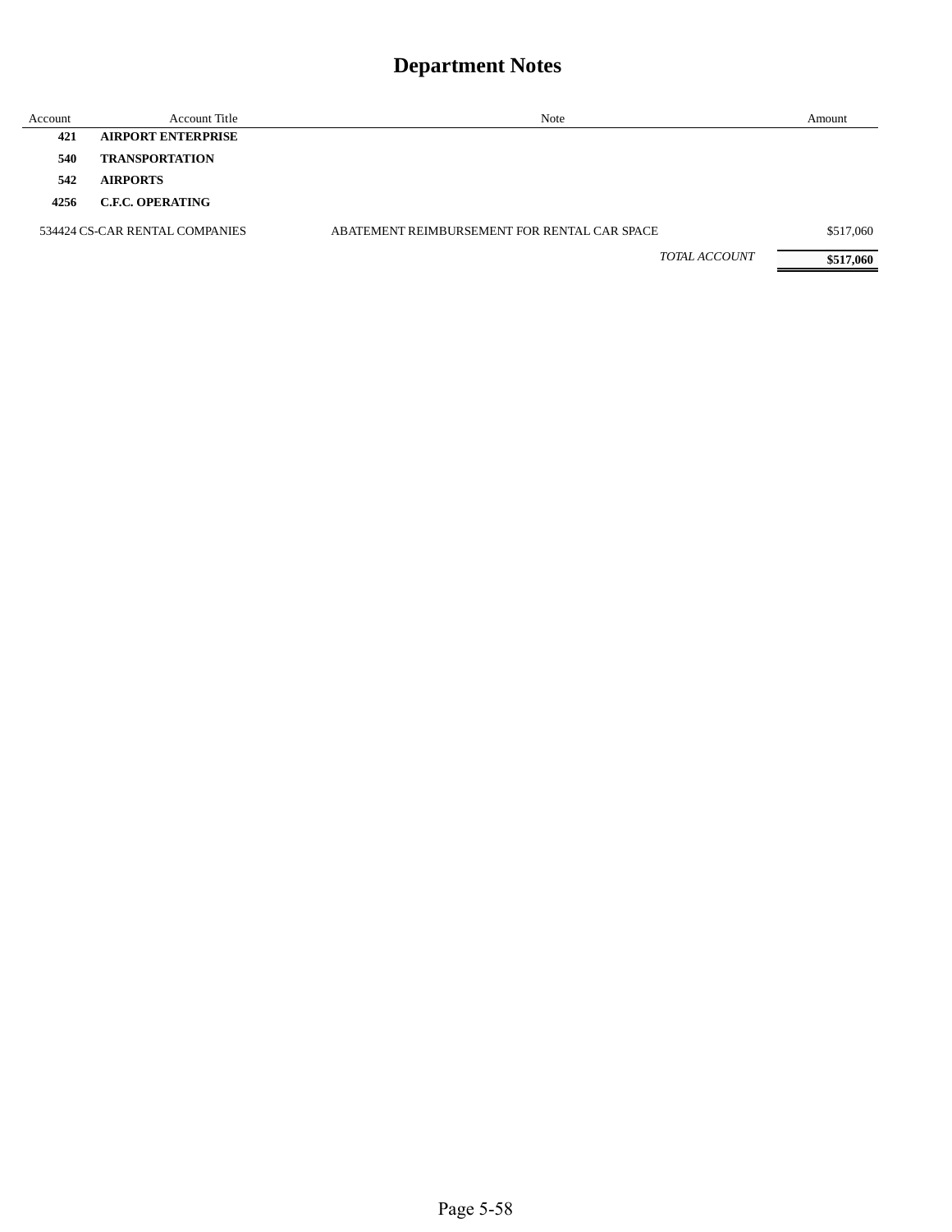| Account | <b>Account Title</b>           | Note                                         | Amount    |
|---------|--------------------------------|----------------------------------------------|-----------|
| 421     | <b>AIRPORT ENTERPRISE</b>      |                                              |           |
| 540     | <b>TRANSPORTATION</b>          |                                              |           |
| 542     | <b>AIRPORTS</b>                |                                              |           |
| 4256    | <b>C.F.C. OPERATING</b>        |                                              |           |
|         | 534424 CS-CAR RENTAL COMPANIES | ABATEMENT REIMBURSEMENT FOR RENTAL CAR SPACE | \$517,060 |
|         |                                | <b>TOTAL ACCOUNT</b>                         | \$517,060 |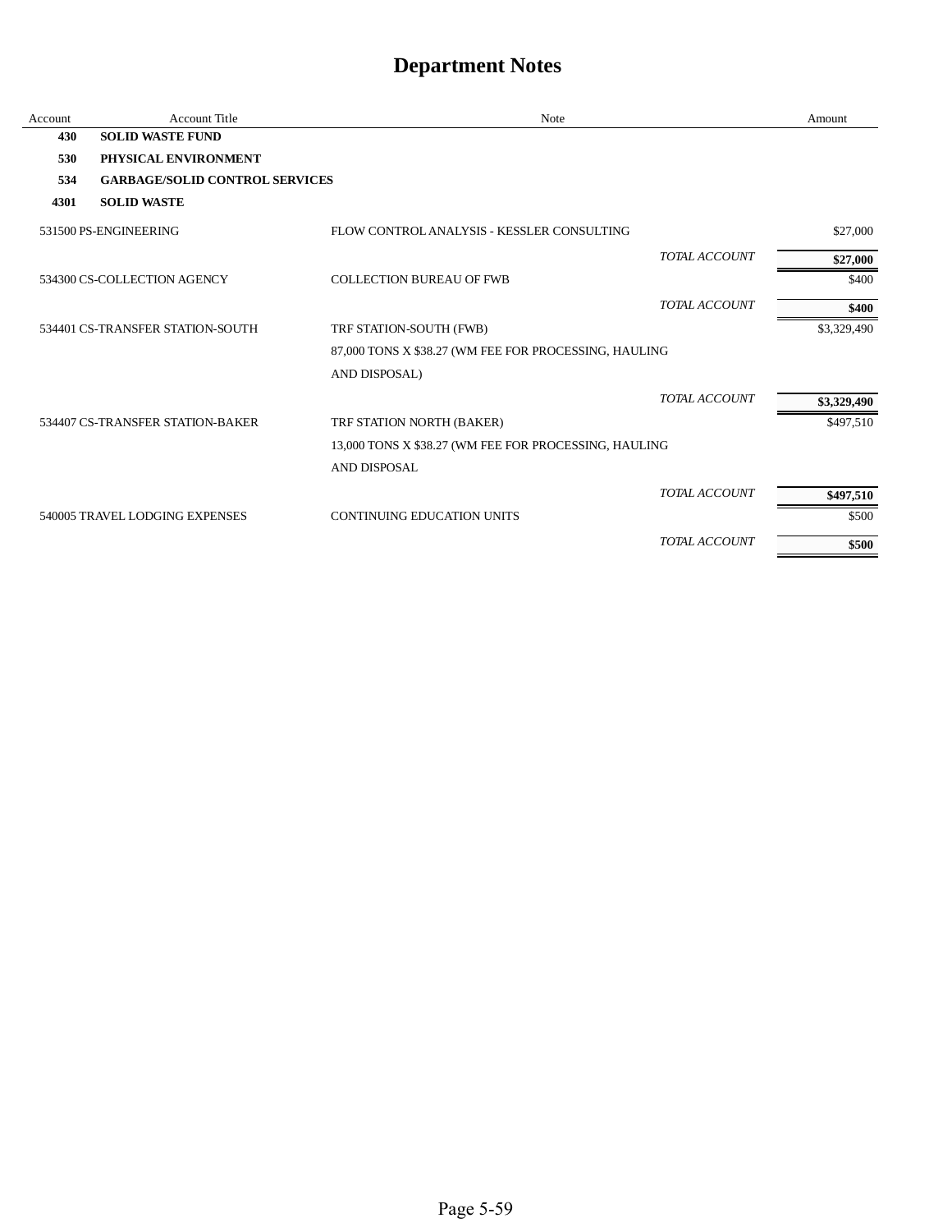| Account | <b>Account Title</b>                  | Note                                                  |                      | Amount      |
|---------|---------------------------------------|-------------------------------------------------------|----------------------|-------------|
| 430     | <b>SOLID WASTE FUND</b>               |                                                       |                      |             |
| 530     | PHYSICAL ENVIRONMENT                  |                                                       |                      |             |
| 534     | <b>GARBAGE/SOLID CONTROL SERVICES</b> |                                                       |                      |             |
| 4301    | <b>SOLID WASTE</b>                    |                                                       |                      |             |
|         | 531500 PS-ENGINEERING                 | FLOW CONTROL ANALYSIS - KESSLER CONSULTING            |                      | \$27,000    |
|         |                                       |                                                       | TOTAL ACCOUNT        | \$27,000    |
|         | 534300 CS-COLLECTION AGENCY           | <b>COLLECTION BUREAU OF FWB</b>                       |                      | \$400       |
|         |                                       |                                                       | TOTAL ACCOUNT        | \$400       |
|         | 534401 CS-TRANSFER STATION-SOUTH      | TRF STATION-SOUTH (FWB)                               |                      | \$3,329,490 |
|         |                                       | 87,000 TONS X \$38.27 (WM FEE FOR PROCESSING, HAULING |                      |             |
|         |                                       | AND DISPOSAL)                                         |                      |             |
|         |                                       |                                                       | TOTAL ACCOUNT        | \$3,329,490 |
|         | 534407 CS-TRANSFER STATION-BAKER      | TRF STATION NORTH (BAKER)                             |                      | \$497,510   |
|         |                                       | 13,000 TONS X \$38.27 (WM FEE FOR PROCESSING, HAULING |                      |             |
|         |                                       | AND DISPOSAL                                          |                      |             |
|         |                                       |                                                       | <b>TOTAL ACCOUNT</b> | \$497,510   |
|         | 540005 TRAVEL LODGING EXPENSES        | <b>CONTINUING EDUCATION UNITS</b>                     |                      | \$500       |
|         |                                       |                                                       | TOTAL ACCOUNT        | \$500       |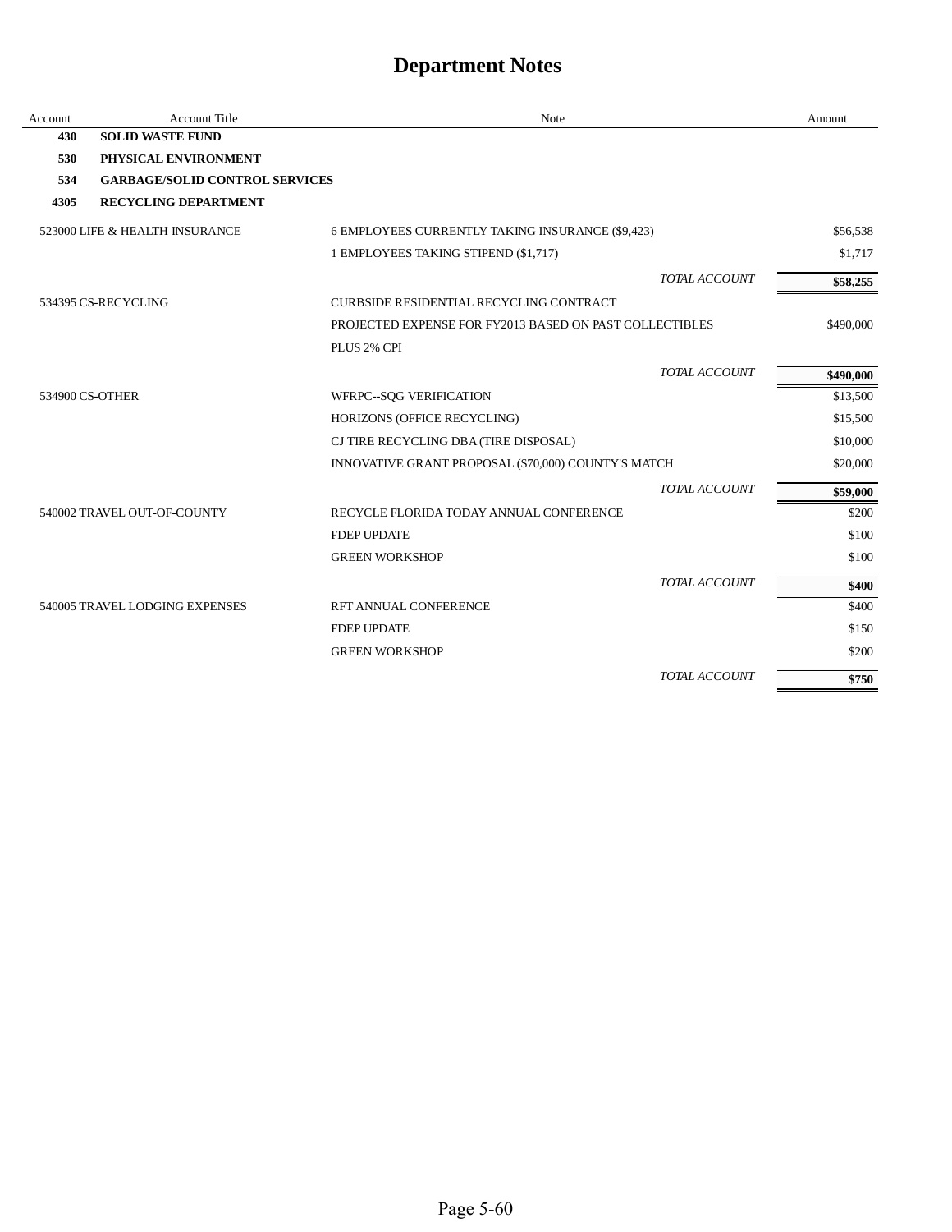| Account | <b>Account Title</b>                  | Note                                                    | Amount    |
|---------|---------------------------------------|---------------------------------------------------------|-----------|
| 430     | <b>SOLID WASTE FUND</b>               |                                                         |           |
| 530     | PHYSICAL ENVIRONMENT                  |                                                         |           |
| 534     | <b>GARBAGE/SOLID CONTROL SERVICES</b> |                                                         |           |
| 4305    | <b>RECYCLING DEPARTMENT</b>           |                                                         |           |
|         | 523000 LIFE & HEALTH INSURANCE        | 6 EMPLOYEES CURRENTLY TAKING INSURANCE (\$9,423)        | \$56,538  |
|         |                                       | 1 EMPLOYEES TAKING STIPEND (\$1,717)                    | \$1,717   |
|         |                                       | <b>TOTAL ACCOUNT</b>                                    | \$58,255  |
|         | 534395 CS-RECYCLING                   | CURBSIDE RESIDENTIAL RECYCLING CONTRACT                 |           |
|         |                                       | PROJECTED EXPENSE FOR FY2013 BASED ON PAST COLLECTIBLES | \$490,000 |
|         |                                       | PLUS 2% CPI                                             |           |
|         |                                       | TOTAL ACCOUNT                                           | \$490,000 |
|         | 534900 CS-OTHER                       | WFRPC--SQG VERIFICATION                                 | \$13,500  |
|         |                                       | HORIZONS (OFFICE RECYCLING)                             | \$15,500  |
|         |                                       | CJ TIRE RECYCLING DBA (TIRE DISPOSAL)                   | \$10,000  |
|         |                                       | INNOVATIVE GRANT PROPOSAL (\$70,000) COUNTY'S MATCH     | \$20,000  |
|         |                                       | TOTAL ACCOUNT                                           | \$59,000  |
|         | 540002 TRAVEL OUT-OF-COUNTY           | RECYCLE FLORIDA TODAY ANNUAL CONFERENCE                 | \$200     |
|         |                                       | <b>FDEP UPDATE</b>                                      | \$100     |
|         |                                       | <b>GREEN WORKSHOP</b>                                   | \$100     |
|         |                                       | TOTAL ACCOUNT                                           | \$400     |
|         | 540005 TRAVEL LODGING EXPENSES        | RFT ANNUAL CONFERENCE                                   | \$400     |
|         |                                       | <b>FDEP UPDATE</b>                                      | \$150     |
|         |                                       | <b>GREEN WORKSHOP</b>                                   | \$200     |
|         |                                       | TOTAL ACCOUNT                                           | \$750     |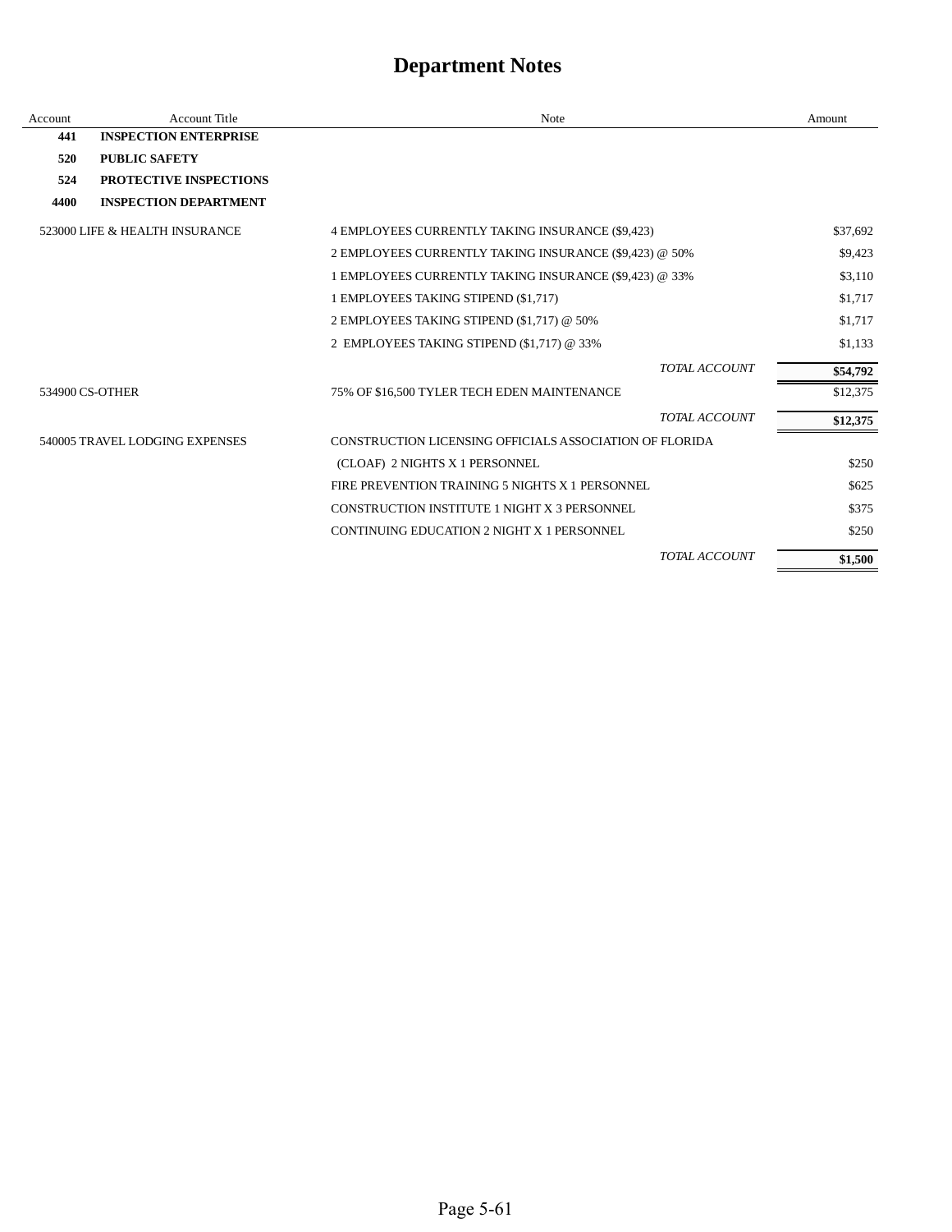| Account | <b>Account Title</b>                                                                      | Note                                                   |                      | Amount   |
|---------|-------------------------------------------------------------------------------------------|--------------------------------------------------------|----------------------|----------|
| 441     | <b>INSPECTION ENTERPRISE</b>                                                              |                                                        |                      |          |
| 520     | <b>PUBLIC SAFETY</b>                                                                      |                                                        |                      |          |
| 524     | PROTECTIVE INSPECTIONS                                                                    |                                                        |                      |          |
| 4400    | <b>INSPECTION DEPARTMENT</b>                                                              |                                                        |                      |          |
|         | 523000 LIFE & HEALTH INSURANCE                                                            | 4 EMPLOYEES CURRENTLY TAKING INSURANCE (\$9,423)       |                      | \$37,692 |
|         |                                                                                           | 2 EMPLOYEES CURRENTLY TAKING INSURANCE (\$9,423) @ 50% |                      | \$9,423  |
|         |                                                                                           | 1 EMPLOYEES CURRENTLY TAKING INSURANCE (\$9,423) @ 33% |                      | \$3,110  |
|         |                                                                                           | 1 EMPLOYEES TAKING STIPEND (\$1,717)                   |                      | \$1,717  |
|         |                                                                                           | 2 EMPLOYEES TAKING STIPEND (\$1,717) @ 50%             |                      | \$1,717  |
|         |                                                                                           | 2 EMPLOYEES TAKING STIPEND (\$1,717) @ 33%             |                      | \$1,133  |
|         |                                                                                           |                                                        | <b>TOTAL ACCOUNT</b> | \$54,792 |
|         | 534900 CS-OTHER                                                                           | 75% OF \$16,500 TYLER TECH EDEN MAINTENANCE            |                      | \$12,375 |
|         |                                                                                           |                                                        | <b>TOTAL ACCOUNT</b> | \$12,375 |
|         | 540005 TRAVEL LODGING EXPENSES<br>CONSTRUCTION LICENSING OFFICIALS ASSOCIATION OF FLORIDA |                                                        |                      |          |
|         |                                                                                           | (CLOAF) 2 NIGHTS X 1 PERSONNEL                         |                      | \$250    |
|         |                                                                                           | FIRE PREVENTION TRAINING 5 NIGHTS X 1 PERSONNEL        |                      | \$625    |
|         |                                                                                           | CONSTRUCTION INSTITUTE 1 NIGHT X 3 PERSONNEL           |                      | \$375    |
|         |                                                                                           | CONTINUING EDUCATION 2 NIGHT X 1 PERSONNEL             |                      | \$250    |
|         |                                                                                           |                                                        | TOTAL ACCOUNT        | \$1,500  |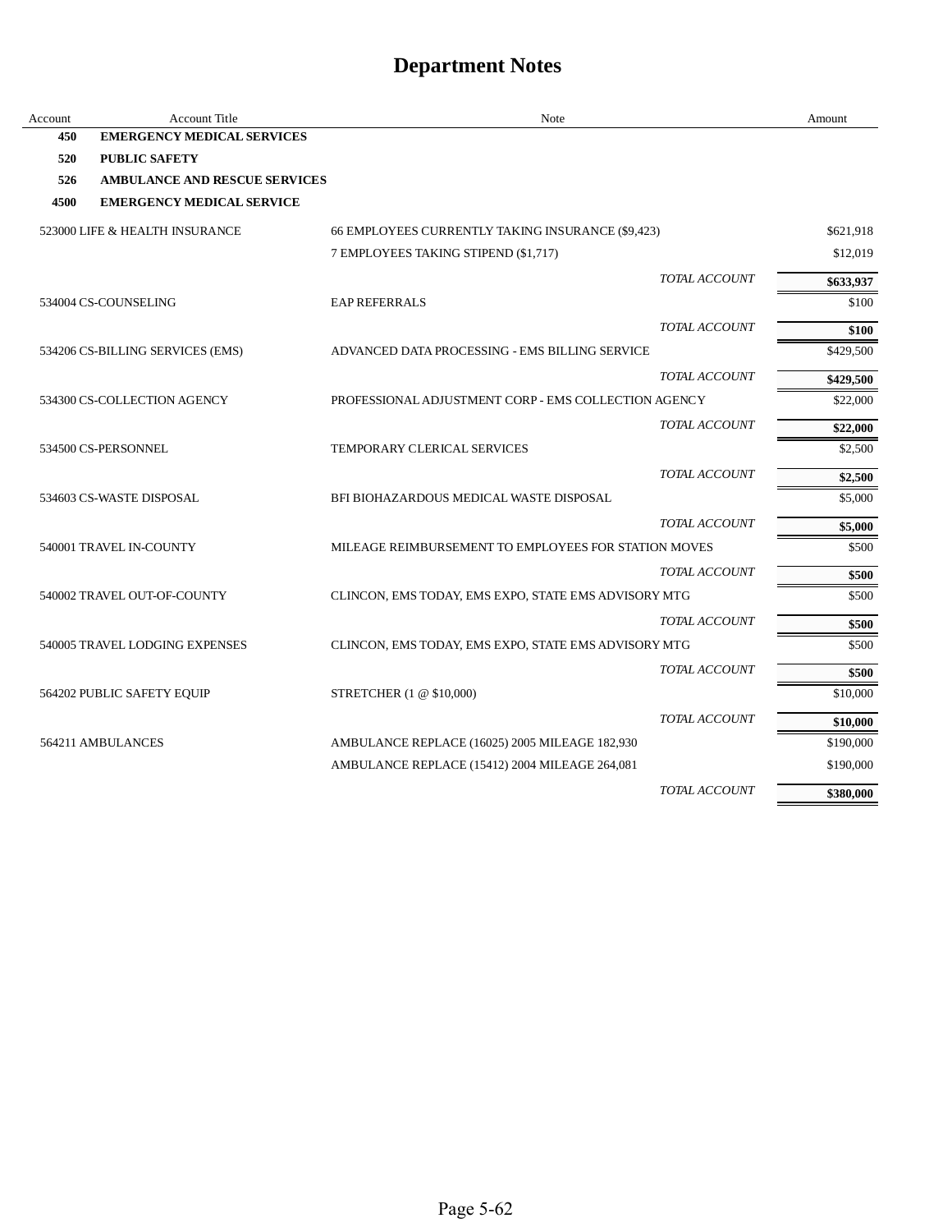| Account | Account Title                        | Note                                                 |                      | Amount    |
|---------|--------------------------------------|------------------------------------------------------|----------------------|-----------|
| 450     | <b>EMERGENCY MEDICAL SERVICES</b>    |                                                      |                      |           |
| 520     | <b>PUBLIC SAFETY</b>                 |                                                      |                      |           |
| 526     | <b>AMBULANCE AND RESCUE SERVICES</b> |                                                      |                      |           |
| 4500    | <b>EMERGENCY MEDICAL SERVICE</b>     |                                                      |                      |           |
|         | 523000 LIFE & HEALTH INSURANCE       | 66 EMPLOYEES CURRENTLY TAKING INSURANCE (\$9,423)    |                      | \$621,918 |
|         |                                      | 7 EMPLOYEES TAKING STIPEND (\$1,717)                 |                      | \$12,019  |
|         |                                      |                                                      | TOTAL ACCOUNT        | \$633,937 |
|         | 534004 CS-COUNSELING                 | <b>EAP REFERRALS</b>                                 |                      | \$100     |
|         |                                      |                                                      | TOTAL ACCOUNT        | \$100     |
|         | 534206 CS-BILLING SERVICES (EMS)     | ADVANCED DATA PROCESSING - EMS BILLING SERVICE       |                      | \$429,500 |
|         |                                      |                                                      | TOTAL ACCOUNT        | \$429,500 |
|         | 534300 CS-COLLECTION AGENCY          | PROFESSIONAL ADJUSTMENT CORP - EMS COLLECTION AGENCY |                      | \$22,000  |
|         |                                      |                                                      | TOTAL ACCOUNT        | \$22,000  |
|         | 534500 CS-PERSONNEL                  | TEMPORARY CLERICAL SERVICES                          |                      | \$2,500   |
|         |                                      |                                                      | TOTAL ACCOUNT        | \$2,500   |
|         | 534603 CS-WASTE DISPOSAL             | BFI BIOHAZARDOUS MEDICAL WASTE DISPOSAL              |                      | \$5,000   |
|         |                                      |                                                      | <b>TOTAL ACCOUNT</b> | \$5,000   |
|         | 540001 TRAVEL IN-COUNTY              | MILEAGE REIMBURSEMENT TO EMPLOYEES FOR STATION MOVES |                      | \$500     |
|         |                                      |                                                      | TOTAL ACCOUNT        | \$500     |
|         | 540002 TRAVEL OUT-OF-COUNTY          | CLINCON, EMS TODAY, EMS EXPO, STATE EMS ADVISORY MTG |                      | \$500     |
|         |                                      |                                                      | TOTAL ACCOUNT        | \$500     |
|         | 540005 TRAVEL LODGING EXPENSES       | CLINCON, EMS TODAY, EMS EXPO, STATE EMS ADVISORY MTG |                      | \$500     |
|         |                                      |                                                      | TOTAL ACCOUNT        | \$500     |
|         | 564202 PUBLIC SAFETY EQUIP           | STRETCHER (1 @ \$10,000)                             |                      | \$10,000  |
|         |                                      |                                                      | TOTAL ACCOUNT        | \$10,000  |
|         | 564211 AMBULANCES                    | AMBULANCE REPLACE (16025) 2005 MILEAGE 182,930       |                      | \$190,000 |
|         |                                      | AMBULANCE REPLACE (15412) 2004 MILEAGE 264,081       |                      | \$190,000 |
|         |                                      |                                                      | TOTAL ACCOUNT        | \$380,000 |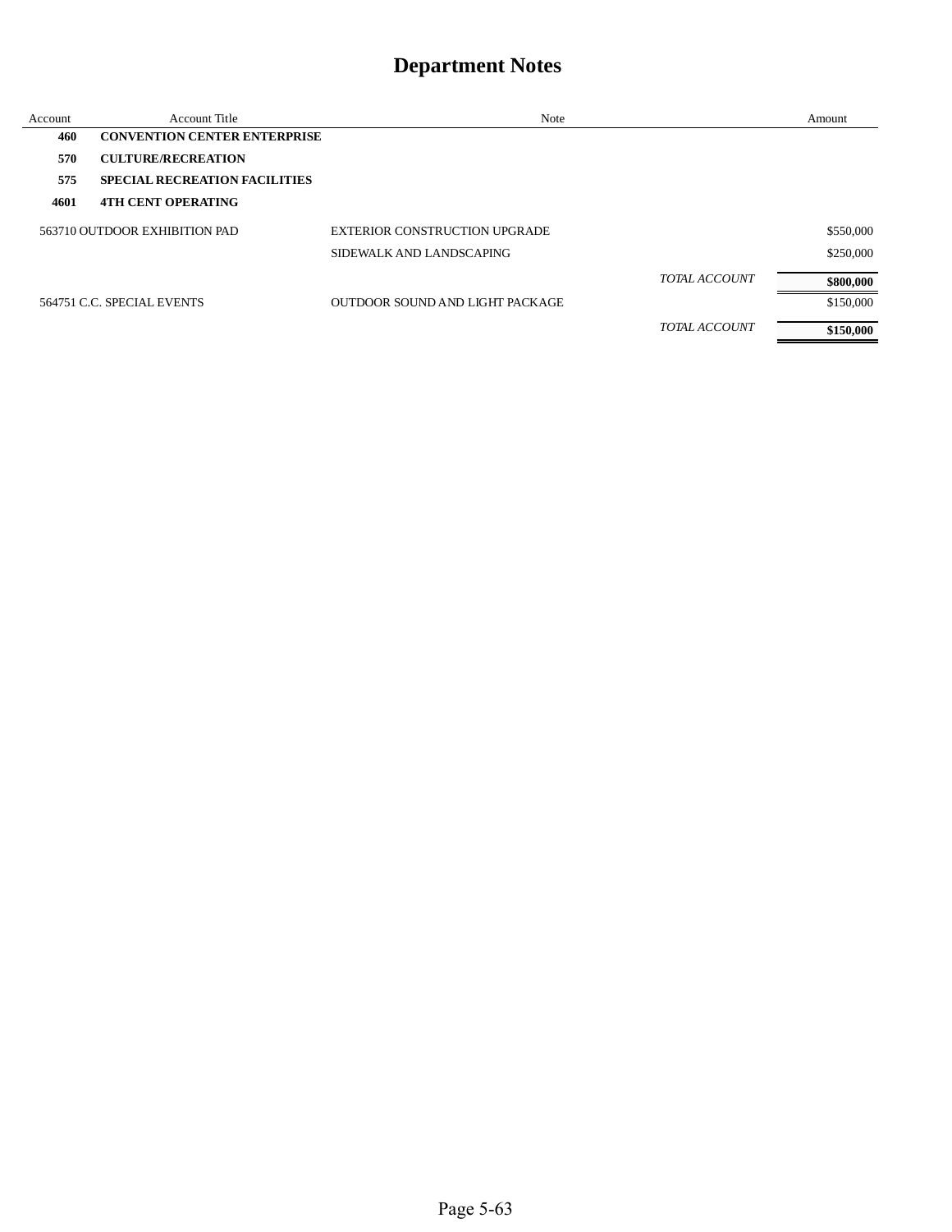| Account | Account Title                        | Note                            | Amount    |
|---------|--------------------------------------|---------------------------------|-----------|
| 460     | <b>CONVENTION CENTER ENTERPRISE</b>  |                                 |           |
| 570     | <b>CULTURE/RECREATION</b>            |                                 |           |
| 575     | <b>SPECIAL RECREATION FACILITIES</b> |                                 |           |
| 4601    | <b>4TH CENT OPERATING</b>            |                                 |           |
|         | 563710 OUTDOOR EXHIBITION PAD        | EXTERIOR CONSTRUCTION UPGRADE   | \$550,000 |
|         |                                      | SIDEWALK AND LANDSCAPING        | \$250,000 |
|         |                                      | <b>TOTAL ACCOUNT</b>            | \$800,000 |
|         | 564751 C.C. SPECIAL EVENTS           | OUTDOOR SOUND AND LIGHT PACKAGE | \$150,000 |
|         |                                      | <b>TOTAL ACCOUNT</b>            | \$150,000 |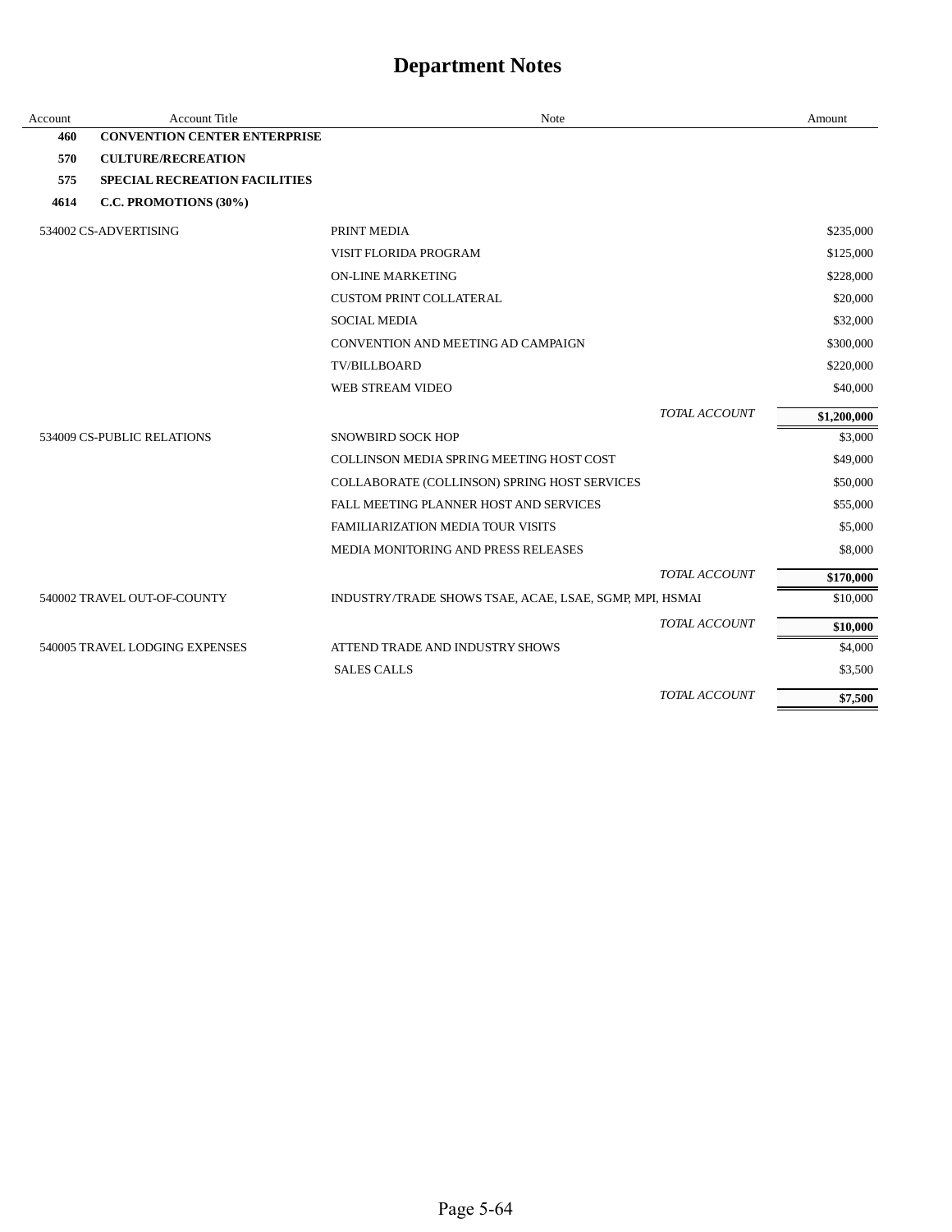| Account | <b>Account Title</b>                 | Note                                                    |                      | Amount      |
|---------|--------------------------------------|---------------------------------------------------------|----------------------|-------------|
| 460     | <b>CONVENTION CENTER ENTERPRISE</b>  |                                                         |                      |             |
| 570     | <b>CULTURE/RECREATION</b>            |                                                         |                      |             |
| 575     | <b>SPECIAL RECREATION FACILITIES</b> |                                                         |                      |             |
| 4614    | C.C. PROMOTIONS (30%)                |                                                         |                      |             |
|         | 534002 CS-ADVERTISING                | PRINT MEDIA                                             |                      | \$235,000   |
|         |                                      | VISIT FLORIDA PROGRAM                                   |                      | \$125,000   |
|         |                                      | <b>ON-LINE MARKETING</b>                                |                      | \$228,000   |
|         |                                      | <b>CUSTOM PRINT COLLATERAL</b>                          |                      | \$20,000    |
|         |                                      | <b>SOCIAL MEDIA</b>                                     |                      | \$32,000    |
|         |                                      | CONVENTION AND MEETING AD CAMPAIGN                      |                      | \$300,000   |
|         |                                      | <b>TV/BILLBOARD</b>                                     |                      | \$220,000   |
|         |                                      | WEB STREAM VIDEO                                        |                      | \$40,000    |
|         |                                      |                                                         | TOTAL ACCOUNT        | \$1,200,000 |
|         | 534009 CS-PUBLIC RELATIONS           | <b>SNOWBIRD SOCK HOP</b>                                |                      | \$3,000     |
|         |                                      | COLLINSON MEDIA SPRING MEETING HOST COST                |                      | \$49,000    |
|         |                                      | COLLABORATE (COLLINSON) SPRING HOST SERVICES            |                      | \$50,000    |
|         |                                      | FALL MEETING PLANNER HOST AND SERVICES                  |                      | \$55,000    |
|         |                                      | <b>FAMILIARIZATION MEDIA TOUR VISITS</b>                |                      | \$5,000     |
|         |                                      | <b>MEDIA MONITORING AND PRESS RELEASES</b>              |                      | \$8,000     |
|         |                                      |                                                         | TOTAL ACCOUNT        | \$170,000   |
|         | 540002 TRAVEL OUT-OF-COUNTY          | INDUSTRY/TRADE SHOWS TSAE, ACAE, LSAE, SGMP, MPI, HSMAI |                      | \$10,000    |
|         |                                      |                                                         | TOTAL ACCOUNT        | \$10,000    |
|         | 540005 TRAVEL LODGING EXPENSES       | ATTEND TRADE AND INDUSTRY SHOWS                         |                      | \$4,000     |
|         |                                      | <b>SALES CALLS</b>                                      |                      | \$3,500     |
|         |                                      |                                                         | <b>TOTAL ACCOUNT</b> | \$7,500     |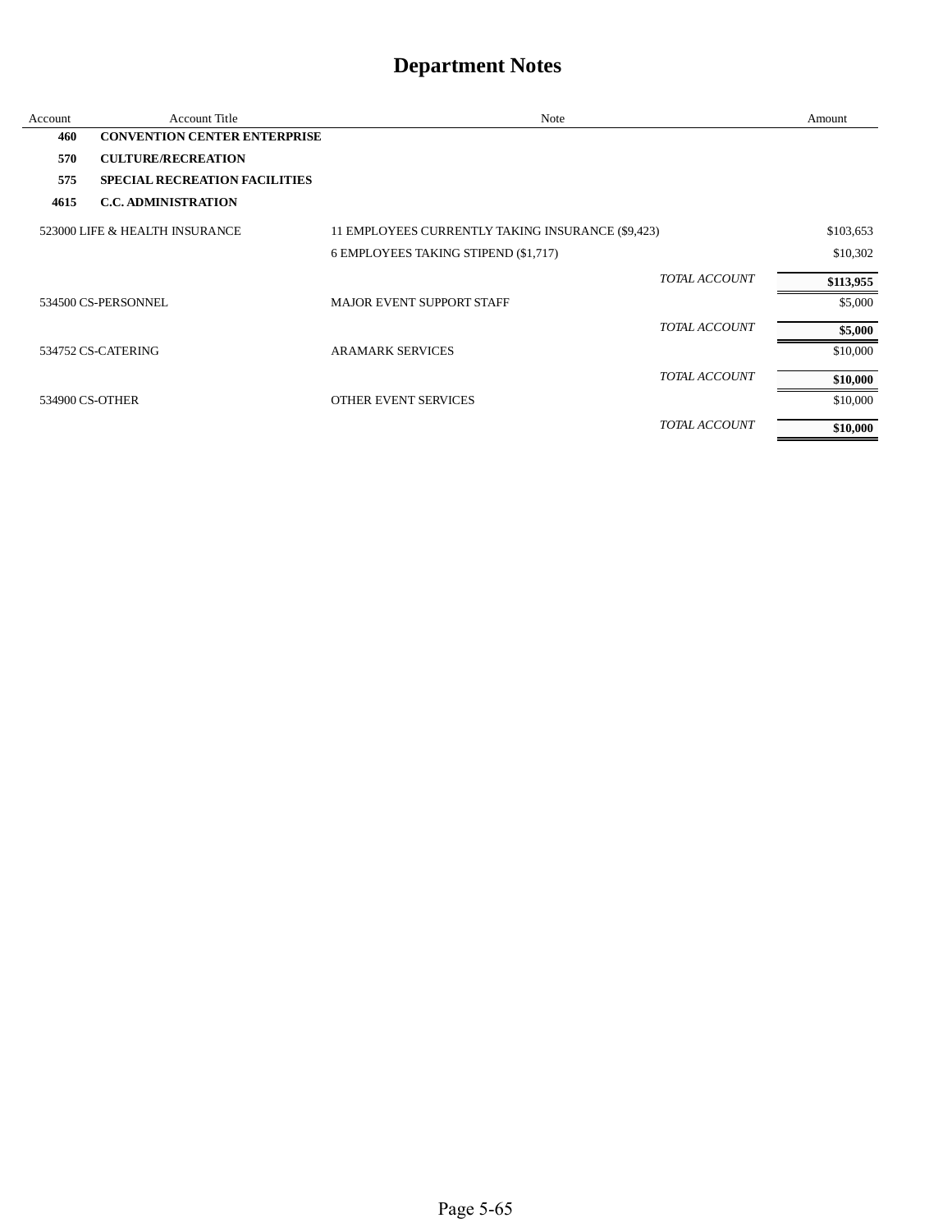| Account         | <b>Account Title</b>                 | Note                                              |               | Amount    |
|-----------------|--------------------------------------|---------------------------------------------------|---------------|-----------|
| 460             | <b>CONVENTION CENTER ENTERPRISE</b>  |                                                   |               |           |
| 570             | <b>CULTURE/RECREATION</b>            |                                                   |               |           |
| 575             | <b>SPECIAL RECREATION FACILITIES</b> |                                                   |               |           |
| 4615            | <b>C.C. ADMINISTRATION</b>           |                                                   |               |           |
|                 | 523000 LIFE & HEALTH INSURANCE       | 11 EMPLOYEES CURRENTLY TAKING INSURANCE (\$9,423) |               | \$103,653 |
|                 |                                      | 6 EMPLOYEES TAKING STIPEND (\$1,717)              |               | \$10,302  |
|                 |                                      |                                                   | TOTAL ACCOUNT | \$113,955 |
|                 | 534500 CS-PERSONNEL                  | <b>MAJOR EVENT SUPPORT STAFF</b>                  |               | \$5,000   |
|                 |                                      |                                                   | TOTAL ACCOUNT | \$5,000   |
|                 | 534752 CS-CATERING                   | <b>ARAMARK SERVICES</b>                           |               | \$10,000  |
|                 |                                      |                                                   | TOTAL ACCOUNT | \$10,000  |
| 534900 CS-OTHER |                                      | OTHER EVENT SERVICES                              |               | \$10,000  |
|                 |                                      |                                                   | TOTAL ACCOUNT | \$10,000  |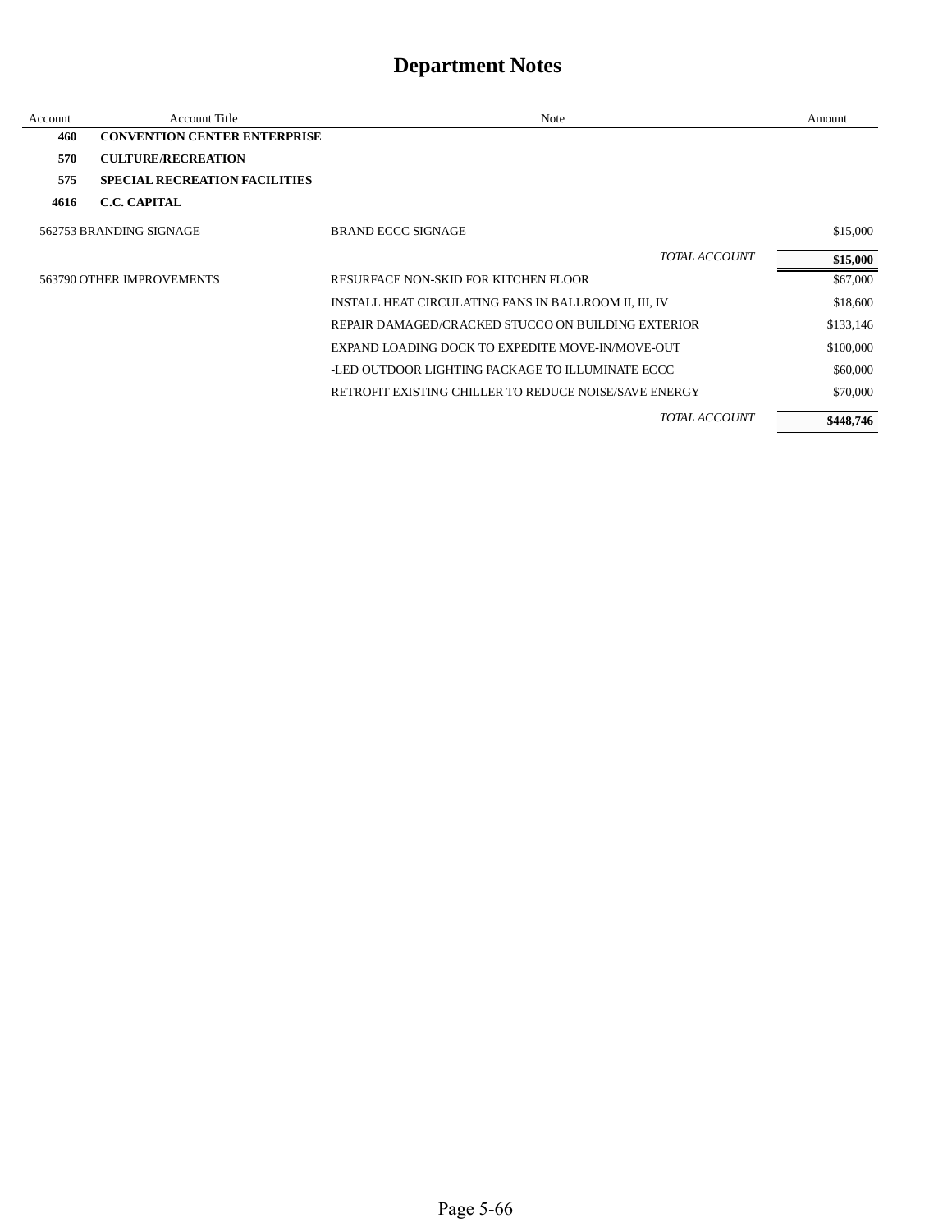| Account | <b>Account Title</b>                 | Note                                                  | Amount    |
|---------|--------------------------------------|-------------------------------------------------------|-----------|
| 460     | <b>CONVENTION CENTER ENTERPRISE</b>  |                                                       |           |
| 570     | <b>CULTURE/RECREATION</b>            |                                                       |           |
| 575     | <b>SPECIAL RECREATION FACILITIES</b> |                                                       |           |
| 4616    | <b>C.C. CAPITAL</b>                  |                                                       |           |
|         | 562753 BRANDING SIGNAGE              | BRAND ECCC SIGNAGE                                    | \$15,000  |
|         |                                      | TOTAL ACCOUNT                                         | \$15,000  |
|         | 563790 OTHER IMPROVEMENTS            | RESURFACE NON-SKID FOR KITCHEN FLOOR                  | \$67,000  |
|         |                                      | INSTALL HEAT CIRCULATING FANS IN BALLROOM II, III, IV | \$18,600  |
|         |                                      | REPAIR DAMAGED/CRACKED STUCCO ON BUILDING EXTERIOR    | \$133,146 |
|         |                                      | EXPAND LOADING DOCK TO EXPEDITE MOVE-IN/MOVE-OUT      | \$100,000 |
|         |                                      | -LED OUTDOOR LIGHTING PACKAGE TO ILLUMINATE ECCC      | \$60,000  |
|         |                                      | RETROFIT EXISTING CHILLER TO REDUCE NOISE/SAVE ENERGY | \$70,000  |
|         |                                      | <b>TOTAL ACCOUNT</b>                                  | \$448,746 |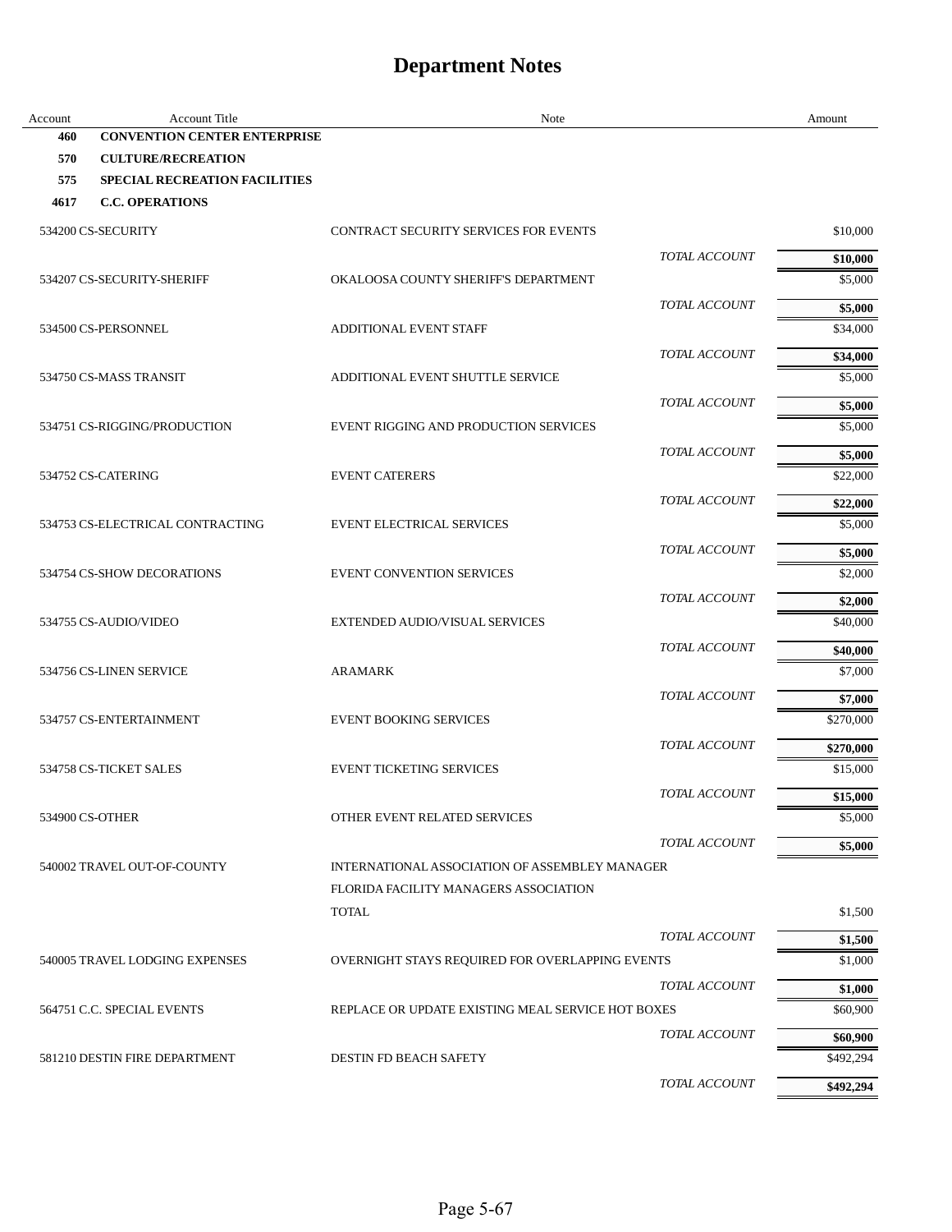| <b>CONVENTION CENTER ENTERPRISE</b><br>460<br>570<br><b>CULTURE/RECREATION</b><br>575<br><b>SPECIAL RECREATION FACILITIES</b><br><b>C.C. OPERATIONS</b><br>4617<br>\$10,000<br>534200 CS-SECURITY<br><b>CONTRACT SECURITY SERVICES FOR EVENTS</b><br>TOTAL ACCOUNT<br>\$10,000<br>534207 CS-SECURITY-SHERIFF<br>OKALOOSA COUNTY SHERIFF'S DEPARTMENT<br>\$5,000<br>TOTAL ACCOUNT<br>\$5,000<br>534500 CS-PERSONNEL<br><b>ADDITIONAL EVENT STAFF</b><br>\$34,000<br>TOTAL ACCOUNT<br>\$34,000<br>\$5,000<br>534750 CS-MASS TRANSIT<br>ADDITIONAL EVENT SHUTTLE SERVICE<br>TOTAL ACCOUNT<br>\$5,000<br>EVENT RIGGING AND PRODUCTION SERVICES<br>\$5,000<br>534751 CS-RIGGING/PRODUCTION<br><b>TOTAL ACCOUNT</b><br>\$5,000<br>\$22,000<br>534752 CS-CATERING<br><b>EVENT CATERERS</b><br>TOTAL ACCOUNT<br>\$22,000<br>534753 CS-ELECTRICAL CONTRACTING<br><b>EVENT ELECTRICAL SERVICES</b><br>\$5,000<br>TOTAL ACCOUNT<br>\$5,000<br>534754 CS-SHOW DECORATIONS<br><b>EVENT CONVENTION SERVICES</b><br>\$2,000<br><i>TOTAL ACCOUNT</i><br>\$2,000<br>\$40,000<br>534755 CS-AUDIO/VIDEO<br>EXTENDED AUDIO/VISUAL SERVICES<br>TOTAL ACCOUNT<br>\$40,000<br>534756 CS-LINEN SERVICE<br><b>ARAMARK</b><br>\$7,000<br>TOTAL ACCOUNT<br>\$7,000<br>534757 CS-ENTERTAINMENT<br><b>EVENT BOOKING SERVICES</b><br>\$270,000<br><i>TOTAL ACCOUNT</i><br>\$270,000<br>534758 CS-TICKET SALES<br><b>EVENT TICKETING SERVICES</b><br>\$15,000<br><b>TOTAL ACCOUNT</b><br>\$15,000<br>\$5,000<br>534900 CS-OTHER<br>OTHER EVENT RELATED SERVICES<br><b>TOTAL ACCOUNT</b><br>\$5,000<br>540002 TRAVEL OUT-OF-COUNTY<br>INTERNATIONAL ASSOCIATION OF ASSEMBLEY MANAGER<br>FLORIDA FACILITY MANAGERS ASSOCIATION<br><b>TOTAL</b><br>\$1,500<br>TOTAL ACCOUNT<br>\$1,500<br>540005 TRAVEL LODGING EXPENSES<br>OVERNIGHT STAYS REQUIRED FOR OVERLAPPING EVENTS<br>\$1,000<br>TOTAL ACCOUNT<br>\$1,000<br>564751 C.C. SPECIAL EVENTS<br>REPLACE OR UPDATE EXISTING MEAL SERVICE HOT BOXES<br>\$60,900<br>TOTAL ACCOUNT<br>\$60,900 | Account | Account Title | Note | Amount |
|--------------------------------------------------------------------------------------------------------------------------------------------------------------------------------------------------------------------------------------------------------------------------------------------------------------------------------------------------------------------------------------------------------------------------------------------------------------------------------------------------------------------------------------------------------------------------------------------------------------------------------------------------------------------------------------------------------------------------------------------------------------------------------------------------------------------------------------------------------------------------------------------------------------------------------------------------------------------------------------------------------------------------------------------------------------------------------------------------------------------------------------------------------------------------------------------------------------------------------------------------------------------------------------------------------------------------------------------------------------------------------------------------------------------------------------------------------------------------------------------------------------------------------------------------------------------------------------------------------------------------------------------------------------------------------------------------------------------------------------------------------------------------------------------------------------------------------------------------------------------------------------------------------------------------------------------------------------------------------------------------------------|---------|---------------|------|--------|
|                                                                                                                                                                                                                                                                                                                                                                                                                                                                                                                                                                                                                                                                                                                                                                                                                                                                                                                                                                                                                                                                                                                                                                                                                                                                                                                                                                                                                                                                                                                                                                                                                                                                                                                                                                                                                                                                                                                                                                                                              |         |               |      |        |
|                                                                                                                                                                                                                                                                                                                                                                                                                                                                                                                                                                                                                                                                                                                                                                                                                                                                                                                                                                                                                                                                                                                                                                                                                                                                                                                                                                                                                                                                                                                                                                                                                                                                                                                                                                                                                                                                                                                                                                                                              |         |               |      |        |
|                                                                                                                                                                                                                                                                                                                                                                                                                                                                                                                                                                                                                                                                                                                                                                                                                                                                                                                                                                                                                                                                                                                                                                                                                                                                                                                                                                                                                                                                                                                                                                                                                                                                                                                                                                                                                                                                                                                                                                                                              |         |               |      |        |
|                                                                                                                                                                                                                                                                                                                                                                                                                                                                                                                                                                                                                                                                                                                                                                                                                                                                                                                                                                                                                                                                                                                                                                                                                                                                                                                                                                                                                                                                                                                                                                                                                                                                                                                                                                                                                                                                                                                                                                                                              |         |               |      |        |
|                                                                                                                                                                                                                                                                                                                                                                                                                                                                                                                                                                                                                                                                                                                                                                                                                                                                                                                                                                                                                                                                                                                                                                                                                                                                                                                                                                                                                                                                                                                                                                                                                                                                                                                                                                                                                                                                                                                                                                                                              |         |               |      |        |
|                                                                                                                                                                                                                                                                                                                                                                                                                                                                                                                                                                                                                                                                                                                                                                                                                                                                                                                                                                                                                                                                                                                                                                                                                                                                                                                                                                                                                                                                                                                                                                                                                                                                                                                                                                                                                                                                                                                                                                                                              |         |               |      |        |
|                                                                                                                                                                                                                                                                                                                                                                                                                                                                                                                                                                                                                                                                                                                                                                                                                                                                                                                                                                                                                                                                                                                                                                                                                                                                                                                                                                                                                                                                                                                                                                                                                                                                                                                                                                                                                                                                                                                                                                                                              |         |               |      |        |
|                                                                                                                                                                                                                                                                                                                                                                                                                                                                                                                                                                                                                                                                                                                                                                                                                                                                                                                                                                                                                                                                                                                                                                                                                                                                                                                                                                                                                                                                                                                                                                                                                                                                                                                                                                                                                                                                                                                                                                                                              |         |               |      |        |
|                                                                                                                                                                                                                                                                                                                                                                                                                                                                                                                                                                                                                                                                                                                                                                                                                                                                                                                                                                                                                                                                                                                                                                                                                                                                                                                                                                                                                                                                                                                                                                                                                                                                                                                                                                                                                                                                                                                                                                                                              |         |               |      |        |
|                                                                                                                                                                                                                                                                                                                                                                                                                                                                                                                                                                                                                                                                                                                                                                                                                                                                                                                                                                                                                                                                                                                                                                                                                                                                                                                                                                                                                                                                                                                                                                                                                                                                                                                                                                                                                                                                                                                                                                                                              |         |               |      |        |
|                                                                                                                                                                                                                                                                                                                                                                                                                                                                                                                                                                                                                                                                                                                                                                                                                                                                                                                                                                                                                                                                                                                                                                                                                                                                                                                                                                                                                                                                                                                                                                                                                                                                                                                                                                                                                                                                                                                                                                                                              |         |               |      |        |
|                                                                                                                                                                                                                                                                                                                                                                                                                                                                                                                                                                                                                                                                                                                                                                                                                                                                                                                                                                                                                                                                                                                                                                                                                                                                                                                                                                                                                                                                                                                                                                                                                                                                                                                                                                                                                                                                                                                                                                                                              |         |               |      |        |
|                                                                                                                                                                                                                                                                                                                                                                                                                                                                                                                                                                                                                                                                                                                                                                                                                                                                                                                                                                                                                                                                                                                                                                                                                                                                                                                                                                                                                                                                                                                                                                                                                                                                                                                                                                                                                                                                                                                                                                                                              |         |               |      |        |
|                                                                                                                                                                                                                                                                                                                                                                                                                                                                                                                                                                                                                                                                                                                                                                                                                                                                                                                                                                                                                                                                                                                                                                                                                                                                                                                                                                                                                                                                                                                                                                                                                                                                                                                                                                                                                                                                                                                                                                                                              |         |               |      |        |
|                                                                                                                                                                                                                                                                                                                                                                                                                                                                                                                                                                                                                                                                                                                                                                                                                                                                                                                                                                                                                                                                                                                                                                                                                                                                                                                                                                                                                                                                                                                                                                                                                                                                                                                                                                                                                                                                                                                                                                                                              |         |               |      |        |
|                                                                                                                                                                                                                                                                                                                                                                                                                                                                                                                                                                                                                                                                                                                                                                                                                                                                                                                                                                                                                                                                                                                                                                                                                                                                                                                                                                                                                                                                                                                                                                                                                                                                                                                                                                                                                                                                                                                                                                                                              |         |               |      |        |
|                                                                                                                                                                                                                                                                                                                                                                                                                                                                                                                                                                                                                                                                                                                                                                                                                                                                                                                                                                                                                                                                                                                                                                                                                                                                                                                                                                                                                                                                                                                                                                                                                                                                                                                                                                                                                                                                                                                                                                                                              |         |               |      |        |
|                                                                                                                                                                                                                                                                                                                                                                                                                                                                                                                                                                                                                                                                                                                                                                                                                                                                                                                                                                                                                                                                                                                                                                                                                                                                                                                                                                                                                                                                                                                                                                                                                                                                                                                                                                                                                                                                                                                                                                                                              |         |               |      |        |
|                                                                                                                                                                                                                                                                                                                                                                                                                                                                                                                                                                                                                                                                                                                                                                                                                                                                                                                                                                                                                                                                                                                                                                                                                                                                                                                                                                                                                                                                                                                                                                                                                                                                                                                                                                                                                                                                                                                                                                                                              |         |               |      |        |
|                                                                                                                                                                                                                                                                                                                                                                                                                                                                                                                                                                                                                                                                                                                                                                                                                                                                                                                                                                                                                                                                                                                                                                                                                                                                                                                                                                                                                                                                                                                                                                                                                                                                                                                                                                                                                                                                                                                                                                                                              |         |               |      |        |
|                                                                                                                                                                                                                                                                                                                                                                                                                                                                                                                                                                                                                                                                                                                                                                                                                                                                                                                                                                                                                                                                                                                                                                                                                                                                                                                                                                                                                                                                                                                                                                                                                                                                                                                                                                                                                                                                                                                                                                                                              |         |               |      |        |
|                                                                                                                                                                                                                                                                                                                                                                                                                                                                                                                                                                                                                                                                                                                                                                                                                                                                                                                                                                                                                                                                                                                                                                                                                                                                                                                                                                                                                                                                                                                                                                                                                                                                                                                                                                                                                                                                                                                                                                                                              |         |               |      |        |
|                                                                                                                                                                                                                                                                                                                                                                                                                                                                                                                                                                                                                                                                                                                                                                                                                                                                                                                                                                                                                                                                                                                                                                                                                                                                                                                                                                                                                                                                                                                                                                                                                                                                                                                                                                                                                                                                                                                                                                                                              |         |               |      |        |
|                                                                                                                                                                                                                                                                                                                                                                                                                                                                                                                                                                                                                                                                                                                                                                                                                                                                                                                                                                                                                                                                                                                                                                                                                                                                                                                                                                                                                                                                                                                                                                                                                                                                                                                                                                                                                                                                                                                                                                                                              |         |               |      |        |
|                                                                                                                                                                                                                                                                                                                                                                                                                                                                                                                                                                                                                                                                                                                                                                                                                                                                                                                                                                                                                                                                                                                                                                                                                                                                                                                                                                                                                                                                                                                                                                                                                                                                                                                                                                                                                                                                                                                                                                                                              |         |               |      |        |
|                                                                                                                                                                                                                                                                                                                                                                                                                                                                                                                                                                                                                                                                                                                                                                                                                                                                                                                                                                                                                                                                                                                                                                                                                                                                                                                                                                                                                                                                                                                                                                                                                                                                                                                                                                                                                                                                                                                                                                                                              |         |               |      |        |
|                                                                                                                                                                                                                                                                                                                                                                                                                                                                                                                                                                                                                                                                                                                                                                                                                                                                                                                                                                                                                                                                                                                                                                                                                                                                                                                                                                                                                                                                                                                                                                                                                                                                                                                                                                                                                                                                                                                                                                                                              |         |               |      |        |
|                                                                                                                                                                                                                                                                                                                                                                                                                                                                                                                                                                                                                                                                                                                                                                                                                                                                                                                                                                                                                                                                                                                                                                                                                                                                                                                                                                                                                                                                                                                                                                                                                                                                                                                                                                                                                                                                                                                                                                                                              |         |               |      |        |
|                                                                                                                                                                                                                                                                                                                                                                                                                                                                                                                                                                                                                                                                                                                                                                                                                                                                                                                                                                                                                                                                                                                                                                                                                                                                                                                                                                                                                                                                                                                                                                                                                                                                                                                                                                                                                                                                                                                                                                                                              |         |               |      |        |
|                                                                                                                                                                                                                                                                                                                                                                                                                                                                                                                                                                                                                                                                                                                                                                                                                                                                                                                                                                                                                                                                                                                                                                                                                                                                                                                                                                                                                                                                                                                                                                                                                                                                                                                                                                                                                                                                                                                                                                                                              |         |               |      |        |
|                                                                                                                                                                                                                                                                                                                                                                                                                                                                                                                                                                                                                                                                                                                                                                                                                                                                                                                                                                                                                                                                                                                                                                                                                                                                                                                                                                                                                                                                                                                                                                                                                                                                                                                                                                                                                                                                                                                                                                                                              |         |               |      |        |
|                                                                                                                                                                                                                                                                                                                                                                                                                                                                                                                                                                                                                                                                                                                                                                                                                                                                                                                                                                                                                                                                                                                                                                                                                                                                                                                                                                                                                                                                                                                                                                                                                                                                                                                                                                                                                                                                                                                                                                                                              |         |               |      |        |
|                                                                                                                                                                                                                                                                                                                                                                                                                                                                                                                                                                                                                                                                                                                                                                                                                                                                                                                                                                                                                                                                                                                                                                                                                                                                                                                                                                                                                                                                                                                                                                                                                                                                                                                                                                                                                                                                                                                                                                                                              |         |               |      |        |
|                                                                                                                                                                                                                                                                                                                                                                                                                                                                                                                                                                                                                                                                                                                                                                                                                                                                                                                                                                                                                                                                                                                                                                                                                                                                                                                                                                                                                                                                                                                                                                                                                                                                                                                                                                                                                                                                                                                                                                                                              |         |               |      |        |
|                                                                                                                                                                                                                                                                                                                                                                                                                                                                                                                                                                                                                                                                                                                                                                                                                                                                                                                                                                                                                                                                                                                                                                                                                                                                                                                                                                                                                                                                                                                                                                                                                                                                                                                                                                                                                                                                                                                                                                                                              |         |               |      |        |
|                                                                                                                                                                                                                                                                                                                                                                                                                                                                                                                                                                                                                                                                                                                                                                                                                                                                                                                                                                                                                                                                                                                                                                                                                                                                                                                                                                                                                                                                                                                                                                                                                                                                                                                                                                                                                                                                                                                                                                                                              |         |               |      |        |
|                                                                                                                                                                                                                                                                                                                                                                                                                                                                                                                                                                                                                                                                                                                                                                                                                                                                                                                                                                                                                                                                                                                                                                                                                                                                                                                                                                                                                                                                                                                                                                                                                                                                                                                                                                                                                                                                                                                                                                                                              |         |               |      |        |
|                                                                                                                                                                                                                                                                                                                                                                                                                                                                                                                                                                                                                                                                                                                                                                                                                                                                                                                                                                                                                                                                                                                                                                                                                                                                                                                                                                                                                                                                                                                                                                                                                                                                                                                                                                                                                                                                                                                                                                                                              |         |               |      |        |
| 581210 DESTIN FIRE DEPARTMENT<br>DESTIN FD BEACH SAFETY<br>\$492,294                                                                                                                                                                                                                                                                                                                                                                                                                                                                                                                                                                                                                                                                                                                                                                                                                                                                                                                                                                                                                                                                                                                                                                                                                                                                                                                                                                                                                                                                                                                                                                                                                                                                                                                                                                                                                                                                                                                                         |         |               |      |        |
| TOTAL ACCOUNT<br>\$492,294                                                                                                                                                                                                                                                                                                                                                                                                                                                                                                                                                                                                                                                                                                                                                                                                                                                                                                                                                                                                                                                                                                                                                                                                                                                                                                                                                                                                                                                                                                                                                                                                                                                                                                                                                                                                                                                                                                                                                                                   |         |               |      |        |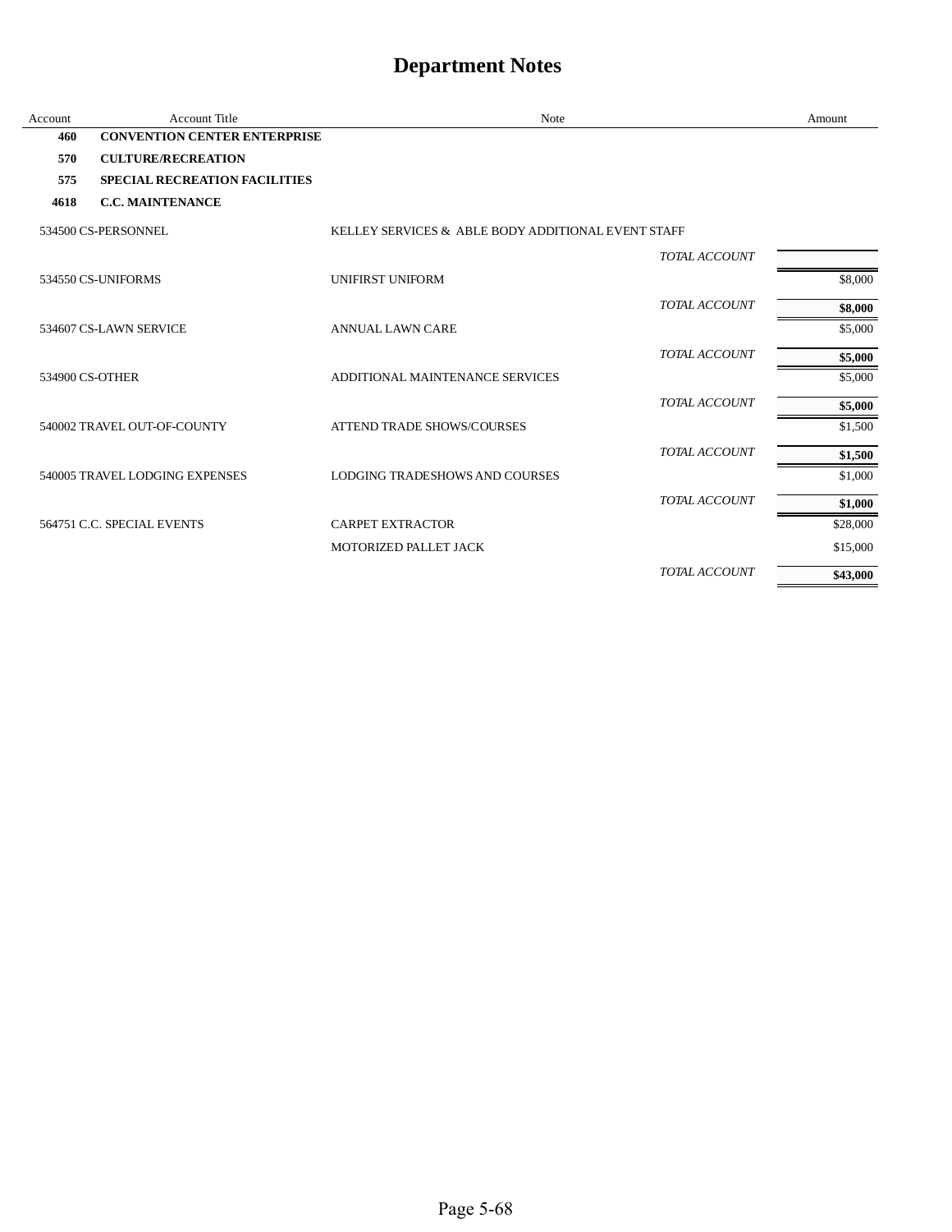| Account         | <b>Account Title</b>                 | Note                                               | Amount   |
|-----------------|--------------------------------------|----------------------------------------------------|----------|
| 460             | <b>CONVENTION CENTER ENTERPRISE</b>  |                                                    |          |
| 570             | <b>CULTURE/RECREATION</b>            |                                                    |          |
| 575             | <b>SPECIAL RECREATION FACILITIES</b> |                                                    |          |
| 4618            | <b>C.C. MAINTENANCE</b>              |                                                    |          |
|                 | 534500 CS-PERSONNEL                  | KELLEY SERVICES & ABLE BODY ADDITIONAL EVENT STAFF |          |
|                 |                                      | <b>TOTAL ACCOUNT</b>                               |          |
|                 | 534550 CS-UNIFORMS                   | UNIFIRST UNIFORM                                   | \$8,000  |
|                 |                                      | TOTAL ACCOUNT                                      | \$8,000  |
|                 | 534607 CS-LAWN SERVICE               | <b>ANNUAL LAWN CARE</b>                            | \$5,000  |
|                 |                                      | <b>TOTAL ACCOUNT</b>                               | \$5,000  |
| 534900 CS-OTHER |                                      | ADDITIONAL MAINTENANCE SERVICES                    | \$5,000  |
|                 |                                      | TOTAL ACCOUNT                                      | \$5,000  |
|                 | 540002 TRAVEL OUT-OF-COUNTY          | <b>ATTEND TRADE SHOWS/COURSES</b>                  | \$1,500  |
|                 |                                      | <b>TOTAL ACCOUNT</b>                               | \$1,500  |
|                 | 540005 TRAVEL LODGING EXPENSES       | <b>LODGING TRADESHOWS AND COURSES</b>              | \$1,000  |
|                 |                                      | TOTAL ACCOUNT                                      | \$1,000  |
|                 | 564751 C.C. SPECIAL EVENTS           | <b>CARPET EXTRACTOR</b>                            | \$28,000 |
|                 |                                      | MOTORIZED PALLET JACK                              | \$15,000 |
|                 |                                      | TOTAL ACCOUNT                                      | \$43,000 |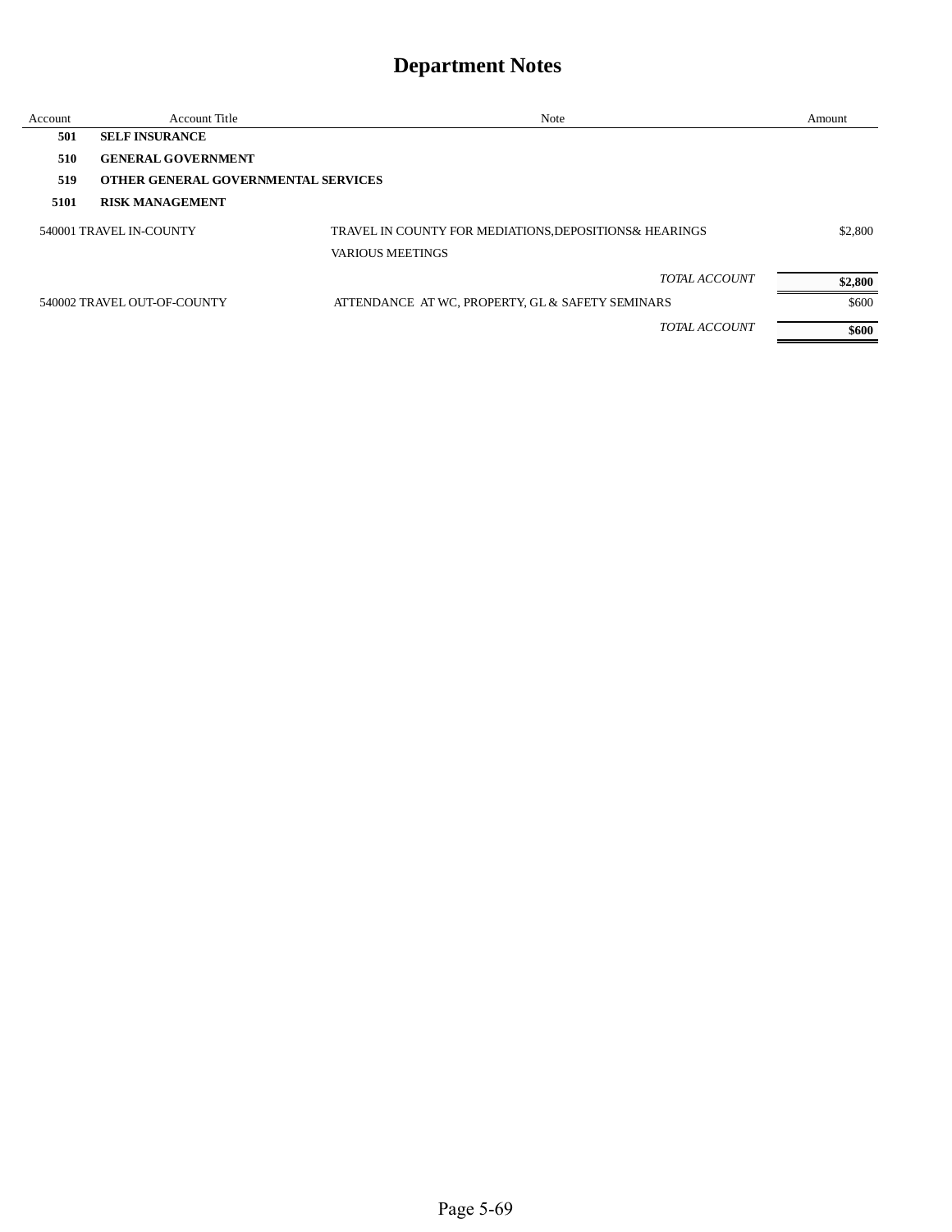| Account                 | Account Title                              | Note                                                    | Amount  |
|-------------------------|--------------------------------------------|---------------------------------------------------------|---------|
| 501                     | <b>SELF INSURANCE</b>                      |                                                         |         |
| 510                     | <b>GENERAL GOVERNMENT</b>                  |                                                         |         |
| 519                     | <b>OTHER GENERAL GOVERNMENTAL SERVICES</b> |                                                         |         |
| 5101                    | <b>RISK MANAGEMENT</b>                     |                                                         |         |
| 540001 TRAVEL IN-COUNTY |                                            | TRAVEL IN COUNTY FOR MEDIATIONS, DEPOSITIONS & HEARINGS | \$2,800 |
|                         |                                            | <b>VARIOUS MEETINGS</b>                                 |         |
|                         |                                            | <b>TOTAL ACCOUNT</b>                                    | \$2,800 |
|                         | 540002 TRAVEL OUT-OF-COUNTY                | ATTENDANCE AT WC, PROPERTY, GL & SAFETY SEMINARS        | \$600   |
|                         |                                            | <b>TOTAL ACCOUNT</b>                                    | \$600   |